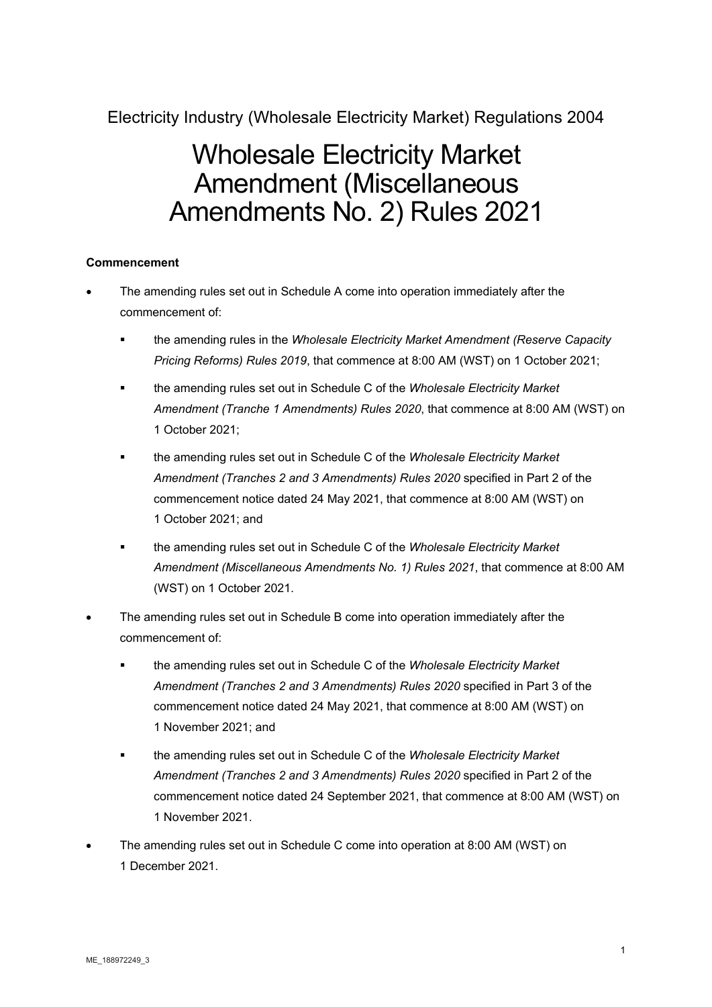Electricity Industry (Wholesale Electricity Market) Regulations 2004

# Wholesale Electricity Market Amendment (Miscellaneous Amendments No. 2) Rules 2021

# **Commencement**

- The amending rules set out in Schedule A come into operation immediately after the commencement of:
	- the amending rules in the *Wholesale Electricity Market Amendment (Reserve Capacity Pricing Reforms) Rules 2019*, that commence at 8:00 AM (WST) on 1 October 2021;
	- the amending rules set out in Schedule C of the *Wholesale Electricity Market Amendment (Tranche 1 Amendments) Rules 2020*, that commence at 8:00 AM (WST) on 1 October 2021;
	- the amending rules set out in Schedule C of the *Wholesale Electricity Market Amendment (Tranches 2 and 3 Amendments) Rules 2020* specified in Part 2 of the commencement notice dated 24 May 2021, that commence at 8:00 AM (WST) on 1 October 2021; and
	- the amending rules set out in Schedule C of the *Wholesale Electricity Market Amendment (Miscellaneous Amendments No. 1) Rules 2021*, that commence at 8:00 AM (WST) on 1 October 2021.
- The amending rules set out in Schedule B come into operation immediately after the commencement of:
	- the amending rules set out in Schedule C of the *Wholesale Electricity Market Amendment (Tranches 2 and 3 Amendments) Rules 2020* specified in Part 3 of the commencement notice dated 24 May 2021, that commence at 8:00 AM (WST) on 1 November 2021; and
	- the amending rules set out in Schedule C of the *Wholesale Electricity Market Amendment (Tranches 2 and 3 Amendments) Rules 2020* specified in Part 2 of the commencement notice dated 24 September 2021, that commence at 8:00 AM (WST) on 1 November 2021.
- The amending rules set out in Schedule C come into operation at 8:00 AM (WST) on 1 December 2021.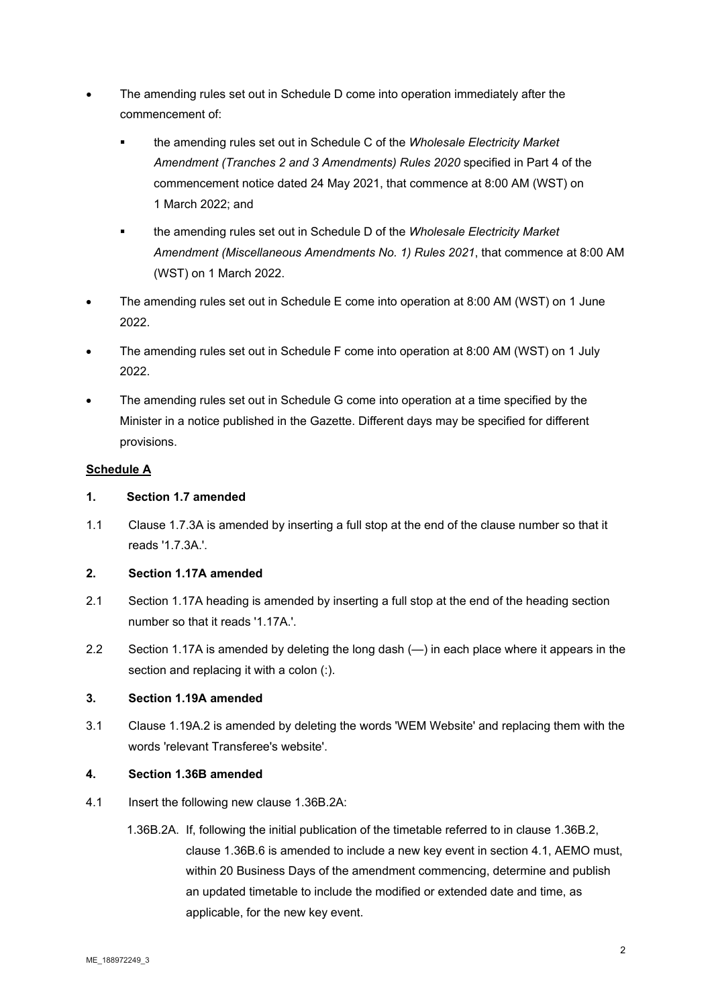- The amending rules set out in Schedule D come into operation immediately after the commencement of:
	- the amending rules set out in Schedule C of the *Wholesale Electricity Market Amendment (Tranches 2 and 3 Amendments) Rules 2020* specified in Part 4 of the commencement notice dated 24 May 2021, that commence at 8:00 AM (WST) on 1 March 2022; and
	- the amending rules set out in Schedule D of the *Wholesale Electricity Market Amendment (Miscellaneous Amendments No. 1) Rules 2021*, that commence at 8:00 AM (WST) on 1 March 2022.
- The amending rules set out in Schedule E come into operation at 8:00 AM (WST) on 1 June 2022.
- The amending rules set out in Schedule F come into operation at 8:00 AM (WST) on 1 July 2022.
- The amending rules set out in Schedule G come into operation at a time specified by the Minister in a notice published in the Gazette. Different days may be specified for different provisions.

# **Schedule A**

# **1. Section 1.7 amended**

1.1 Clause 1.7.3A is amended by inserting a full stop at the end of the clause number so that it reads '1.7.3A.'.

# **2. Section 1.17A amended**

- 2.1 Section 1.17A heading is amended by inserting a full stop at the end of the heading section number so that it reads '1.17A.'.
- 2.2 Section 1.17A is amended by deleting the long dash (—) in each place where it appears in the section and replacing it with a colon (:).

# **3. Section 1.19A amended**

3.1 Clause 1.19A.2 is amended by deleting the words 'WEM Website' and replacing them with the words 'relevant Transferee's website'.

# **4. Section 1.36B amended**

- 4.1 Insert the following new clause 1.36B.2A:
	- 1.36B.2A. If, following the initial publication of the timetable referred to in clause 1.36B.2, clause 1.36B.6 is amended to include a new key event in section 4.1, AEMO must, within 20 Business Days of the amendment commencing, determine and publish an updated timetable to include the modified or extended date and time, as applicable, for the new key event.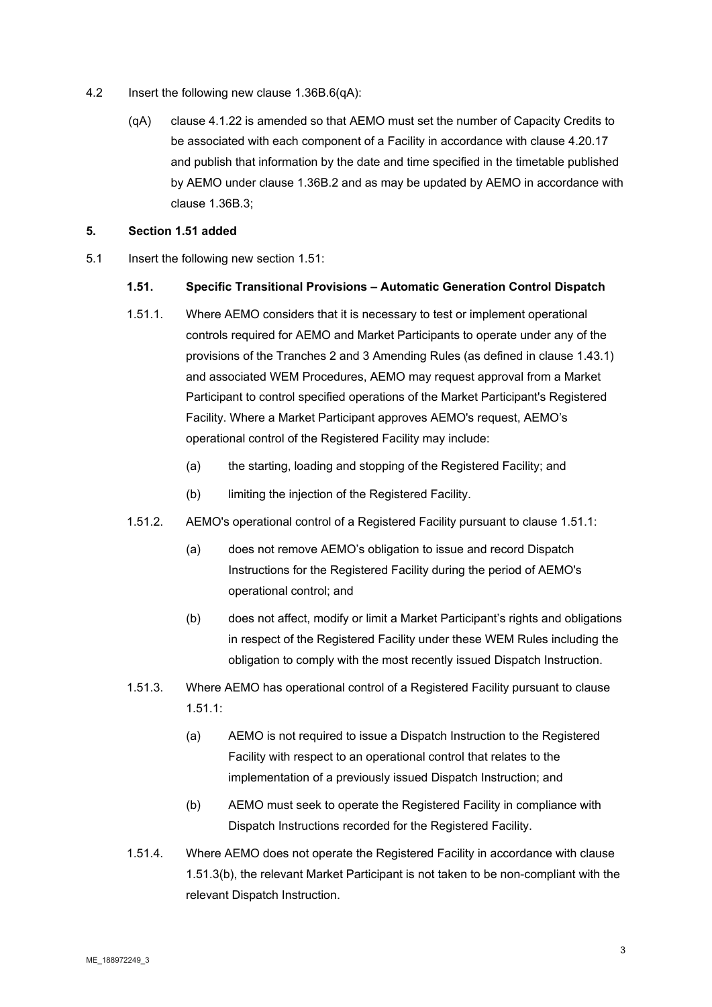- 4.2 Insert the following new clause 1.36B.6(qA):
	- (qA) clause 4.1.22 is amended so that AEMO must set the number of Capacity Credits to be associated with each component of a Facility in accordance with clause 4.20.17 and publish that information by the date and time specified in the timetable published by AEMO under clause 1.36B.2 and as may be updated by AEMO in accordance with clause 1.36B.3;

# **5. Section 1.51 added**

5.1 Insert the following new section 1.51:

#### **1.51. Specific Transitional Provisions – Automatic Generation Control Dispatch**

- 1.51.1. Where AEMO considers that it is necessary to test or implement operational controls required for AEMO and Market Participants to operate under any of the provisions of the Tranches 2 and 3 Amending Rules (as defined in clause 1.43.1) and associated WEM Procedures, AEMO may request approval from a Market Participant to control specified operations of the Market Participant's Registered Facility. Where a Market Participant approves AEMO's request, AEMO's operational control of the Registered Facility may include:
	- (a) the starting, loading and stopping of the Registered Facility; and
	- (b) limiting the injection of the Registered Facility.
- 1.51.2. AEMO's operational control of a Registered Facility pursuant to clause 1.51.1:
	- (a) does not remove AEMO's obligation to issue and record Dispatch Instructions for the Registered Facility during the period of AEMO's operational control; and
	- (b) does not affect, modify or limit a Market Participant's rights and obligations in respect of the Registered Facility under these WEM Rules including the obligation to comply with the most recently issued Dispatch Instruction.
- 1.51.3. Where AEMO has operational control of a Registered Facility pursuant to clause 1.51.1:
	- (a) AEMO is not required to issue a Dispatch Instruction to the Registered Facility with respect to an operational control that relates to the implementation of a previously issued Dispatch Instruction; and
	- (b) AEMO must seek to operate the Registered Facility in compliance with Dispatch Instructions recorded for the Registered Facility.
- 1.51.4. Where AEMO does not operate the Registered Facility in accordance with clause 1.51.3(b), the relevant Market Participant is not taken to be non-compliant with the relevant Dispatch Instruction.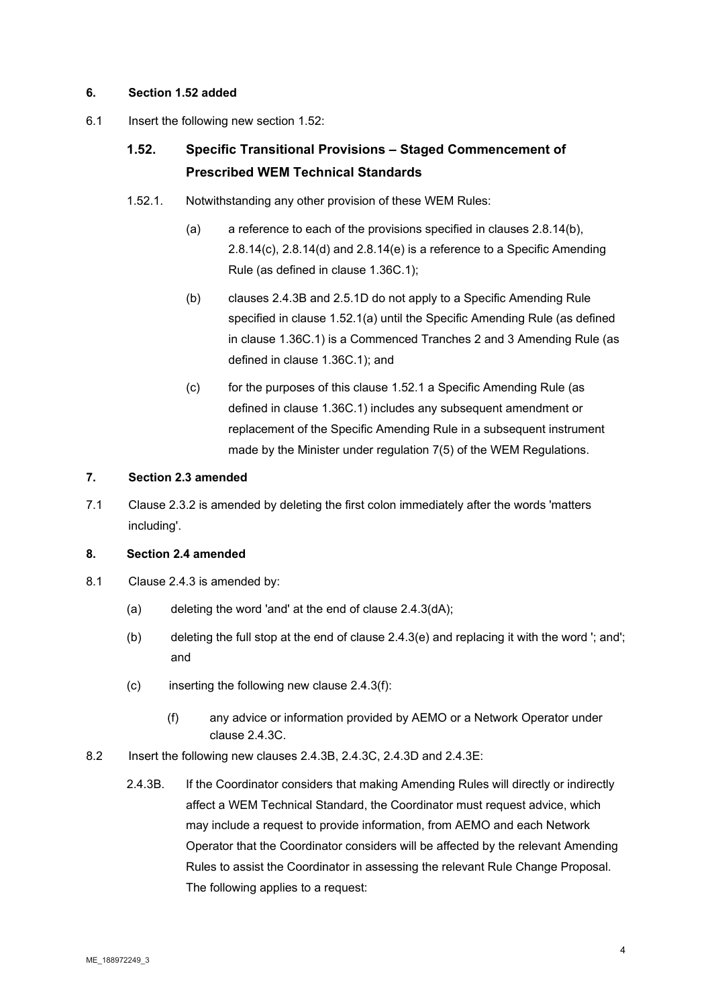# **6. Section 1.52 added**

6.1 Insert the following new section 1.52:

# **1.52. Specific Transitional Provisions – Staged Commencement of Prescribed WEM Technical Standards**

- 1.52.1. Notwithstanding any other provision of these WEM Rules:
	- (a) a reference to each of the provisions specified in clauses 2.8.14(b), 2.8.14(c), 2.8.14(d) and 2.8.14(e) is a reference to a Specific Amending Rule (as defined in clause 1.36C.1);
	- (b) clauses 2.4.3B and 2.5.1D do not apply to a Specific Amending Rule specified in clause 1.52.1(a) until the Specific Amending Rule (as defined in clause 1.36C.1) is a Commenced Tranches 2 and 3 Amending Rule (as defined in clause 1.36C.1); and
	- (c) for the purposes of this clause 1.52.1 a Specific Amending Rule (as defined in clause 1.36C.1) includes any subsequent amendment or replacement of the Specific Amending Rule in a subsequent instrument made by the Minister under regulation 7(5) of the WEM Regulations.

#### **7. Section 2.3 amended**

7.1 Clause 2.3.2 is amended by deleting the first colon immediately after the words 'matters including'.

# **8. Section 2.4 amended**

- 8.1 Clause 2.4.3 is amended by:
	- (a) deleting the word 'and' at the end of clause 2.4.3(dA);
	- (b) deleting the full stop at the end of clause 2.4.3(e) and replacing it with the word '; and'; and
	- $(c)$  inserting the following new clause 2.4.3(f):
		- (f) any advice or information provided by AEMO or a Network Operator under clause 2.4.3C.
- 8.2 Insert the following new clauses 2.4.3B, 2.4.3C, 2.4.3D and 2.4.3E:
	- 2.4.3B. If the Coordinator considers that making Amending Rules will directly or indirectly affect a WEM Technical Standard, the Coordinator must request advice, which may include a request to provide information, from AEMO and each Network Operator that the Coordinator considers will be affected by the relevant Amending Rules to assist the Coordinator in assessing the relevant Rule Change Proposal. The following applies to a request: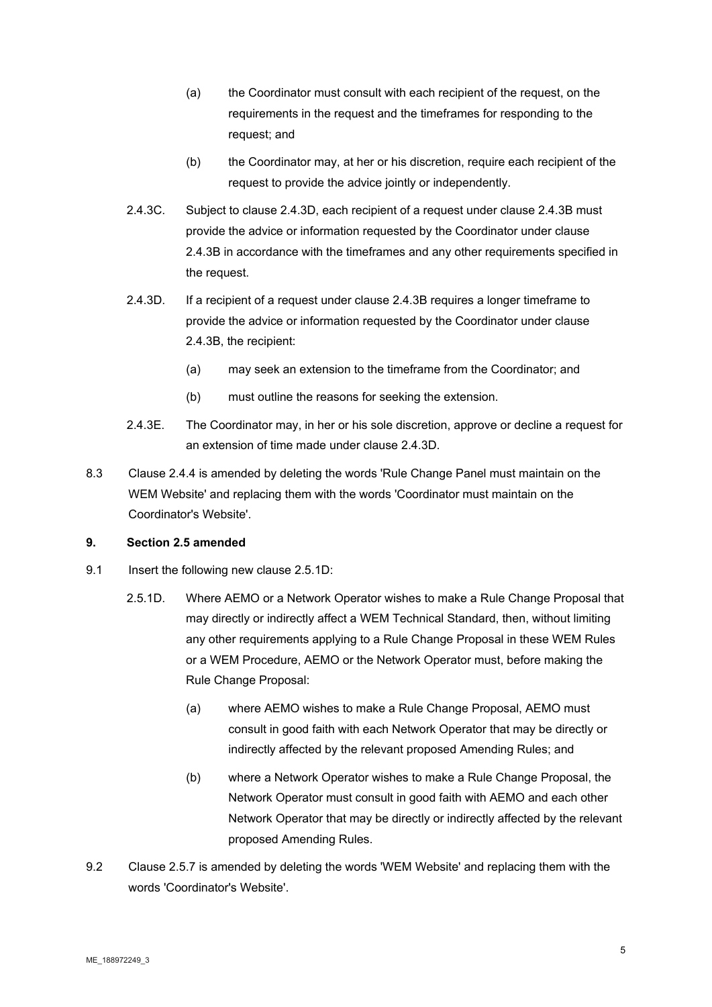- (a) the Coordinator must consult with each recipient of the request, on the requirements in the request and the timeframes for responding to the request; and
- (b) the Coordinator may, at her or his discretion, require each recipient of the request to provide the advice jointly or independently.
- 2.4.3C. Subject to clause 2.4.3D, each recipient of a request under clause 2.4.3B must provide the advice or information requested by the Coordinator under clause 2.4.3B in accordance with the timeframes and any other requirements specified in the request.
- 2.4.3D. If a recipient of a request under clause 2.4.3B requires a longer timeframe to provide the advice or information requested by the Coordinator under clause 2.4.3B, the recipient:
	- (a) may seek an extension to the timeframe from the Coordinator; and
	- (b) must outline the reasons for seeking the extension.
- 2.4.3E. The Coordinator may, in her or his sole discretion, approve or decline a request for an extension of time made under clause 2.4.3D.
- 8.3 Clause 2.4.4 is amended by deleting the words 'Rule Change Panel must maintain on the WEM Website' and replacing them with the words 'Coordinator must maintain on the Coordinator's Website'.

# **9. Section 2.5 amended**

- 9.1 Insert the following new clause 2.5.1D:
	- 2.5.1D. Where AEMO or a Network Operator wishes to make a Rule Change Proposal that may directly or indirectly affect a WEM Technical Standard, then, without limiting any other requirements applying to a Rule Change Proposal in these WEM Rules or a WEM Procedure, AEMO or the Network Operator must, before making the Rule Change Proposal:
		- (a) where AEMO wishes to make a Rule Change Proposal, AEMO must consult in good faith with each Network Operator that may be directly or indirectly affected by the relevant proposed Amending Rules; and
		- (b) where a Network Operator wishes to make a Rule Change Proposal, the Network Operator must consult in good faith with AEMO and each other Network Operator that may be directly or indirectly affected by the relevant proposed Amending Rules.
- 9.2 Clause 2.5.7 is amended by deleting the words 'WEM Website' and replacing them with the words 'Coordinator's Website'.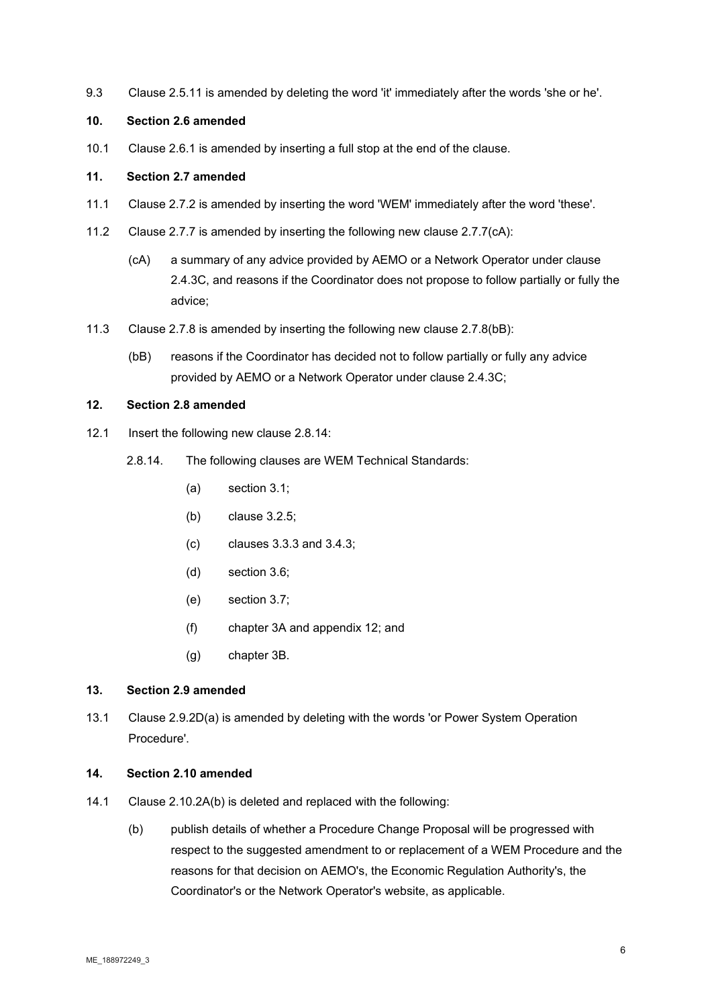9.3 Clause 2.5.11 is amended by deleting the word 'it' immediately after the words 'she or he'.

### **10. Section 2.6 amended**

10.1 Clause 2.6.1 is amended by inserting a full stop at the end of the clause.

#### **11. Section 2.7 amended**

- 11.1 Clause 2.7.2 is amended by inserting the word 'WEM' immediately after the word 'these'.
- 11.2 Clause 2.7.7 is amended by inserting the following new clause 2.7.7(cA):
	- (cA) a summary of any advice provided by AEMO or a Network Operator under clause 2.4.3C, and reasons if the Coordinator does not propose to follow partially or fully the advice;
- 11.3 Clause 2.7.8 is amended by inserting the following new clause 2.7.8(bB):
	- (bB) reasons if the Coordinator has decided not to follow partially or fully any advice provided by AEMO or a Network Operator under clause 2.4.3C;

#### **12. Section 2.8 amended**

- 12.1 Insert the following new clause 2.8.14:
	- 2.8.14. The following clauses are WEM Technical Standards:
		- (a) section 3.1;
		- (b) clause 3.2.5;
		- (c) clauses 3.3.3 and 3.4.3;
		- (d) section 3.6;
		- (e) section 3.7;
		- (f) chapter 3A and appendix 12; and
		- (g) chapter 3B.

# **13. Section 2.9 amended**

13.1 Clause 2.9.2D(a) is amended by deleting with the words 'or Power System Operation Procedure'.

# **14. Section 2.10 amended**

- 14.1 Clause 2.10.2A(b) is deleted and replaced with the following:
	- (b) publish details of whether a Procedure Change Proposal will be progressed with respect to the suggested amendment to or replacement of a WEM Procedure and the reasons for that decision on AEMO's, the Economic Regulation Authority's, the Coordinator's or the Network Operator's website, as applicable.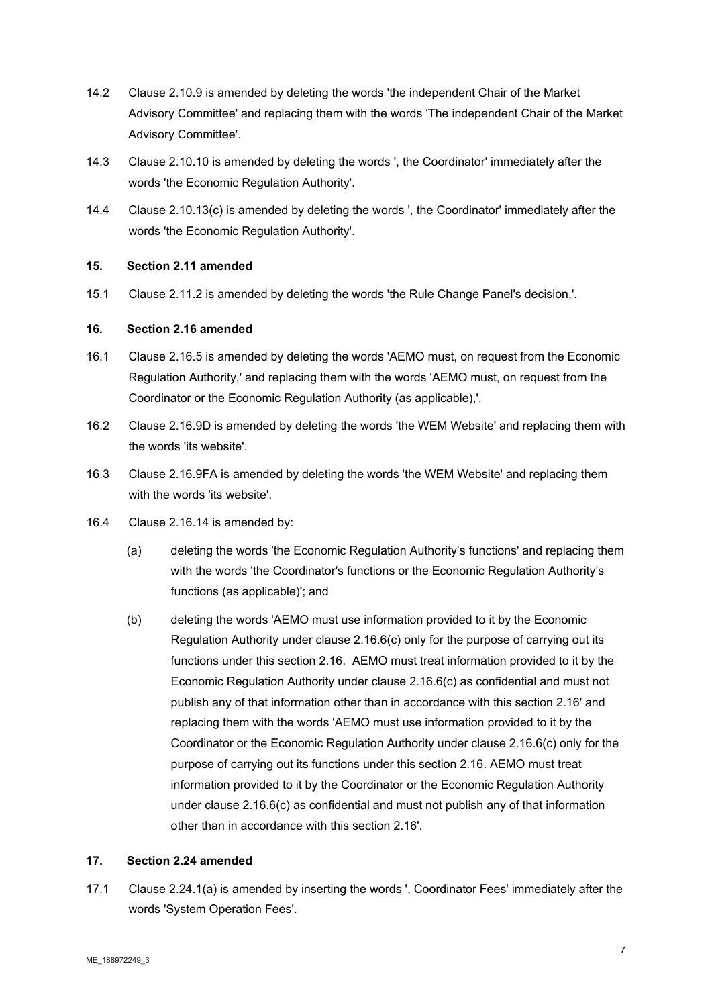- 14.2 Clause 2.10.9 is amended by deleting the words 'the independent Chair of the Market Advisory Committee' and replacing them with the words 'The independent Chair of the Market Advisory Committee'.
- 14.3 Clause 2.10.10 is amended by deleting the words ', the Coordinator' immediately after the words 'the Economic Regulation Authority'.
- 14.4 Clause 2.10.13(c) is amended by deleting the words ', the Coordinator' immediately after the words 'the Economic Regulation Authority'.

# **15. Section 2.11 amended**

15.1 Clause 2.11.2 is amended by deleting the words 'the Rule Change Panel's decision,'.

#### **16. Section 2.16 amended**

- 16.1 Clause 2.16.5 is amended by deleting the words 'AEMO must, on request from the Economic Regulation Authority,' and replacing them with the words 'AEMO must, on request from the Coordinator or the Economic Regulation Authority (as applicable),'.
- 16.2 Clause 2.16.9D is amended by deleting the words 'the WEM Website' and replacing them with the words 'its website'.
- 16.3 Clause 2.16.9FA is amended by deleting the words 'the WEM Website' and replacing them with the words 'its website'.
- 16.4 Clause 2.16.14 is amended by:
	- (a) deleting the words 'the Economic Regulation Authority's functions' and replacing them with the words 'the Coordinator's functions or the Economic Regulation Authority's functions (as applicable)'; and
	- (b) deleting the words 'AEMO must use information provided to it by the Economic Regulation Authority under clause 2.16.6(c) only for the purpose of carrying out its functions under this section 2.16. AEMO must treat information provided to it by the Economic Regulation Authority under clause 2.16.6(c) as confidential and must not publish any of that information other than in accordance with this section 2.16' and replacing them with the words 'AEMO must use information provided to it by the Coordinator or the Economic Regulation Authority under clause 2.16.6(c) only for the purpose of carrying out its functions under this section 2.16. AEMO must treat information provided to it by the Coordinator or the Economic Regulation Authority under clause 2.16.6(c) as confidential and must not publish any of that information other than in accordance with this section 2.16'.

#### **17. Section 2.24 amended**

17.1 Clause 2.24.1(a) is amended by inserting the words ', Coordinator Fees' immediately after the words 'System Operation Fees'.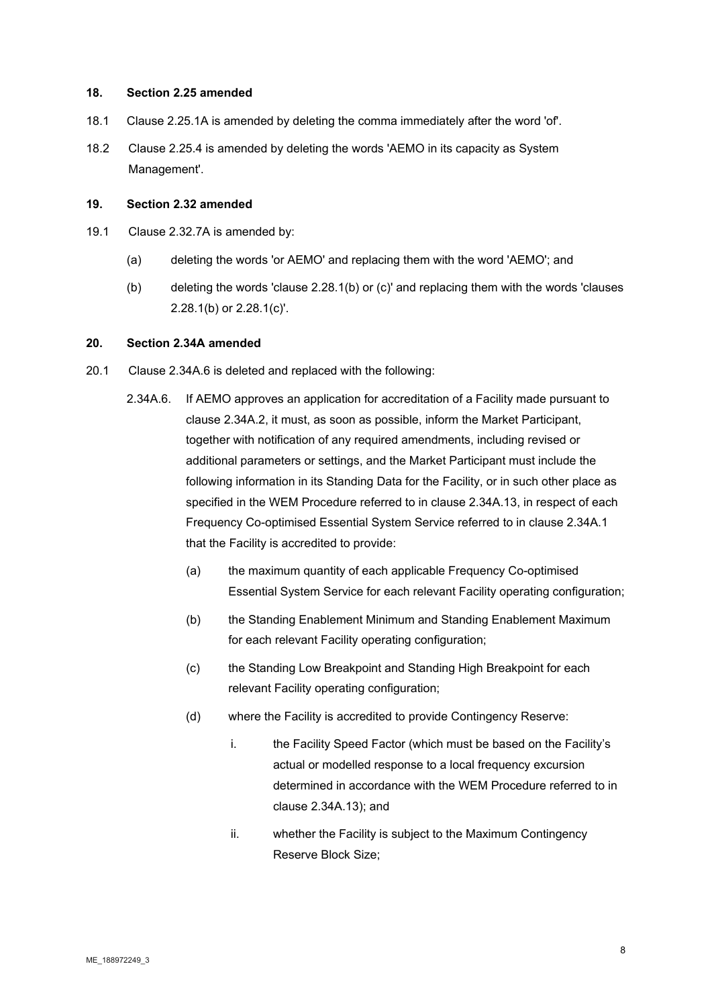#### **18. Section 2.25 amended**

- 18.1 Clause 2.25.1A is amended by deleting the comma immediately after the word 'of'.
- 18.2 Clause 2.25.4 is amended by deleting the words 'AEMO in its capacity as System Management'.

#### **19. Section 2.32 amended**

- 19.1 Clause 2.32.7A is amended by:
	- (a) deleting the words 'or AEMO' and replacing them with the word 'AEMO'; and
	- (b) deleting the words 'clause 2.28.1(b) or (c)' and replacing them with the words 'clauses 2.28.1(b) or 2.28.1(c)'.

#### **20. Section 2.34A amended**

- 20.1 Clause 2.34A.6 is deleted and replaced with the following:
	- 2.34A.6. If AEMO approves an application for accreditation of a Facility made pursuant to clause 2.34A.2, it must, as soon as possible, inform the Market Participant, together with notification of any required amendments, including revised or additional parameters or settings, and the Market Participant must include the following information in its Standing Data for the Facility, or in such other place as specified in the WEM Procedure referred to in clause 2.34A.13, in respect of each Frequency Co-optimised Essential System Service referred to in clause 2.34A.1 that the Facility is accredited to provide:
		- (a) the maximum quantity of each applicable Frequency Co-optimised Essential System Service for each relevant Facility operating configuration;
		- (b) the Standing Enablement Minimum and Standing Enablement Maximum for each relevant Facility operating configuration;
		- (c) the Standing Low Breakpoint and Standing High Breakpoint for each relevant Facility operating configuration;
		- (d) where the Facility is accredited to provide Contingency Reserve:
			- i. the Facility Speed Factor (which must be based on the Facility's actual or modelled response to a local frequency excursion determined in accordance with the WEM Procedure referred to in clause 2.34A.13); and
			- ii. whether the Facility is subject to the Maximum Contingency Reserve Block Size;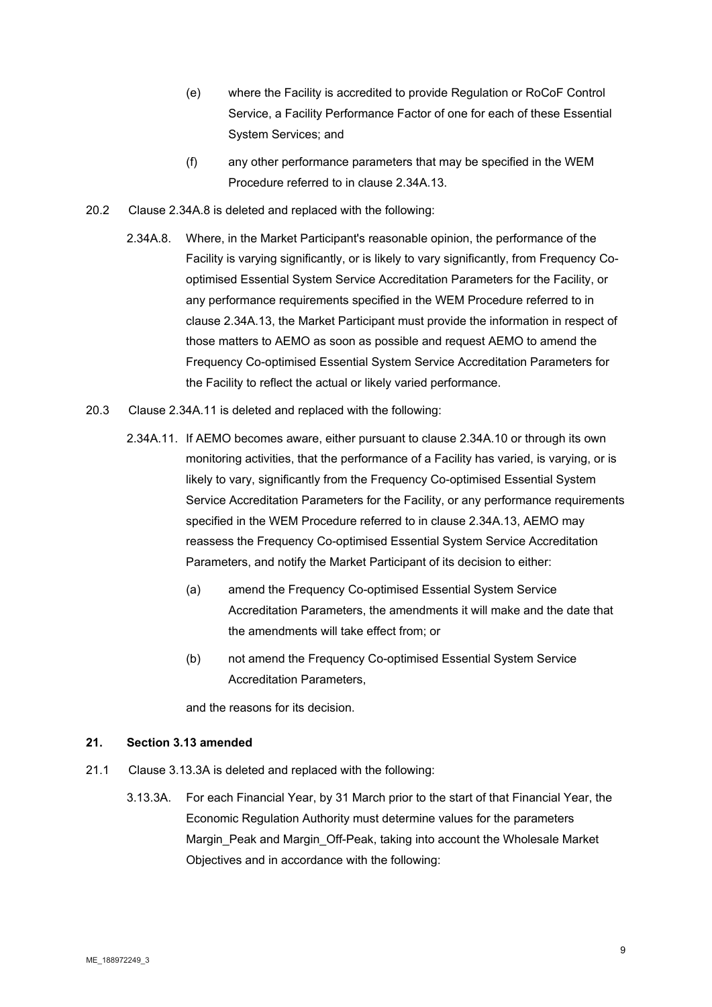- (e) where the Facility is accredited to provide Regulation or RoCoF Control Service, a Facility Performance Factor of one for each of these Essential System Services; and
- (f) any other performance parameters that may be specified in the WEM Procedure referred to in clause 2.34A.13.
- 20.2 Clause 2.34A.8 is deleted and replaced with the following:
	- 2.34A.8. Where, in the Market Participant's reasonable opinion, the performance of the Facility is varying significantly, or is likely to vary significantly, from Frequency Cooptimised Essential System Service Accreditation Parameters for the Facility, or any performance requirements specified in the WEM Procedure referred to in clause 2.34A.13, the Market Participant must provide the information in respect of those matters to AEMO as soon as possible and request AEMO to amend the Frequency Co-optimised Essential System Service Accreditation Parameters for the Facility to reflect the actual or likely varied performance.
- 20.3 Clause 2.34A.11 is deleted and replaced with the following:
	- 2.34A.11. If AEMO becomes aware, either pursuant to clause 2.34A.10 or through its own monitoring activities, that the performance of a Facility has varied, is varying, or is likely to vary, significantly from the Frequency Co-optimised Essential System Service Accreditation Parameters for the Facility, or any performance requirements specified in the WEM Procedure referred to in clause 2.34A.13, AEMO may reassess the Frequency Co-optimised Essential System Service Accreditation Parameters, and notify the Market Participant of its decision to either:
		- (a) amend the Frequency Co-optimised Essential System Service Accreditation Parameters, the amendments it will make and the date that the amendments will take effect from; or
		- (b) not amend the Frequency Co-optimised Essential System Service Accreditation Parameters,

and the reasons for its decision.

#### **21. Section 3.13 amended**

- 21.1 Clause 3.13.3A is deleted and replaced with the following:
	- 3.13.3A. For each Financial Year, by 31 March prior to the start of that Financial Year, the Economic Regulation Authority must determine values for the parameters Margin\_Peak and Margin\_Off-Peak, taking into account the Wholesale Market Objectives and in accordance with the following: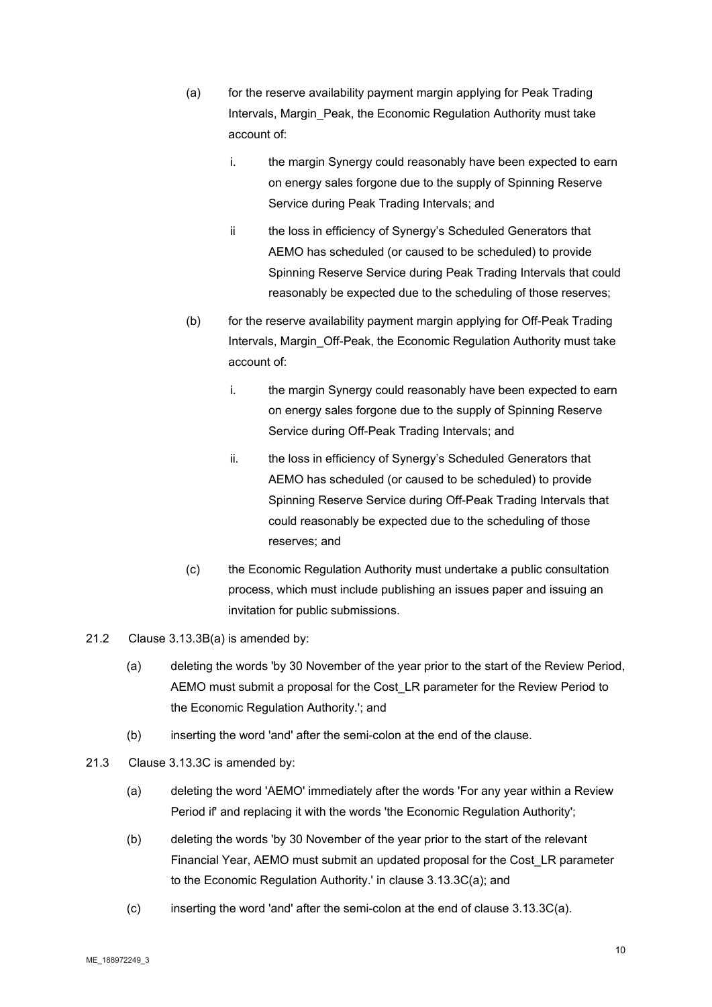- (a) for the reserve availability payment margin applying for Peak Trading Intervals, Margin Peak, the Economic Regulation Authority must take account of:
	- i. the margin Synergy could reasonably have been expected to earn on energy sales forgone due to the supply of Spinning Reserve Service during Peak Trading Intervals; and
	- ii the loss in efficiency of Synergy's Scheduled Generators that AEMO has scheduled (or caused to be scheduled) to provide Spinning Reserve Service during Peak Trading Intervals that could reasonably be expected due to the scheduling of those reserves;
- (b) for the reserve availability payment margin applying for Off-Peak Trading Intervals, Margin Off-Peak, the Economic Regulation Authority must take account of:
	- i. the margin Synergy could reasonably have been expected to earn on energy sales forgone due to the supply of Spinning Reserve Service during Off-Peak Trading Intervals; and
	- ii. the loss in efficiency of Synergy's Scheduled Generators that AEMO has scheduled (or caused to be scheduled) to provide Spinning Reserve Service during Off-Peak Trading Intervals that could reasonably be expected due to the scheduling of those reserves; and
- (c) the Economic Regulation Authority must undertake a public consultation process, which must include publishing an issues paper and issuing an invitation for public submissions.
- 21.2 Clause 3.13.3B(a) is amended by:
	- (a) deleting the words 'by 30 November of the year prior to the start of the Review Period, AEMO must submit a proposal for the Cost\_LR parameter for the Review Period to the Economic Regulation Authority.'; and
	- (b) inserting the word 'and' after the semi-colon at the end of the clause.
- 21.3 Clause 3.13.3C is amended by:
	- (a) deleting the word 'AEMO' immediately after the words 'For any year within a Review Period if' and replacing it with the words 'the Economic Regulation Authority';
	- (b) deleting the words 'by 30 November of the year prior to the start of the relevant Financial Year, AEMO must submit an updated proposal for the Cost\_LR parameter to the Economic Regulation Authority.' in clause 3.13.3C(a); and
	- (c) inserting the word 'and' after the semi-colon at the end of clause 3.13.3C(a).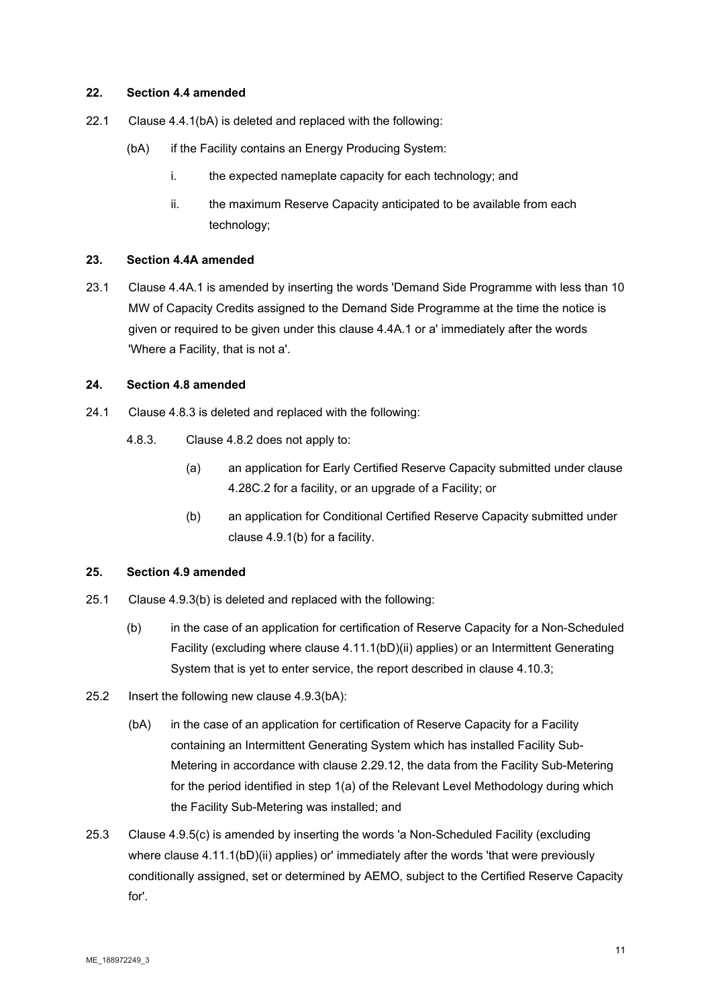#### **22. Section 4.4 amended**

- 22.1 Clause 4.4.1(bA) is deleted and replaced with the following:
	- (bA) if the Facility contains an Energy Producing System:
		- i. the expected nameplate capacity for each technology; and
		- ii. the maximum Reserve Capacity anticipated to be available from each technology;

#### **23. Section 4.4A amended**

23.1 Clause 4.4A.1 is amended by inserting the words 'Demand Side Programme with less than 10 MW of Capacity Credits assigned to the Demand Side Programme at the time the notice is given or required to be given under this clause 4.4A.1 or a' immediately after the words 'Where a Facility, that is not a'.

#### **24. Section 4.8 amended**

- 24.1 Clause 4.8.3 is deleted and replaced with the following:
	- 4.8.3. Clause 4.8.2 does not apply to:
		- (a) an application for Early Certified Reserve Capacity submitted under clause 4.28C.2 for a facility, or an upgrade of a Facility; or
		- (b) an application for Conditional Certified Reserve Capacity submitted under clause 4.9.1(b) for a facility.

#### **25. Section 4.9 amended**

- 25.1 Clause 4.9.3(b) is deleted and replaced with the following:
	- (b) in the case of an application for certification of Reserve Capacity for a Non-Scheduled Facility (excluding where clause 4.11.1(bD)(ii) applies) or an Intermittent Generating System that is yet to enter service, the report described in clause 4.10.3;
- 25.2 Insert the following new clause 4.9.3(bA):
	- (bA) in the case of an application for certification of Reserve Capacity for a Facility containing an Intermittent Generating System which has installed Facility Sub-Metering in accordance with clause 2.29.12, the data from the Facility Sub-Metering for the period identified in step 1(a) of the Relevant Level Methodology during which the Facility Sub-Metering was installed; and
- 25.3 Clause 4.9.5(c) is amended by inserting the words 'a Non-Scheduled Facility (excluding where clause 4.11.1(bD)(ii) applies) or' immediately after the words 'that were previously conditionally assigned, set or determined by AEMO, subject to the Certified Reserve Capacity for'.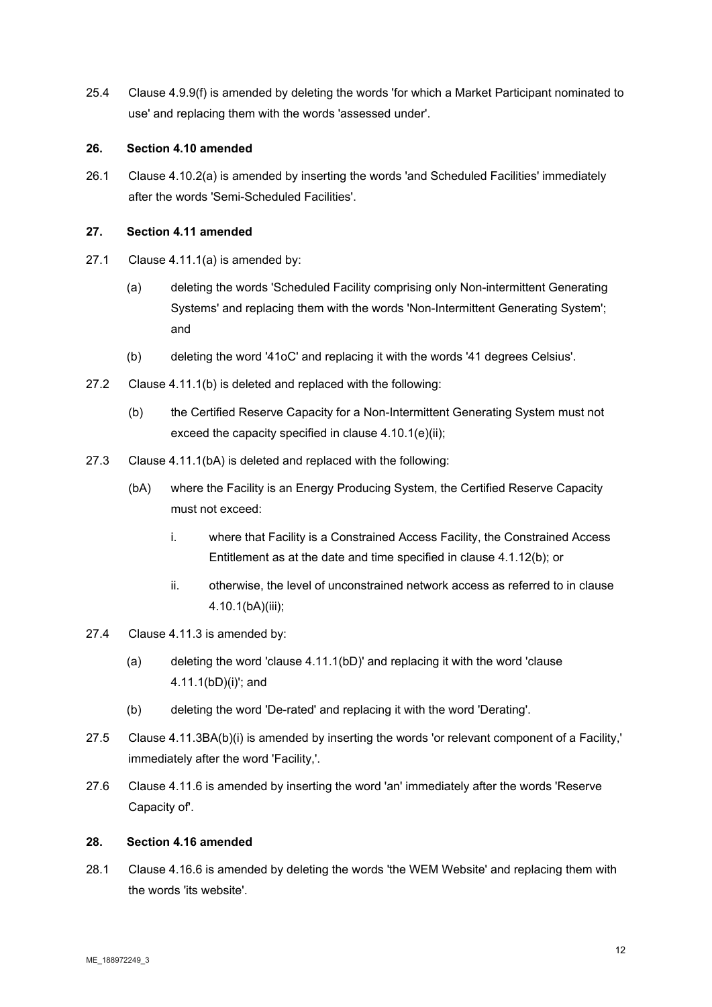25.4 Clause 4.9.9(f) is amended by deleting the words 'for which a Market Participant nominated to use' and replacing them with the words 'assessed under'.

#### **26. Section 4.10 amended**

26.1 Clause 4.10.2(a) is amended by inserting the words 'and Scheduled Facilities' immediately after the words 'Semi-Scheduled Facilities'.

#### **27. Section 4.11 amended**

- 27.1 Clause 4.11.1(a) is amended by:
	- (a) deleting the words 'Scheduled Facility comprising only Non-intermittent Generating Systems' and replacing them with the words 'Non-Intermittent Generating System'; and
	- (b) deleting the word '41oC' and replacing it with the words '41 degrees Celsius'.
- 27.2 Clause 4.11.1(b) is deleted and replaced with the following:
	- (b) the Certified Reserve Capacity for a Non-Intermittent Generating System must not exceed the capacity specified in clause 4.10.1(e)(ii);
- 27.3 Clause 4.11.1(bA) is deleted and replaced with the following:
	- (bA) where the Facility is an Energy Producing System, the Certified Reserve Capacity must not exceed:
		- i. where that Facility is a Constrained Access Facility, the Constrained Access Entitlement as at the date and time specified in clause 4.1.12(b); or
		- ii. otherwise, the level of unconstrained network access as referred to in clause 4.10.1(bA)(iii);
- 27.4 Clause 4.11.3 is amended by:
	- (a) deleting the word 'clause 4.11.1(bD)' and replacing it with the word 'clause 4.11.1(bD)(i)'; and
	- (b) deleting the word 'De-rated' and replacing it with the word 'Derating'.
- 27.5 Clause 4.11.3BA(b)(i) is amended by inserting the words 'or relevant component of a Facility,' immediately after the word 'Facility,'.
- 27.6 Clause 4.11.6 is amended by inserting the word 'an' immediately after the words 'Reserve Capacity of'.

# **28. Section 4.16 amended**

28.1 Clause 4.16.6 is amended by deleting the words 'the WEM Website' and replacing them with the words 'its website'.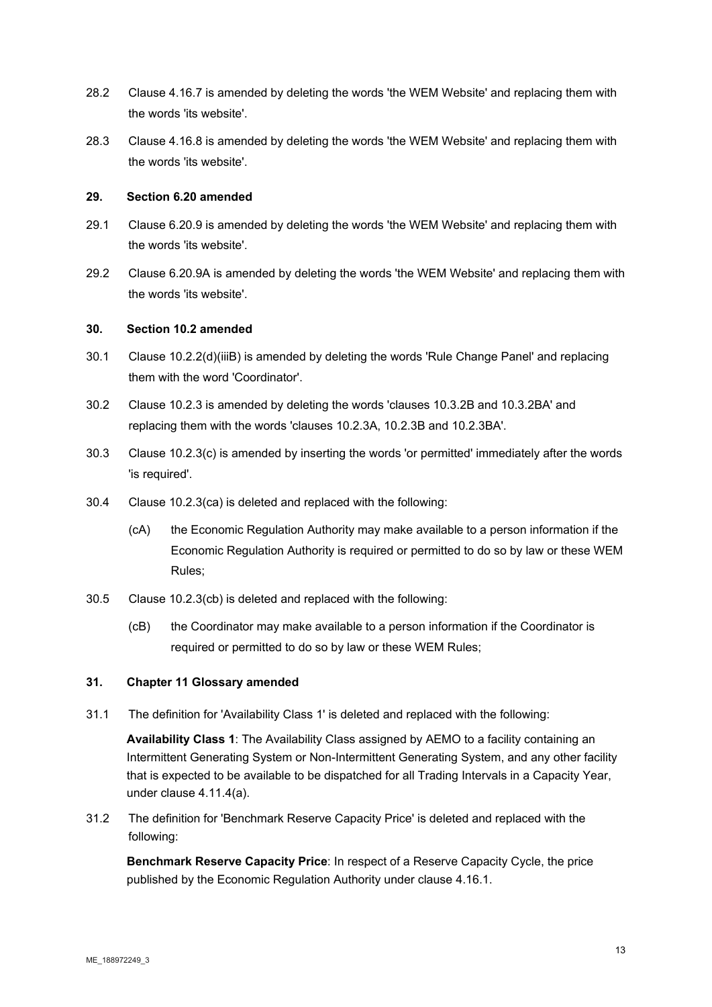- 28.2 Clause 4.16.7 is amended by deleting the words 'the WEM Website' and replacing them with the words 'its website'.
- 28.3 Clause 4.16.8 is amended by deleting the words 'the WEM Website' and replacing them with the words 'its website'.

#### **29. Section 6.20 amended**

- 29.1 Clause 6.20.9 is amended by deleting the words 'the WEM Website' and replacing them with the words 'its website'.
- 29.2 Clause 6.20.9A is amended by deleting the words 'the WEM Website' and replacing them with the words 'its website'.

#### **30. Section 10.2 amended**

- 30.1 Clause 10.2.2(d)(iiiB) is amended by deleting the words 'Rule Change Panel' and replacing them with the word 'Coordinator'.
- 30.2 Clause 10.2.3 is amended by deleting the words 'clauses 10.3.2B and 10.3.2BA' and replacing them with the words 'clauses 10.2.3A, 10.2.3B and 10.2.3BA'.
- 30.3 Clause 10.2.3(c) is amended by inserting the words 'or permitted' immediately after the words 'is required'.
- 30.4 Clause 10.2.3(ca) is deleted and replaced with the following:
	- (cA) the Economic Regulation Authority may make available to a person information if the Economic Regulation Authority is required or permitted to do so by law or these WEM Rules;
- 30.5 Clause 10.2.3(cb) is deleted and replaced with the following:
	- (cB) the Coordinator may make available to a person information if the Coordinator is required or permitted to do so by law or these WEM Rules;

# **31. Chapter 11 Glossary amended**

31.1 The definition for 'Availability Class 1' is deleted and replaced with the following:

**Availability Class 1**: The Availability Class assigned by AEMO to a facility containing an Intermittent Generating System or Non-Intermittent Generating System, and any other facility that is expected to be available to be dispatched for all Trading Intervals in a Capacity Year, under clause 4.11.4(a).

31.2 The definition for 'Benchmark Reserve Capacity Price' is deleted and replaced with the following:

**Benchmark Reserve Capacity Price**: In respect of a Reserve Capacity Cycle, the price published by the Economic Regulation Authority under clause 4.16.1.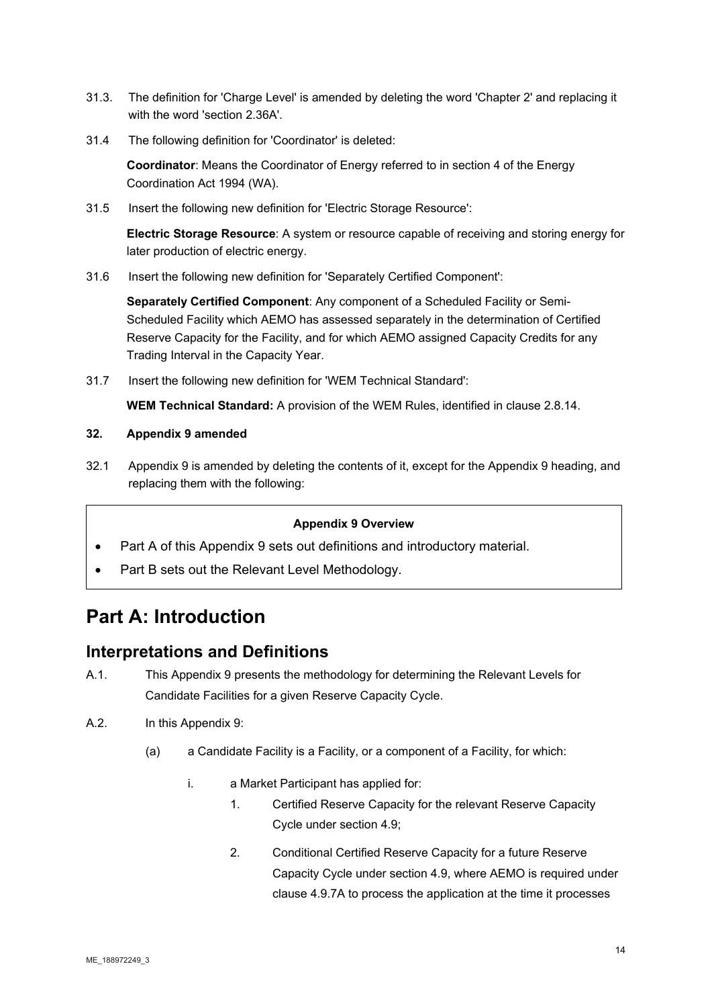- 31.3. The definition for 'Charge Level' is amended by deleting the word 'Chapter 2' and replacing it with the word 'section 2.36A'.
- 31.4 The following definition for 'Coordinator' is deleted:

**Coordinator**: Means the Coordinator of Energy referred to in section 4 of the Energy Coordination Act 1994 (WA).

31.5 Insert the following new definition for 'Electric Storage Resource':

**Electric Storage Resource**: A system or resource capable of receiving and storing energy for later production of electric energy.

31.6 Insert the following new definition for 'Separately Certified Component':

**Separately Certified Component**: Any component of a Scheduled Facility or Semi-Scheduled Facility which AEMO has assessed separately in the determination of Certified Reserve Capacity for the Facility, and for which AEMO assigned Capacity Credits for any Trading Interval in the Capacity Year.

31.7 Insert the following new definition for 'WEM Technical Standard':

**WEM Technical Standard:** A provision of the WEM Rules, identified in clause 2.8.14.

# **32. Appendix 9 amended**

32.1 Appendix 9 is amended by deleting the contents of it, except for the Appendix 9 heading, and replacing them with the following:

# **Appendix 9 Overview**

- Part A of this Appendix 9 sets out definitions and introductory material.
- Part B sets out the Relevant Level Methodology.

# **Part A: Introduction**

# **Interpretations and Definitions**

- A.1. This Appendix 9 presents the methodology for determining the Relevant Levels for Candidate Facilities for a given Reserve Capacity Cycle.
- A.2. In this Appendix 9:
	- (a) a Candidate Facility is a Facility, or a component of a Facility, for which:
		- i. a Market Participant has applied for:
			- 1. Certified Reserve Capacity for the relevant Reserve Capacity Cycle under section 4.9;
			- 2. Conditional Certified Reserve Capacity for a future Reserve Capacity Cycle under section 4.9, where AEMO is required under clause 4.9.7A to process the application at the time it processes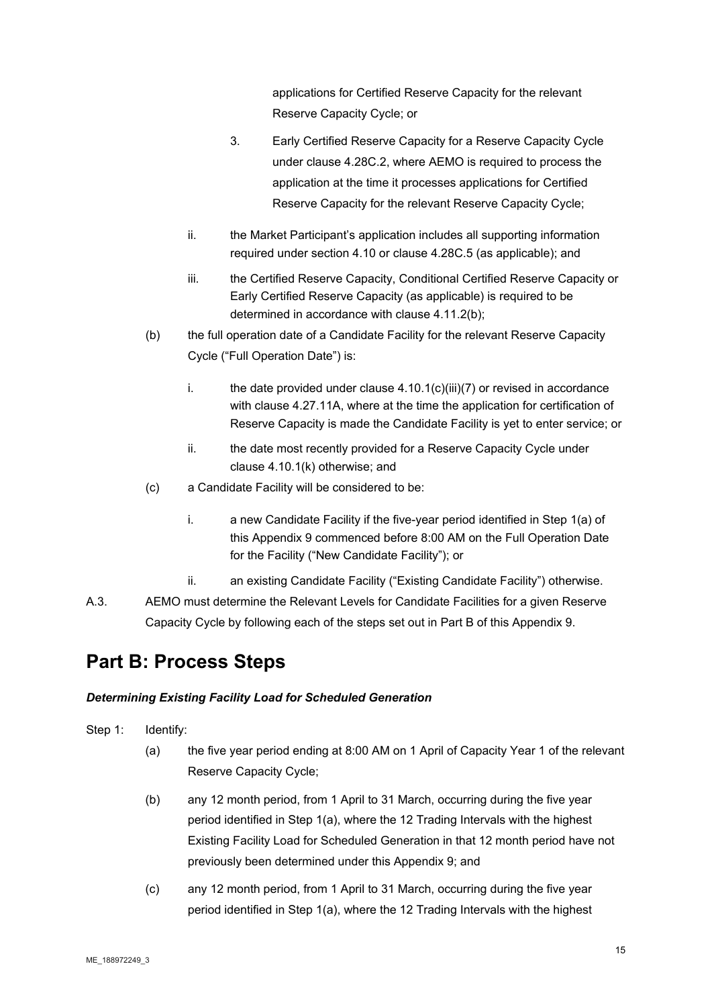applications for Certified Reserve Capacity for the relevant Reserve Capacity Cycle; or

- 3. Early Certified Reserve Capacity for a Reserve Capacity Cycle under clause 4.28C.2, where AEMO is required to process the application at the time it processes applications for Certified Reserve Capacity for the relevant Reserve Capacity Cycle;
- ii. the Market Participant's application includes all supporting information required under section 4.10 or clause 4.28C.5 (as applicable); and
- iii. the Certified Reserve Capacity, Conditional Certified Reserve Capacity or Early Certified Reserve Capacity (as applicable) is required to be determined in accordance with clause 4.11.2(b);
- (b) the full operation date of a Candidate Facility for the relevant Reserve Capacity Cycle ("Full Operation Date") is:
	- i. the date provided under clause  $4.10.1(c)$ (iii)(7) or revised in accordance with clause 4.27.11A, where at the time the application for certification of Reserve Capacity is made the Candidate Facility is yet to enter service; or
	- ii. the date most recently provided for a Reserve Capacity Cycle under clause 4.10.1(k) otherwise; and
- (c) a Candidate Facility will be considered to be:
	- i. a new Candidate Facility if the five-year period identified in Step 1(a) of this Appendix 9 commenced before 8:00 AM on the Full Operation Date for the Facility ("New Candidate Facility"); or
	- ii. an existing Candidate Facility ("Existing Candidate Facility") otherwise.
- A.3. AEMO must determine the Relevant Levels for Candidate Facilities for a given Reserve Capacity Cycle by following each of the steps set out in Part B of this Appendix 9.

# **Part B: Process Steps**

# *Determining Existing Facility Load for Scheduled Generation*

- Step 1: Identify:
	- (a) the five year period ending at 8:00 AM on 1 April of Capacity Year 1 of the relevant Reserve Capacity Cycle;
	- (b) any 12 month period, from 1 April to 31 March, occurring during the five year period identified in Step 1(a), where the 12 Trading Intervals with the highest Existing Facility Load for Scheduled Generation in that 12 month period have not previously been determined under this Appendix 9; and
	- (c) any 12 month period, from 1 April to 31 March, occurring during the five year period identified in Step 1(a), where the 12 Trading Intervals with the highest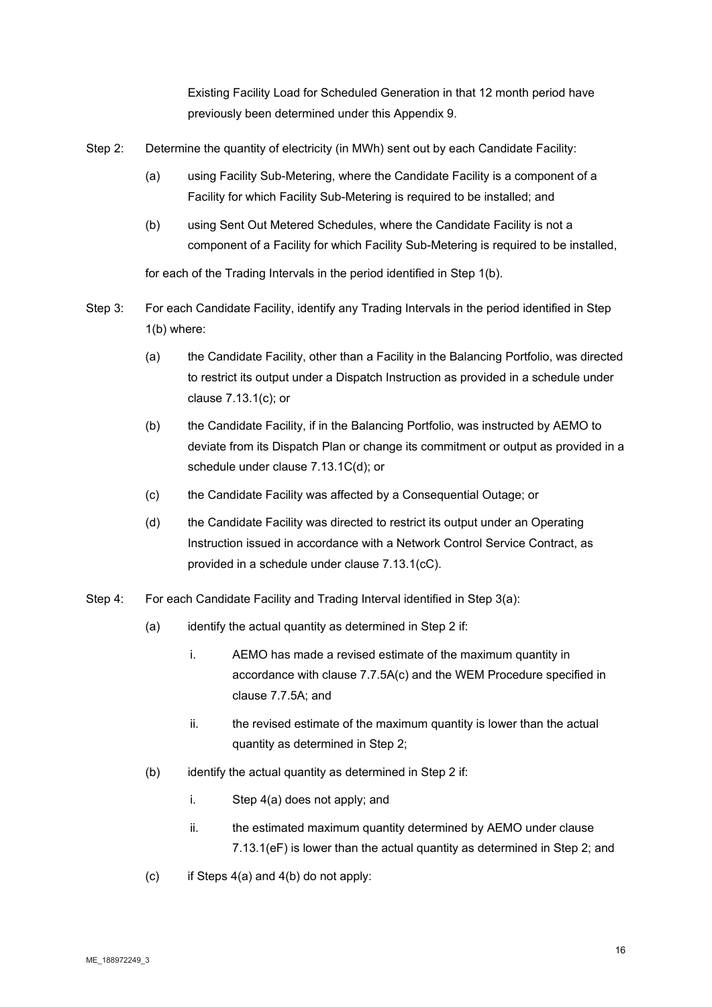Existing Facility Load for Scheduled Generation in that 12 month period have previously been determined under this Appendix 9.

- Step 2: Determine the quantity of electricity (in MWh) sent out by each Candidate Facility:
	- (a) using Facility Sub-Metering, where the Candidate Facility is a component of a Facility for which Facility Sub-Metering is required to be installed; and
	- (b) using Sent Out Metered Schedules, where the Candidate Facility is not a component of a Facility for which Facility Sub-Metering is required to be installed,

for each of the Trading Intervals in the period identified in Step 1(b).

- Step 3: For each Candidate Facility, identify any Trading Intervals in the period identified in Step 1(b) where:
	- (a) the Candidate Facility, other than a Facility in the Balancing Portfolio, was directed to restrict its output under a Dispatch Instruction as provided in a schedule under clause 7.13.1(c); or
	- (b) the Candidate Facility, if in the Balancing Portfolio, was instructed by AEMO to deviate from its Dispatch Plan or change its commitment or output as provided in a schedule under clause 7.13.1C(d); or
	- (c) the Candidate Facility was affected by a Consequential Outage; or
	- (d) the Candidate Facility was directed to restrict its output under an Operating Instruction issued in accordance with a Network Control Service Contract, as provided in a schedule under clause 7.13.1(cC).
- Step 4: For each Candidate Facility and Trading Interval identified in Step 3(a):
	- (a) identify the actual quantity as determined in Step 2 if:
		- i. AEMO has made a revised estimate of the maximum quantity in accordance with clause 7.7.5A(c) and the WEM Procedure specified in clause 7.7.5A; and
		- ii. the revised estimate of the maximum quantity is lower than the actual quantity as determined in Step 2;
	- (b) identify the actual quantity as determined in Step 2 if:
		- i. Step 4(a) does not apply; and
		- ii. the estimated maximum quantity determined by AEMO under clause 7.13.1(eF) is lower than the actual quantity as determined in Step 2; and
	- (c) if Steps  $4(a)$  and  $4(b)$  do not apply: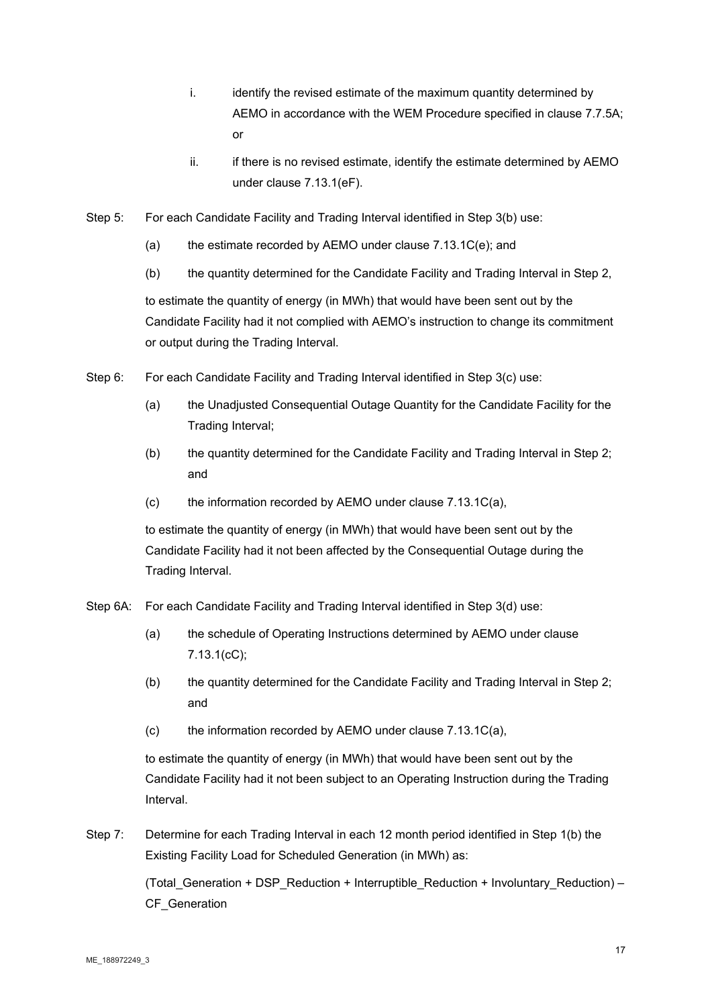- i. identify the revised estimate of the maximum quantity determined by AEMO in accordance with the WEM Procedure specified in clause 7.7.5A; or
- ii. if there is no revised estimate, identify the estimate determined by AEMO under clause 7.13.1(eF).
- Step 5: For each Candidate Facility and Trading Interval identified in Step 3(b) use:
	- (a) the estimate recorded by AEMO under clause 7.13.1C(e); and
	- (b) the quantity determined for the Candidate Facility and Trading Interval in Step 2,

to estimate the quantity of energy (in MWh) that would have been sent out by the Candidate Facility had it not complied with AEMO's instruction to change its commitment or output during the Trading Interval.

- Step 6: For each Candidate Facility and Trading Interval identified in Step 3(c) use:
	- (a) the Unadjusted Consequential Outage Quantity for the Candidate Facility for the Trading Interval;
	- (b) the quantity determined for the Candidate Facility and Trading Interval in Step 2; and
	- (c) the information recorded by AEMO under clause 7.13.1C(a),

to estimate the quantity of energy (in MWh) that would have been sent out by the Candidate Facility had it not been affected by the Consequential Outage during the Trading Interval.

- Step 6A: For each Candidate Facility and Trading Interval identified in Step 3(d) use:
	- (a) the schedule of Operating Instructions determined by AEMO under clause 7.13.1(cC);
	- (b) the quantity determined for the Candidate Facility and Trading Interval in Step 2; and
	- (c) the information recorded by AEMO under clause 7.13.1C(a),

to estimate the quantity of energy (in MWh) that would have been sent out by the Candidate Facility had it not been subject to an Operating Instruction during the Trading Interval.

Step 7: Determine for each Trading Interval in each 12 month period identified in Step 1(b) the Existing Facility Load for Scheduled Generation (in MWh) as:

> (Total Generation + DSP\_Reduction + Interruptible\_Reduction + Involuntary\_Reduction) – CF\_Generation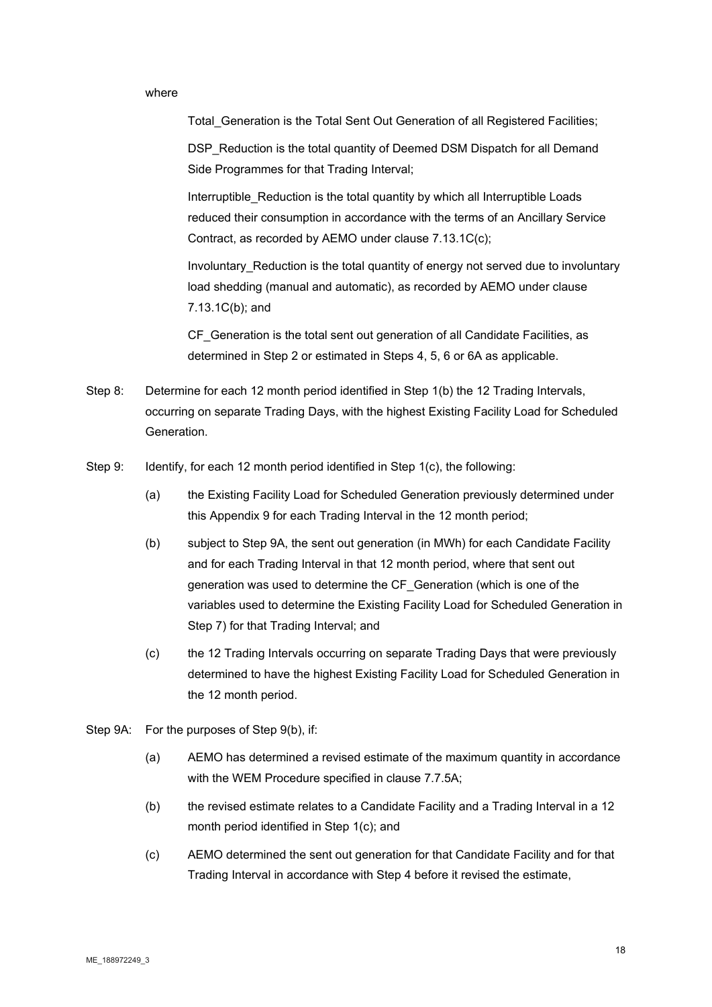#### where

Total Generation is the Total Sent Out Generation of all Registered Facilities;

DSP\_Reduction is the total quantity of Deemed DSM Dispatch for all Demand Side Programmes for that Trading Interval;

Interruptible Reduction is the total quantity by which all Interruptible Loads reduced their consumption in accordance with the terms of an Ancillary Service Contract, as recorded by AEMO under clause 7.13.1C(c);

Involuntary\_Reduction is the total quantity of energy not served due to involuntary load shedding (manual and automatic), as recorded by AEMO under clause 7.13.1C(b); and

CF\_Generation is the total sent out generation of all Candidate Facilities, as determined in Step 2 or estimated in Steps 4, 5, 6 or 6A as applicable.

- Step 8: Determine for each 12 month period identified in Step 1(b) the 12 Trading Intervals, occurring on separate Trading Days, with the highest Existing Facility Load for Scheduled Generation.
- Step 9: Identify, for each 12 month period identified in Step 1(c), the following:
	- (a) the Existing Facility Load for Scheduled Generation previously determined under this Appendix 9 for each Trading Interval in the 12 month period;
	- (b) subject to Step 9A, the sent out generation (in MWh) for each Candidate Facility and for each Trading Interval in that 12 month period, where that sent out generation was used to determine the CF\_Generation (which is one of the variables used to determine the Existing Facility Load for Scheduled Generation in Step 7) for that Trading Interval; and
	- (c) the 12 Trading Intervals occurring on separate Trading Days that were previously determined to have the highest Existing Facility Load for Scheduled Generation in the 12 month period.
- Step 9A: For the purposes of Step 9(b), if:
	- (a) AEMO has determined a revised estimate of the maximum quantity in accordance with the WEM Procedure specified in clause 7.7.5A;
	- (b) the revised estimate relates to a Candidate Facility and a Trading Interval in a 12 month period identified in Step 1(c); and
	- (c) AEMO determined the sent out generation for that Candidate Facility and for that Trading Interval in accordance with Step 4 before it revised the estimate,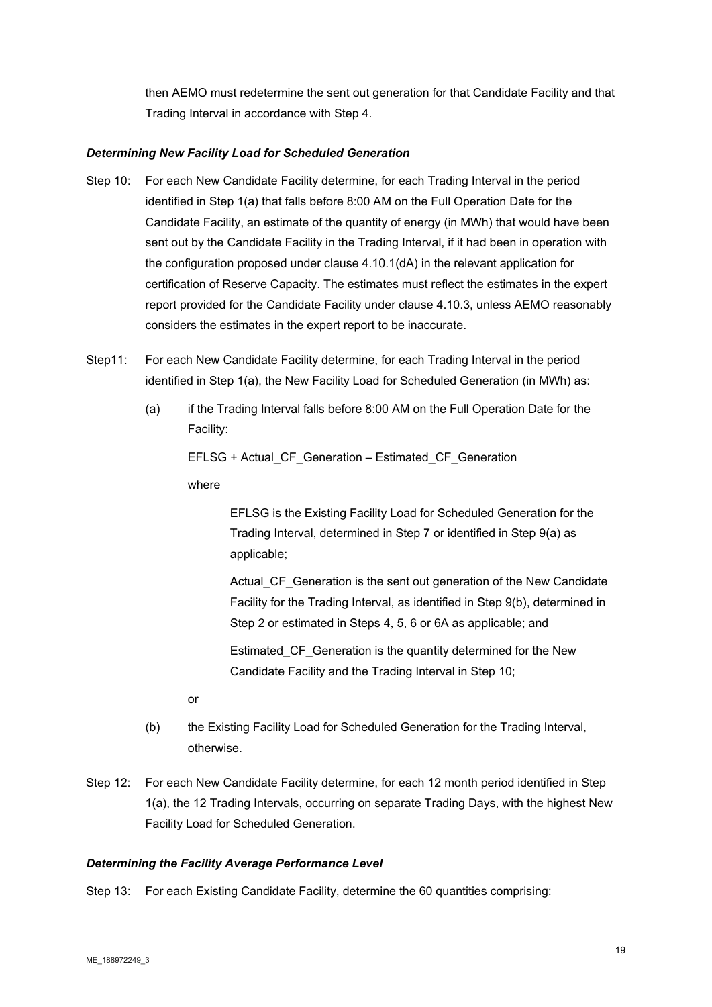then AEMO must redetermine the sent out generation for that Candidate Facility and that Trading Interval in accordance with Step 4.

# *Determining New Facility Load for Scheduled Generation*

- Step 10: For each New Candidate Facility determine, for each Trading Interval in the period identified in Step 1(a) that falls before 8:00 AM on the Full Operation Date for the Candidate Facility, an estimate of the quantity of energy (in MWh) that would have been sent out by the Candidate Facility in the Trading Interval, if it had been in operation with the configuration proposed under clause 4.10.1(dA) in the relevant application for certification of Reserve Capacity. The estimates must reflect the estimates in the expert report provided for the Candidate Facility under clause 4.10.3, unless AEMO reasonably considers the estimates in the expert report to be inaccurate.
- Step11: For each New Candidate Facility determine, for each Trading Interval in the period identified in Step 1(a), the New Facility Load for Scheduled Generation (in MWh) as:
	- (a) if the Trading Interval falls before 8:00 AM on the Full Operation Date for the Facility:

EFLSG + Actual\_CF\_Generation – Estimated\_CF\_Generation

where

EFLSG is the Existing Facility Load for Scheduled Generation for the Trading Interval, determined in Step 7 or identified in Step 9(a) as applicable;

Actual\_CF\_Generation is the sent out generation of the New Candidate Facility for the Trading Interval, as identified in Step 9(b), determined in Step 2 or estimated in Steps 4, 5, 6 or 6A as applicable; and

Estimated CF Generation is the quantity determined for the New Candidate Facility and the Trading Interval in Step 10;

or

- (b) the Existing Facility Load for Scheduled Generation for the Trading Interval, otherwise.
- Step 12: For each New Candidate Facility determine, for each 12 month period identified in Step 1(a), the 12 Trading Intervals, occurring on separate Trading Days, with the highest New Facility Load for Scheduled Generation.

# *Determining the Facility Average Performance Level*

Step 13: For each Existing Candidate Facility, determine the 60 quantities comprising: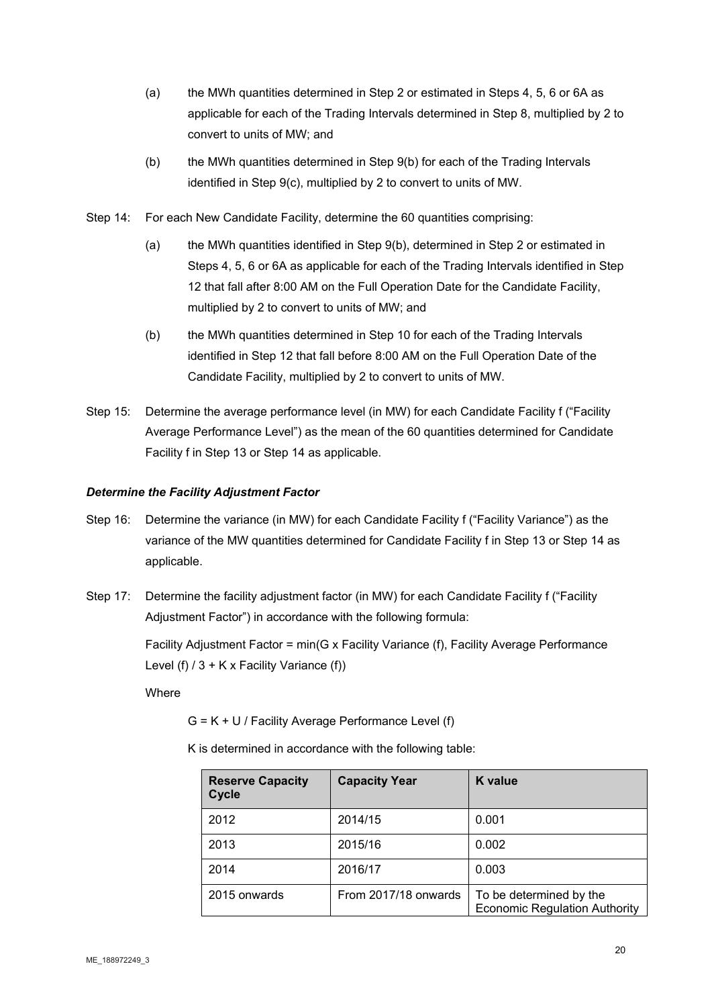- (a) the MWh quantities determined in Step 2 or estimated in Steps 4, 5, 6 or 6A as applicable for each of the Trading Intervals determined in Step 8, multiplied by 2 to convert to units of MW; and
- (b) the MWh quantities determined in Step 9(b) for each of the Trading Intervals identified in Step 9(c), multiplied by 2 to convert to units of MW.
- Step 14: For each New Candidate Facility, determine the 60 quantities comprising:
	- (a) the MWh quantities identified in Step 9(b), determined in Step 2 or estimated in Steps 4, 5, 6 or 6A as applicable for each of the Trading Intervals identified in Step 12 that fall after 8:00 AM on the Full Operation Date for the Candidate Facility, multiplied by 2 to convert to units of MW; and
	- (b) the MWh quantities determined in Step 10 for each of the Trading Intervals identified in Step 12 that fall before 8:00 AM on the Full Operation Date of the Candidate Facility, multiplied by 2 to convert to units of MW.
- Step 15: Determine the average performance level (in MW) for each Candidate Facility f ("Facility Average Performance Level") as the mean of the 60 quantities determined for Candidate Facility f in Step 13 or Step 14 as applicable.

# *Determine the Facility Adjustment Factor*

- Step 16: Determine the variance (in MW) for each Candidate Facility f ("Facility Variance") as the variance of the MW quantities determined for Candidate Facility f in Step 13 or Step 14 as applicable.
- Step 17: Determine the facility adjustment factor (in MW) for each Candidate Facility f ("Facility Adjustment Factor") in accordance with the following formula:

Facility Adjustment Factor = min(G x Facility Variance (f), Facility Average Performance Level (f)  $/ 3 + K x$  Facility Variance (f))

**Where** 

G = K + U / Facility Average Performance Level (f)

K is determined in accordance with the following table:

| <b>Reserve Capacity</b><br>Cycle | <b>Capacity Year</b> | <b>K</b> value                                                  |
|----------------------------------|----------------------|-----------------------------------------------------------------|
| 2012                             | 2014/15              | 0.001                                                           |
| 2013                             | 2015/16              | 0.002                                                           |
| 2014                             | 2016/17              | 0.003                                                           |
| 2015 onwards                     | From 2017/18 onwards | To be determined by the<br><b>Economic Regulation Authority</b> |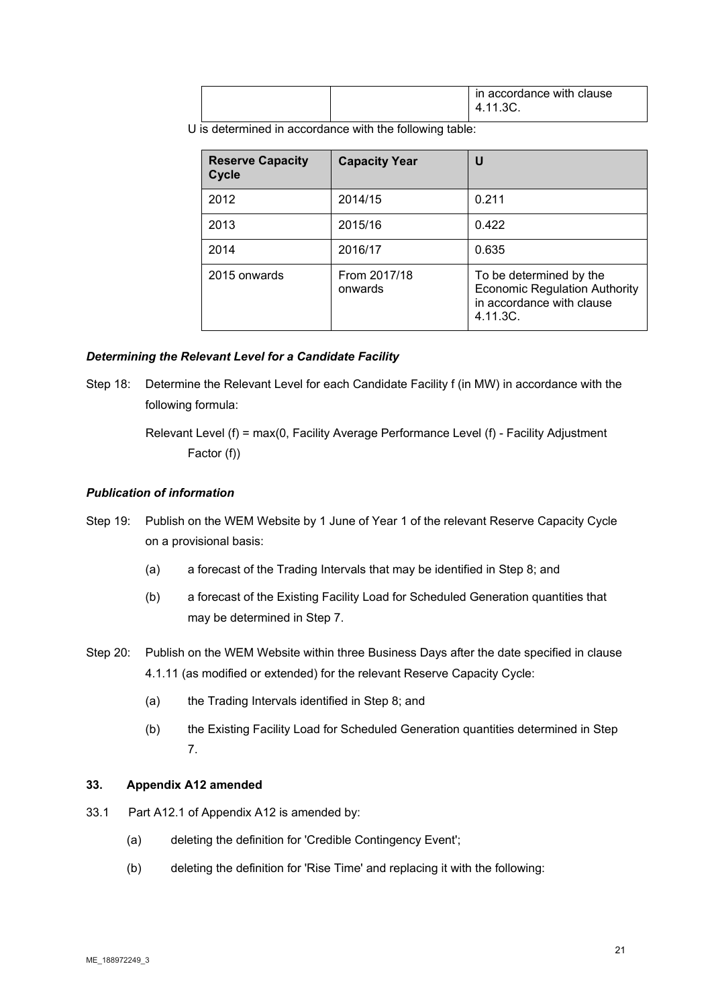|  | in accordance with clause |
|--|---------------------------|
|  | 3C.<br>4                  |

U is determined in accordance with the following table:

| <b>Reserve Capacity</b><br><b>Cycle</b> | <b>Capacity Year</b>    | U                                                                                                        |
|-----------------------------------------|-------------------------|----------------------------------------------------------------------------------------------------------|
| 2012                                    | 2014/15                 | 0.211                                                                                                    |
| 2013                                    | 2015/16                 | 0.422                                                                                                    |
| 2014                                    | 2016/17                 | 0.635                                                                                                    |
| 2015 onwards                            | From 2017/18<br>onwards | To be determined by the<br><b>Economic Regulation Authority</b><br>in accordance with clause<br>4.11.3C. |

#### *Determining the Relevant Level for a Candidate Facility*

Step 18: Determine the Relevant Level for each Candidate Facility f (in MW) in accordance with the following formula:

# *Publication of information*

- Step 19: Publish on the WEM Website by 1 June of Year 1 of the relevant Reserve Capacity Cycle on a provisional basis:
	- (a) a forecast of the Trading Intervals that may be identified in Step 8; and
	- (b) a forecast of the Existing Facility Load for Scheduled Generation quantities that may be determined in Step 7.
- Step 20: Publish on the WEM Website within three Business Days after the date specified in clause 4.1.11 (as modified or extended) for the relevant Reserve Capacity Cycle:
	- (a) the Trading Intervals identified in Step 8; and
	- (b) the Existing Facility Load for Scheduled Generation quantities determined in Step 7.

# **33. Appendix A12 amended**

- 33.1 Part A12.1 of Appendix A12 is amended by:
	- (a) deleting the definition for 'Credible Contingency Event';
	- (b) deleting the definition for 'Rise Time' and replacing it with the following:

Relevant Level (f) = max(0, Facility Average Performance Level (f) - Facility Adjustment Factor (f))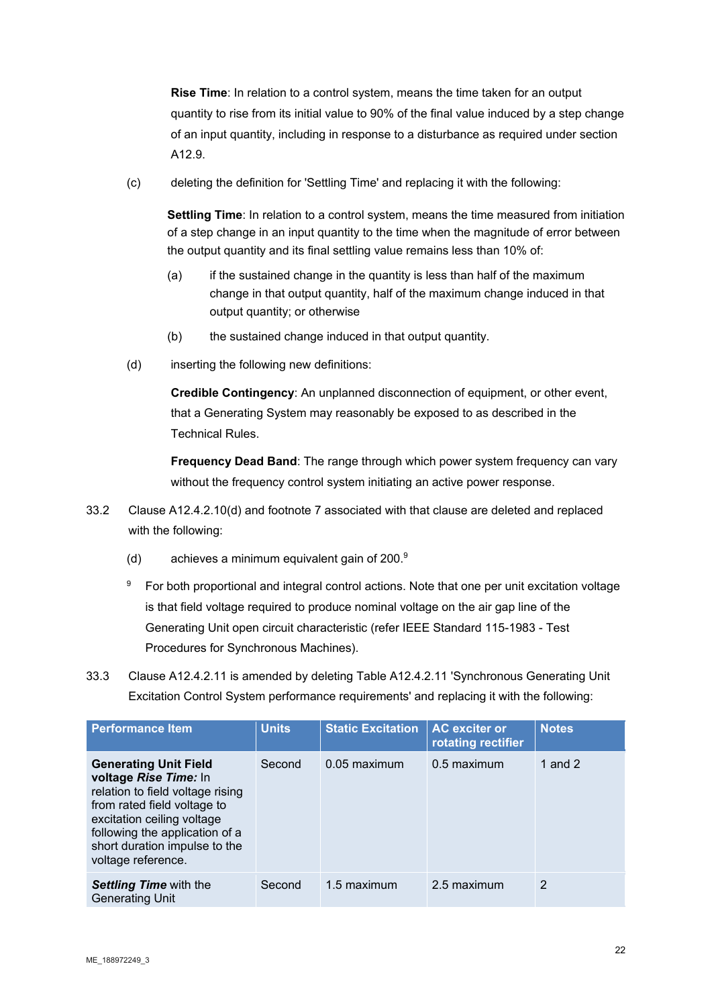**Rise Time**: In relation to a control system, means the time taken for an output quantity to rise from its initial value to 90% of the final value induced by a step change of an input quantity, including in response to a disturbance as required under section A12.9.

(c) deleting the definition for 'Settling Time' and replacing it with the following:

**Settling Time**: In relation to a control system, means the time measured from initiation of a step change in an input quantity to the time when the magnitude of error between the output quantity and its final settling value remains less than 10% of:

- (a) if the sustained change in the quantity is less than half of the maximum change in that output quantity, half of the maximum change induced in that output quantity; or otherwise
- (b) the sustained change induced in that output quantity.
- (d) inserting the following new definitions:

**Credible Contingency**: An unplanned disconnection of equipment, or other event, that a Generating System may reasonably be exposed to as described in the Technical Rules.

**Frequency Dead Band**: The range through which power system frequency can vary without the frequency control system initiating an active power response.

- 33.2 Clause A12.4.2.10(d) and footnote 7 associated with that clause are deleted and replaced with the following:
	- (d) achieves a minimum equivalent gain of 200.9
	- <sup>9</sup> For both proportional and integral control actions. Note that one per unit excitation voltage is that field voltage required to produce nominal voltage on the air gap line of the Generating Unit open circuit characteristic (refer IEEE Standard 115-1983 - Test Procedures for Synchronous Machines).
- 33.3 Clause A12.4.2.11 is amended by deleting Table A12.4.2.11 'Synchronous Generating Unit Excitation Control System performance requirements' and replacing it with the following:

| <b>Performance Item</b>                                                                                                                                                                                                                         | <b>Units</b> | <b>Static Excitation</b> | <b>AC</b> exciter or<br>rotating rectifier | <b>Notes</b> |
|-------------------------------------------------------------------------------------------------------------------------------------------------------------------------------------------------------------------------------------------------|--------------|--------------------------|--------------------------------------------|--------------|
| <b>Generating Unit Field</b><br>voltage Rise Time: In<br>relation to field voltage rising<br>from rated field voltage to<br>excitation ceiling voltage<br>following the application of a<br>short duration impulse to the<br>voltage reference. | Second       | 0.05 maximum             | 0.5 maximum                                | 1 and $2$    |
| <b>Settling Time with the</b><br><b>Generating Unit</b>                                                                                                                                                                                         | Second       | 1.5 maximum              | 2.5 maximum                                | 2            |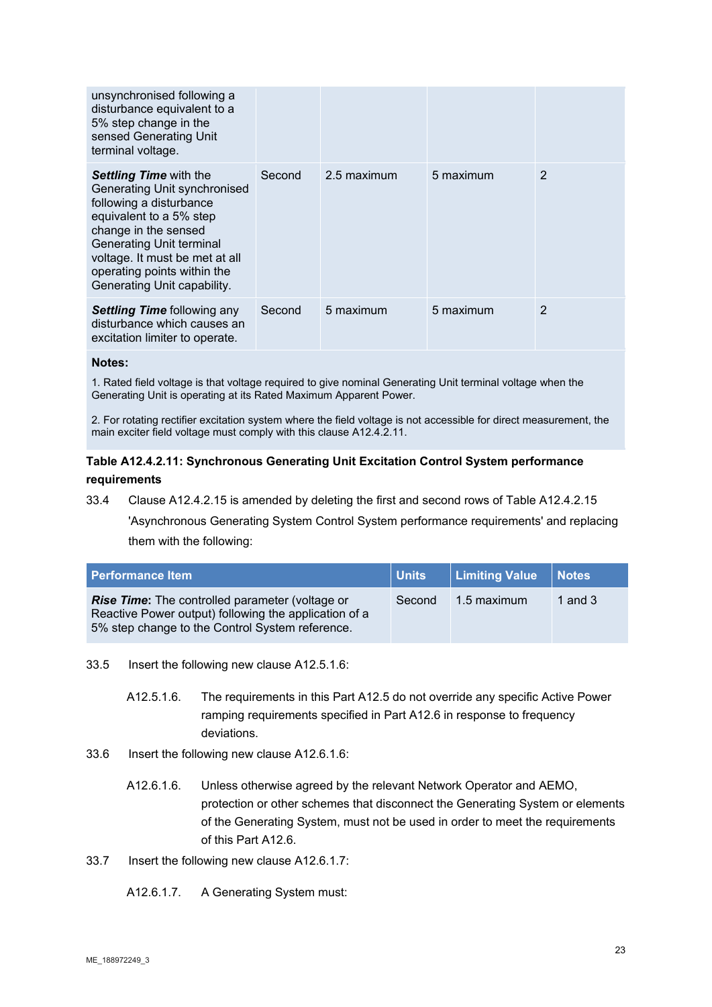| unsynchronised following a<br>disturbance equivalent to a<br>5% step change in the<br>sensed Generating Unit<br>terminal voltage.                                                                                                                                              |        |             |           |   |
|--------------------------------------------------------------------------------------------------------------------------------------------------------------------------------------------------------------------------------------------------------------------------------|--------|-------------|-----------|---|
| <b>Settling Time with the</b><br>Generating Unit synchronised<br>following a disturbance<br>equivalent to a 5% step<br>change in the sensed<br><b>Generating Unit terminal</b><br>voltage. It must be met at all<br>operating points within the<br>Generating Unit capability. | Second | 2.5 maximum | 5 maximum | 2 |
| <b>Settling Time following any</b><br>disturbance which causes an<br>excitation limiter to operate.                                                                                                                                                                            | Second | 5 maximum   | 5 maximum | 2 |

#### **Notes:**

1. Rated field voltage is that voltage required to give nominal Generating Unit terminal voltage when the Generating Unit is operating at its Rated Maximum Apparent Power.

2. For rotating rectifier excitation system where the field voltage is not accessible for direct measurement, the main exciter field voltage must comply with this clause A12.4.2.11.

# **Table A12.4.2.11: Synchronous Generating Unit Excitation Control System performance requirements**

33.4 Clause A12.4.2.15 is amended by deleting the first and second rows of Table A12.4.2.15

'Asynchronous Generating System Control System performance requirements' and replacing them with the following:

| <b>Performance Item</b>                                                                                                                                            | <b>Units</b> | Limiting Value   Notes |           |
|--------------------------------------------------------------------------------------------------------------------------------------------------------------------|--------------|------------------------|-----------|
| <b>Rise Time:</b> The controlled parameter (voltage or<br>Reactive Power output) following the application of a<br>5% step change to the Control System reference. | Second       | 1.5 maximum            | 1 and $3$ |

33.5 Insert the following new clause A12.5.1.6:

- A12.5.1.6. The requirements in this Part A12.5 do not override any specific Active Power ramping requirements specified in Part A12.6 in response to frequency deviations.
- 33.6 Insert the following new clause A12.6.1.6:
	- A12.6.1.6. Unless otherwise agreed by the relevant Network Operator and AEMO, protection or other schemes that disconnect the Generating System or elements of the Generating System, must not be used in order to meet the requirements of this Part A12.6.
- 33.7 Insert the following new clause A12.6.1.7:

A12.6.1.7. A Generating System must: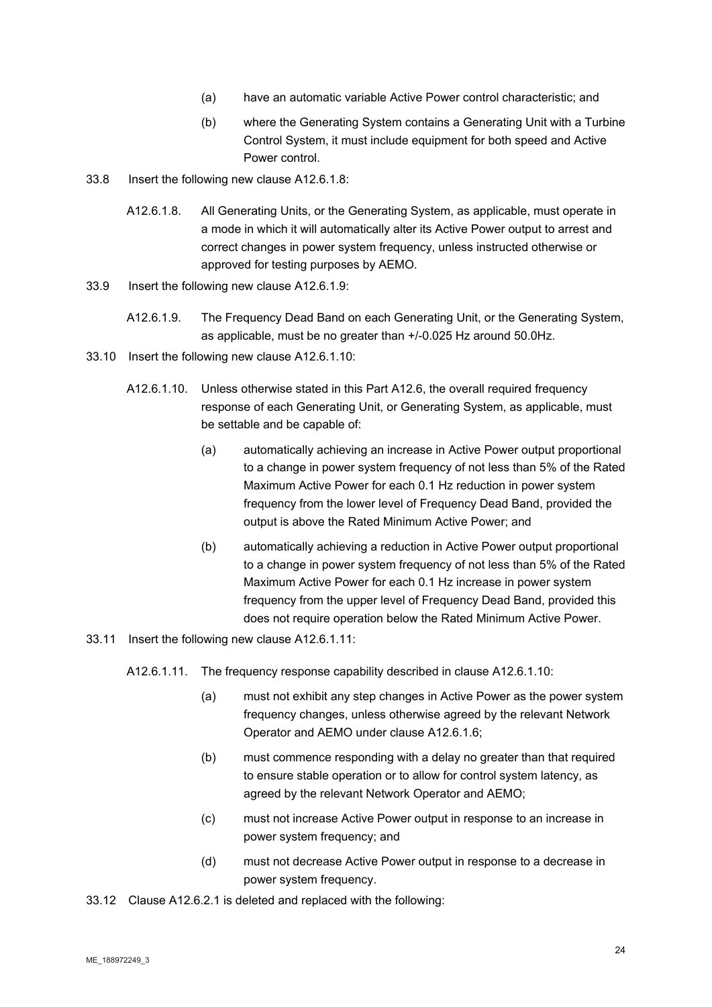- (a) have an automatic variable Active Power control characteristic; and
- (b) where the Generating System contains a Generating Unit with a Turbine Control System, it must include equipment for both speed and Active Power control.
- 33.8 Insert the following new clause A12.6.1.8:
	- A12.6.1.8. All Generating Units, or the Generating System, as applicable, must operate in a mode in which it will automatically alter its Active Power output to arrest and correct changes in power system frequency, unless instructed otherwise or approved for testing purposes by AEMO.
- 33.9 Insert the following new clause A12.6.1.9:
	- A12.6.1.9. The Frequency Dead Band on each Generating Unit, or the Generating System, as applicable, must be no greater than +/-0.025 Hz around 50.0Hz.
- 33.10 Insert the following new clause A12.6.1.10:
	- A12.6.1.10. Unless otherwise stated in this Part A12.6, the overall required frequency response of each Generating Unit, or Generating System, as applicable, must be settable and be capable of:
		- (a) automatically achieving an increase in Active Power output proportional to a change in power system frequency of not less than 5% of the Rated Maximum Active Power for each 0.1 Hz reduction in power system frequency from the lower level of Frequency Dead Band, provided the output is above the Rated Minimum Active Power; and
		- (b) automatically achieving a reduction in Active Power output proportional to a change in power system frequency of not less than 5% of the Rated Maximum Active Power for each 0.1 Hz increase in power system frequency from the upper level of Frequency Dead Band, provided this does not require operation below the Rated Minimum Active Power.
- 33.11 Insert the following new clause A12.6.1.11:
	- A12.6.1.11. The frequency response capability described in clause A12.6.1.10:
		- (a) must not exhibit any step changes in Active Power as the power system frequency changes, unless otherwise agreed by the relevant Network Operator and AEMO under clause A12.6.1.6;
		- (b) must commence responding with a delay no greater than that required to ensure stable operation or to allow for control system latency, as agreed by the relevant Network Operator and AEMO;
		- (c) must not increase Active Power output in response to an increase in power system frequency; and
		- (d) must not decrease Active Power output in response to a decrease in power system frequency.
- 33.12 Clause A12.6.2.1 is deleted and replaced with the following: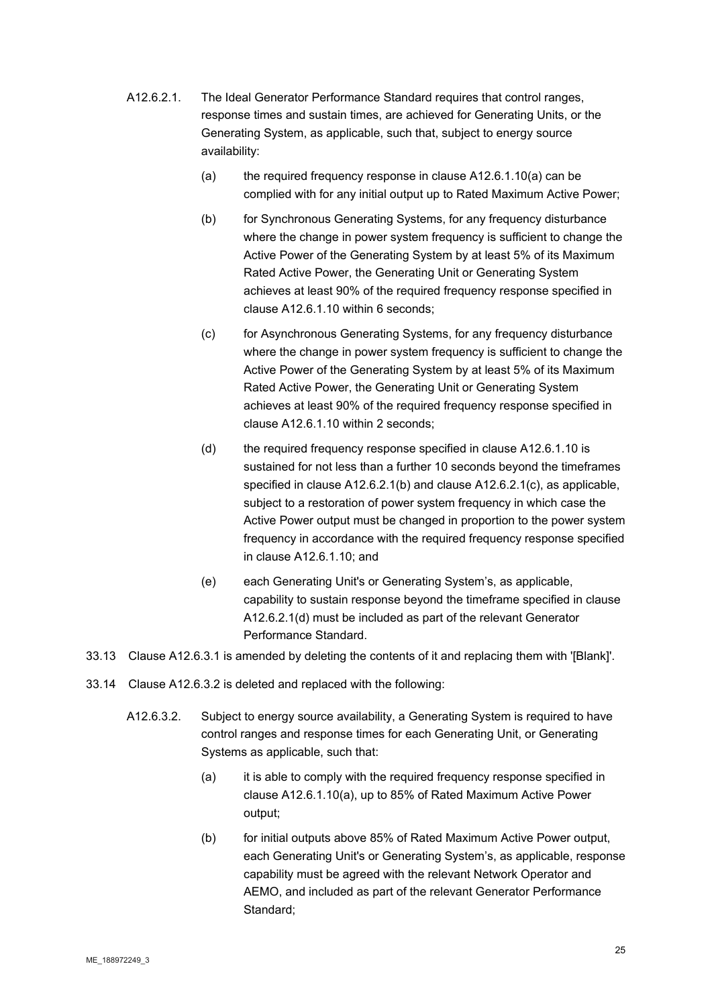- A12.6.2.1. The Ideal Generator Performance Standard requires that control ranges, response times and sustain times, are achieved for Generating Units, or the Generating System, as applicable, such that, subject to energy source availability:
	- (a) the required frequency response in clause A12.6.1.10(a) can be complied with for any initial output up to Rated Maximum Active Power;
	- (b) for Synchronous Generating Systems, for any frequency disturbance where the change in power system frequency is sufficient to change the Active Power of the Generating System by at least 5% of its Maximum Rated Active Power, the Generating Unit or Generating System achieves at least 90% of the required frequency response specified in clause A12.6.1.10 within 6 seconds;
	- (c) for Asynchronous Generating Systems, for any frequency disturbance where the change in power system frequency is sufficient to change the Active Power of the Generating System by at least 5% of its Maximum Rated Active Power, the Generating Unit or Generating System achieves at least 90% of the required frequency response specified in clause A12.6.1.10 within 2 seconds;
	- (d) the required frequency response specified in clause A12.6.1.10 is sustained for not less than a further 10 seconds beyond the timeframes specified in clause A12.6.2.1(b) and clause A12.6.2.1(c), as applicable, subject to a restoration of power system frequency in which case the Active Power output must be changed in proportion to the power system frequency in accordance with the required frequency response specified in clause A12.6.1.10; and
	- (e) each Generating Unit's or Generating System's, as applicable, capability to sustain response beyond the timeframe specified in clause A12.6.2.1(d) must be included as part of the relevant Generator Performance Standard.
- 33.13 Clause A12.6.3.1 is amended by deleting the contents of it and replacing them with '[Blank]'.
- 33.14 Clause A12.6.3.2 is deleted and replaced with the following:
	- A12.6.3.2. Subject to energy source availability, a Generating System is required to have control ranges and response times for each Generating Unit, or Generating Systems as applicable, such that:
		- (a) it is able to comply with the required frequency response specified in clause A12.6.1.10(a), up to 85% of Rated Maximum Active Power output;
		- (b) for initial outputs above 85% of Rated Maximum Active Power output, each Generating Unit's or Generating System's, as applicable, response capability must be agreed with the relevant Network Operator and AEMO, and included as part of the relevant Generator Performance Standard;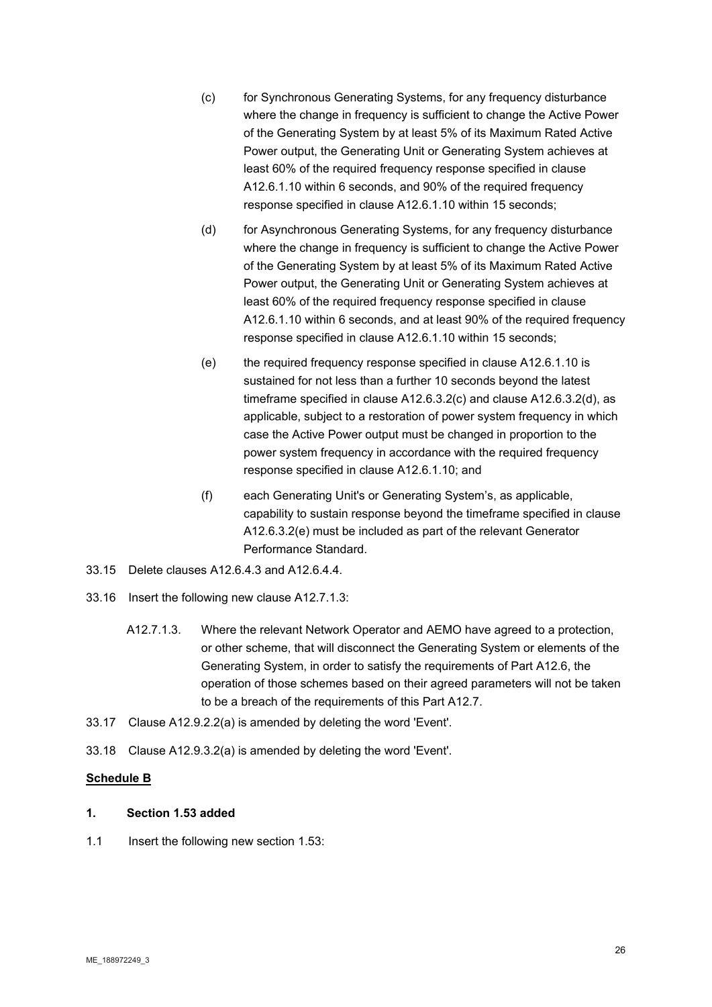- (c) for Synchronous Generating Systems, for any frequency disturbance where the change in frequency is sufficient to change the Active Power of the Generating System by at least 5% of its Maximum Rated Active Power output, the Generating Unit or Generating System achieves at least 60% of the required frequency response specified in clause A12.6.1.10 within 6 seconds, and 90% of the required frequency response specified in clause A12.6.1.10 within 15 seconds;
- (d) for Asynchronous Generating Systems, for any frequency disturbance where the change in frequency is sufficient to change the Active Power of the Generating System by at least 5% of its Maximum Rated Active Power output, the Generating Unit or Generating System achieves at least 60% of the required frequency response specified in clause A12.6.1.10 within 6 seconds, and at least 90% of the required frequency response specified in clause A12.6.1.10 within 15 seconds;
- (e) the required frequency response specified in clause A12.6.1.10 is sustained for not less than a further 10 seconds beyond the latest timeframe specified in clause A12.6.3.2(c) and clause A12.6.3.2(d), as applicable, subject to a restoration of power system frequency in which case the Active Power output must be changed in proportion to the power system frequency in accordance with the required frequency response specified in clause A12.6.1.10; and
- (f) each Generating Unit's or Generating System's, as applicable, capability to sustain response beyond the timeframe specified in clause A12.6.3.2(e) must be included as part of the relevant Generator Performance Standard.
- 33.15 Delete clauses A12.6.4.3 and A12.6.4.4.
- 33.16 Insert the following new clause A12.7.1.3:
	- A12.7.1.3. Where the relevant Network Operator and AEMO have agreed to a protection, or other scheme, that will disconnect the Generating System or elements of the Generating System, in order to satisfy the requirements of Part A12.6, the operation of those schemes based on their agreed parameters will not be taken to be a breach of the requirements of this Part A12.7.
- 33.17 Clause A12.9.2.2(a) is amended by deleting the word 'Event'.
- 33.18 Clause A12.9.3.2(a) is amended by deleting the word 'Event'.

# **Schedule B**

# **1. Section 1.53 added**

1.1 Insert the following new section 1.53: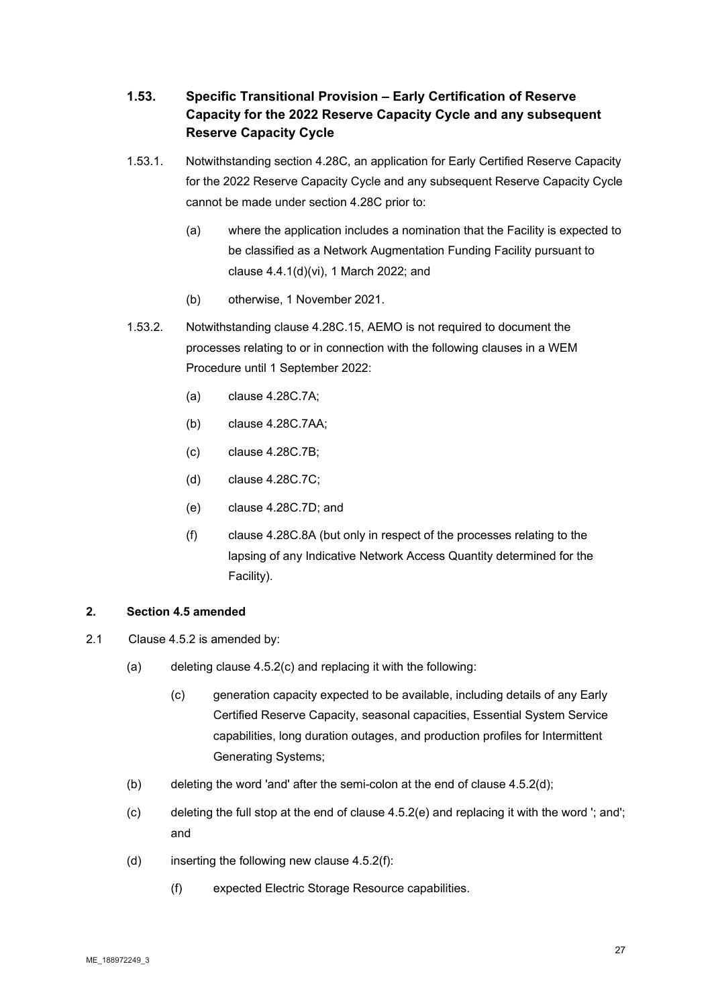# **1.53. Specific Transitional Provision – Early Certification of Reserve Capacity for the 2022 Reserve Capacity Cycle and any subsequent Reserve Capacity Cycle**

- 1.53.1. Notwithstanding section 4.28C, an application for Early Certified Reserve Capacity for the 2022 Reserve Capacity Cycle and any subsequent Reserve Capacity Cycle cannot be made under section 4.28C prior to:
	- (a) where the application includes a nomination that the Facility is expected to be classified as a Network Augmentation Funding Facility pursuant to clause 4.4.1(d)(vi), 1 March 2022; and
	- (b) otherwise, 1 November 2021.
- 1.53.2. Notwithstanding clause 4.28C.15, AEMO is not required to document the processes relating to or in connection with the following clauses in a WEM Procedure until 1 September 2022:
	- (a) clause 4.28C.7A;
	- (b) clause 4.28C.7AA;
	- (c) clause 4.28C.7B;
	- (d) clause 4.28C.7C;
	- (e) clause 4.28C.7D; and
	- (f) clause 4.28C.8A (but only in respect of the processes relating to the lapsing of any Indicative Network Access Quantity determined for the Facility).

# **2. Section 4.5 amended**

- 2.1 Clause 4.5.2 is amended by:
	- (a) deleting clause 4.5.2(c) and replacing it with the following:
		- (c) generation capacity expected to be available, including details of any Early Certified Reserve Capacity, seasonal capacities, Essential System Service capabilities, long duration outages, and production profiles for Intermittent Generating Systems;
	- (b) deleting the word 'and' after the semi-colon at the end of clause 4.5.2(d);
	- (c) deleting the full stop at the end of clause 4.5.2(e) and replacing it with the word '; and'; and
	- (d) inserting the following new clause  $4.5.2(f)$ :
		- (f) expected Electric Storage Resource capabilities.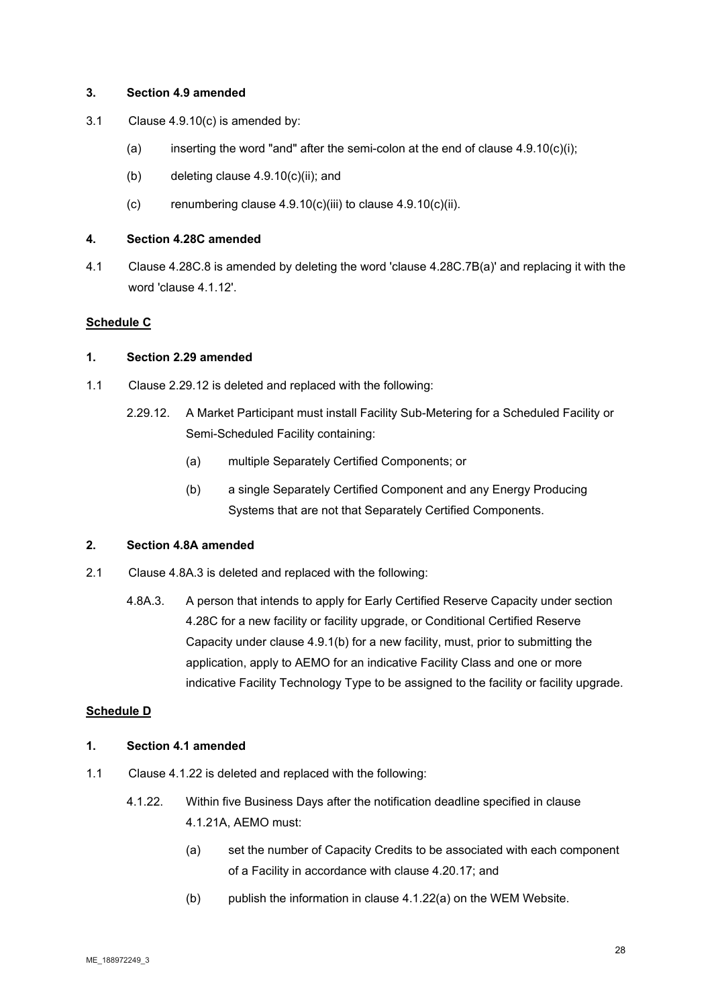### **3. Section 4.9 amended**

- 3.1 Clause 4.9.10(c) is amended by:
	- (a) inserting the word "and" after the semi-colon at the end of clause  $4.9.10(c)(i)$ ;
	- (b) deleting clause  $4.9.10(c)(ii)$ ; and
	- $(c)$  renumbering clause 4.9.10(c)(iii) to clause 4.9.10(c)(ii).

#### **4. Section 4.28C amended**

4.1 Clause 4.28C.8 is amended by deleting the word 'clause 4.28C.7B(a)' and replacing it with the word 'clause 4.1.12'.

# **Schedule C**

#### **1. Section 2.29 amended**

- 1.1 Clause 2.29.12 is deleted and replaced with the following:
	- 2.29.12. A Market Participant must install Facility Sub-Metering for a Scheduled Facility or Semi-Scheduled Facility containing:
		- (a) multiple Separately Certified Components; or
		- (b) a single Separately Certified Component and any Energy Producing Systems that are not that Separately Certified Components.

# **2. Section 4.8A amended**

- 2.1 Clause 4.8A.3 is deleted and replaced with the following:
	- 4.8A.3. A person that intends to apply for Early Certified Reserve Capacity under section 4.28C for a new facility or facility upgrade, or Conditional Certified Reserve Capacity under clause 4.9.1(b) for a new facility, must, prior to submitting the application, apply to AEMO for an indicative Facility Class and one or more indicative Facility Technology Type to be assigned to the facility or facility upgrade.

# **Schedule D**

#### **1. Section 4.1 amended**

- 1.1 Clause 4.1.22 is deleted and replaced with the following:
	- 4.1.22. Within five Business Days after the notification deadline specified in clause 4.1.21A, AEMO must:
		- (a) set the number of Capacity Credits to be associated with each component of a Facility in accordance with clause 4.20.17; and
		- (b) publish the information in clause 4.1.22(a) on the WEM Website.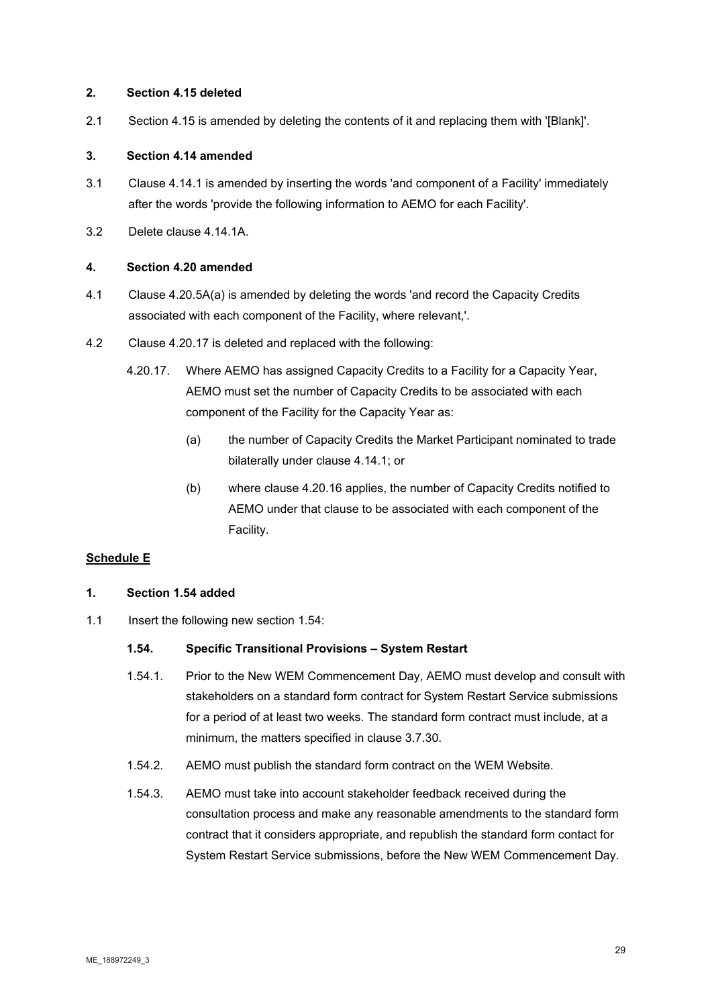# **2. Section 4.15 deleted**

2.1 Section 4.15 is amended by deleting the contents of it and replacing them with '[Blank]'.

# **3. Section 4.14 amended**

- 3.1 Clause 4.14.1 is amended by inserting the words 'and component of a Facility' immediately after the words 'provide the following information to AEMO for each Facility'.
- 3.2 Delete clause 4.14.1A.

#### **4. Section 4.20 amended**

- 4.1 Clause 4.20.5A(a) is amended by deleting the words 'and record the Capacity Credits associated with each component of the Facility, where relevant,'.
- 4.2 Clause 4.20.17 is deleted and replaced with the following:
	- 4.20.17. Where AEMO has assigned Capacity Credits to a Facility for a Capacity Year, AEMO must set the number of Capacity Credits to be associated with each component of the Facility for the Capacity Year as:
		- (a) the number of Capacity Credits the Market Participant nominated to trade bilaterally under clause 4.14.1; or
		- (b) where clause 4.20.16 applies, the number of Capacity Credits notified to AEMO under that clause to be associated with each component of the Facility.

# **Schedule E**

#### **1. Section 1.54 added**

1.1 Insert the following new section 1.54:

#### **1.54. Specific Transitional Provisions – System Restart**

- 1.54.1. Prior to the New WEM Commencement Day, AEMO must develop and consult with stakeholders on a standard form contract for System Restart Service submissions for a period of at least two weeks. The standard form contract must include, at a minimum, the matters specified in clause 3.7.30.
- 1.54.2. AEMO must publish the standard form contract on the WEM Website.
- 1.54.3. AEMO must take into account stakeholder feedback received during the consultation process and make any reasonable amendments to the standard form contract that it considers appropriate, and republish the standard form contact for System Restart Service submissions, before the New WEM Commencement Day.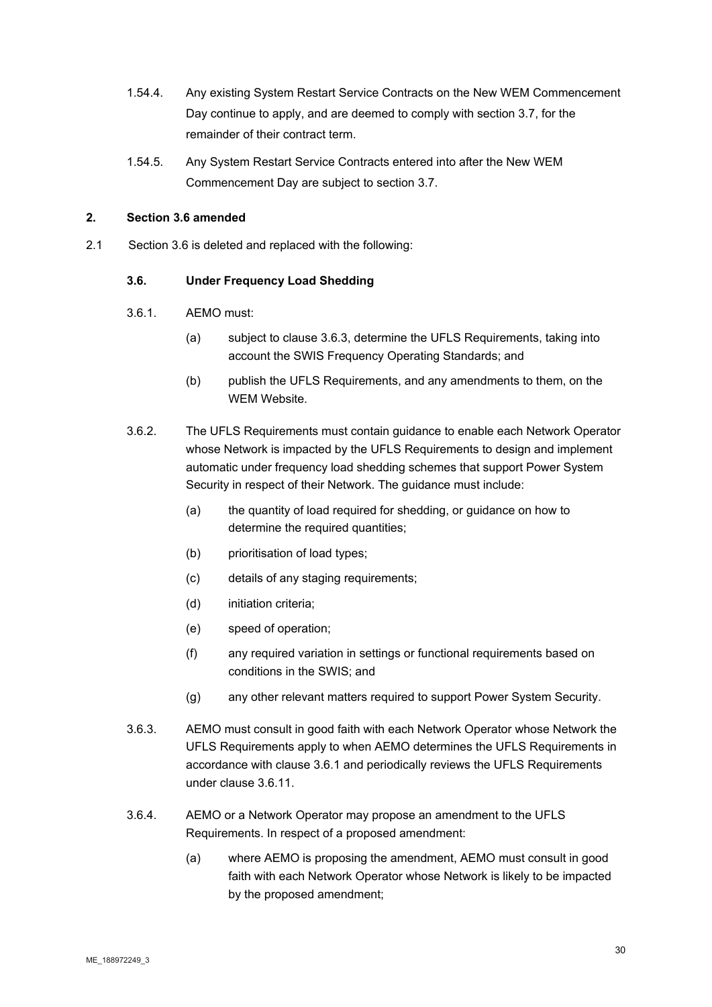- 1.54.4. Any existing System Restart Service Contracts on the New WEM Commencement Day continue to apply, and are deemed to comply with section 3.7, for the remainder of their contract term.
- 1.54.5. Any System Restart Service Contracts entered into after the New WEM Commencement Day are subject to section 3.7.

# **2. Section 3.6 amended**

2.1 Section 3.6 is deleted and replaced with the following:

# **3.6. Under Frequency Load Shedding**

- 3.6.1. AEMO must:
	- (a) subject to clause 3.6.3, determine the UFLS Requirements, taking into account the SWIS Frequency Operating Standards; and
	- (b) publish the UFLS Requirements, and any amendments to them, on the WEM Website.
- 3.6.2. The UFLS Requirements must contain guidance to enable each Network Operator whose Network is impacted by the UFLS Requirements to design and implement automatic under frequency load shedding schemes that support Power System Security in respect of their Network. The guidance must include:
	- (a) the quantity of load required for shedding, or guidance on how to determine the required quantities;
	- (b) prioritisation of load types;
	- (c) details of any staging requirements;
	- (d) initiation criteria;
	- (e) speed of operation;
	- (f) any required variation in settings or functional requirements based on conditions in the SWIS; and
	- (g) any other relevant matters required to support Power System Security.
- 3.6.3. AEMO must consult in good faith with each Network Operator whose Network the UFLS Requirements apply to when AEMO determines the UFLS Requirements in accordance with clause 3.6.1 and periodically reviews the UFLS Requirements under clause 3.6.11.
- 3.6.4. AEMO or a Network Operator may propose an amendment to the UFLS Requirements. In respect of a proposed amendment:
	- (a) where AEMO is proposing the amendment, AEMO must consult in good faith with each Network Operator whose Network is likely to be impacted by the proposed amendment;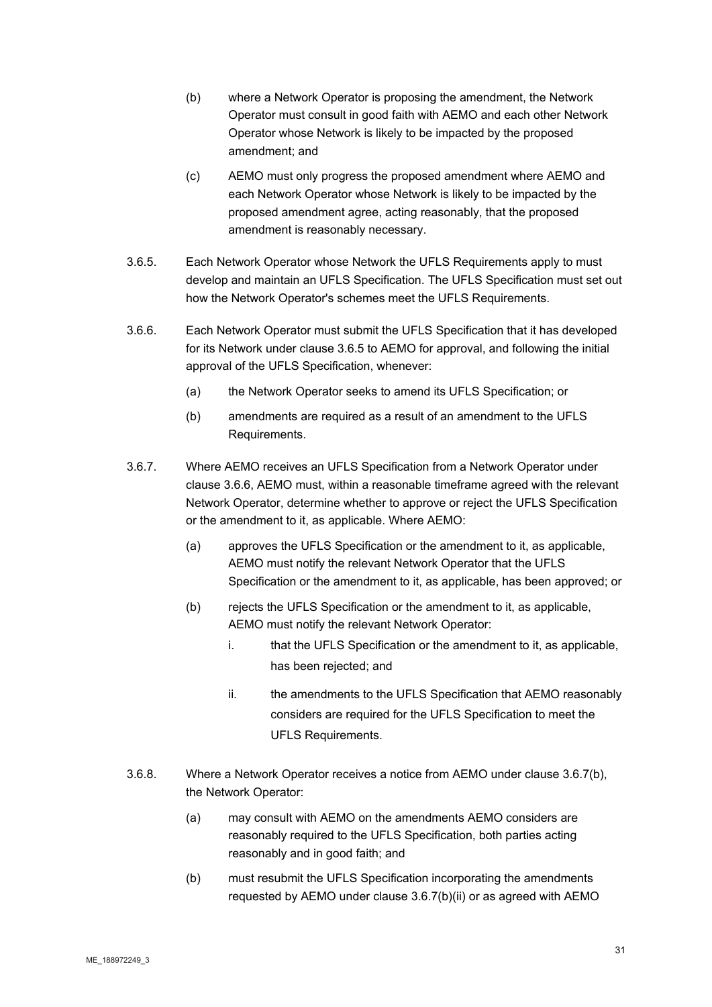- (b) where a Network Operator is proposing the amendment, the Network Operator must consult in good faith with AEMO and each other Network Operator whose Network is likely to be impacted by the proposed amendment; and
- (c) AEMO must only progress the proposed amendment where AEMO and each Network Operator whose Network is likely to be impacted by the proposed amendment agree, acting reasonably, that the proposed amendment is reasonably necessary.
- 3.6.5. Each Network Operator whose Network the UFLS Requirements apply to must develop and maintain an UFLS Specification. The UFLS Specification must set out how the Network Operator's schemes meet the UFLS Requirements.
- 3.6.6. Each Network Operator must submit the UFLS Specification that it has developed for its Network under clause 3.6.5 to AEMO for approval, and following the initial approval of the UFLS Specification, whenever:
	- (a) the Network Operator seeks to amend its UFLS Specification; or
	- (b) amendments are required as a result of an amendment to the UFLS Requirements.
- 3.6.7. Where AEMO receives an UFLS Specification from a Network Operator under clause 3.6.6, AEMO must, within a reasonable timeframe agreed with the relevant Network Operator, determine whether to approve or reject the UFLS Specification or the amendment to it, as applicable. Where AEMO:
	- (a) approves the UFLS Specification or the amendment to it, as applicable, AEMO must notify the relevant Network Operator that the UFLS Specification or the amendment to it, as applicable, has been approved; or
	- (b) rejects the UFLS Specification or the amendment to it, as applicable, AEMO must notify the relevant Network Operator:
		- i. that the UFLS Specification or the amendment to it, as applicable, has been rejected; and
		- ii. the amendments to the UFLS Specification that AEMO reasonably considers are required for the UFLS Specification to meet the UFLS Requirements.
- 3.6.8. Where a Network Operator receives a notice from AEMO under clause 3.6.7(b), the Network Operator:
	- (a) may consult with AEMO on the amendments AEMO considers are reasonably required to the UFLS Specification, both parties acting reasonably and in good faith; and
	- (b) must resubmit the UFLS Specification incorporating the amendments requested by AEMO under clause 3.6.7(b)(ii) or as agreed with AEMO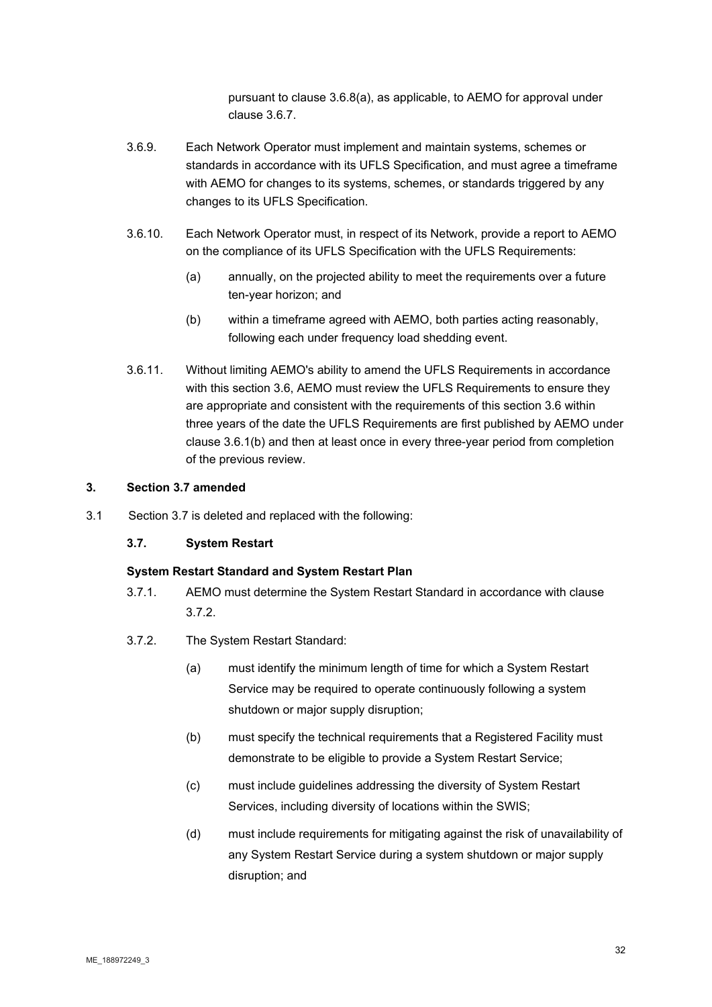pursuant to clause 3.6.8(a), as applicable, to AEMO for approval under clause 3.6.7.

- 3.6.9. Each Network Operator must implement and maintain systems, schemes or standards in accordance with its UFLS Specification, and must agree a timeframe with AEMO for changes to its systems, schemes, or standards triggered by any changes to its UFLS Specification.
- 3.6.10. Each Network Operator must, in respect of its Network, provide a report to AEMO on the compliance of its UFLS Specification with the UFLS Requirements:
	- (a) annually, on the projected ability to meet the requirements over a future ten-year horizon; and
	- (b) within a timeframe agreed with AEMO, both parties acting reasonably, following each under frequency load shedding event.
- 3.6.11. Without limiting AEMO's ability to amend the UFLS Requirements in accordance with this section 3.6, AEMO must review the UFLS Requirements to ensure they are appropriate and consistent with the requirements of this section 3.6 within three years of the date the UFLS Requirements are first published by AEMO under clause 3.6.1(b) and then at least once in every three-year period from completion of the previous review.

# **3. Section 3.7 amended**

3.1 Section 3.7 is deleted and replaced with the following:

#### **3.7. System Restart**

# **System Restart Standard and System Restart Plan**

- 3.7.1. AEMO must determine the System Restart Standard in accordance with clause 3.7.2.
- 3.7.2. The System Restart Standard:
	- (a) must identify the minimum length of time for which a System Restart Service may be required to operate continuously following a system shutdown or major supply disruption;
	- (b) must specify the technical requirements that a Registered Facility must demonstrate to be eligible to provide a System Restart Service;
	- (c) must include guidelines addressing the diversity of System Restart Services, including diversity of locations within the SWIS;
	- (d) must include requirements for mitigating against the risk of unavailability of any System Restart Service during a system shutdown or major supply disruption; and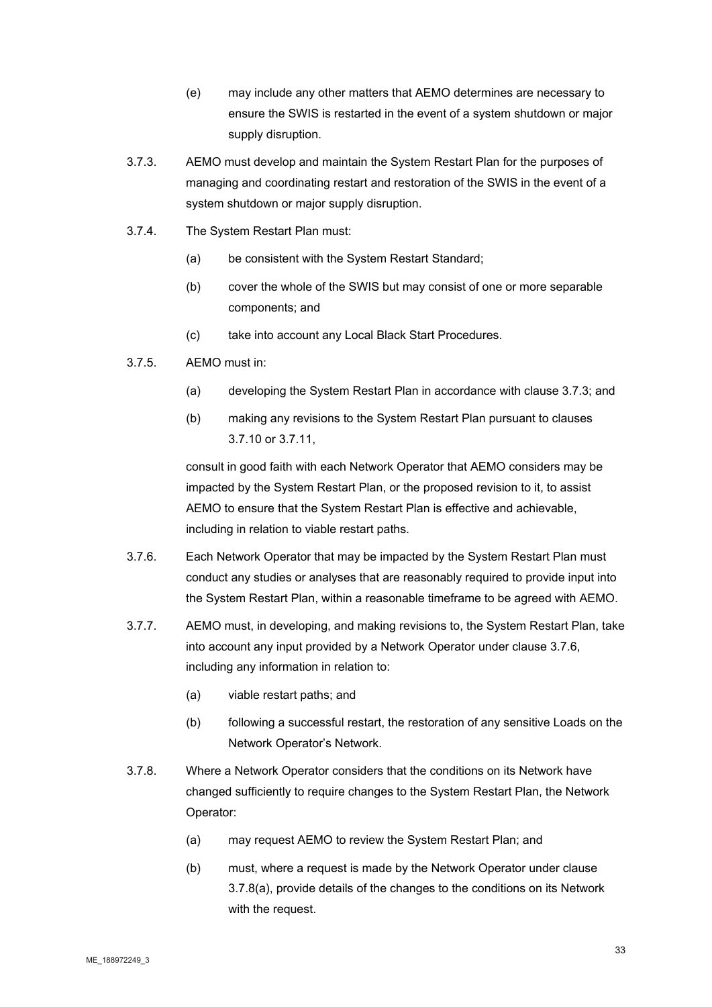- (e) may include any other matters that AEMO determines are necessary to ensure the SWIS is restarted in the event of a system shutdown or major supply disruption.
- 3.7.3. AEMO must develop and maintain the System Restart Plan for the purposes of managing and coordinating restart and restoration of the SWIS in the event of a system shutdown or major supply disruption.
- 3.7.4. The System Restart Plan must:
	- (a) be consistent with the System Restart Standard;
	- (b) cover the whole of the SWIS but may consist of one or more separable components; and
	- (c) take into account any Local Black Start Procedures.
- 3.7.5. AEMO must in:
	- (a) developing the System Restart Plan in accordance with clause 3.7.3; and
	- (b) making any revisions to the System Restart Plan pursuant to clauses 3.7.10 or 3.7.11,

consult in good faith with each Network Operator that AEMO considers may be impacted by the System Restart Plan, or the proposed revision to it, to assist AEMO to ensure that the System Restart Plan is effective and achievable, including in relation to viable restart paths.

- 3.7.6. Each Network Operator that may be impacted by the System Restart Plan must conduct any studies or analyses that are reasonably required to provide input into the System Restart Plan, within a reasonable timeframe to be agreed with AEMO.
- 3.7.7. AEMO must, in developing, and making revisions to, the System Restart Plan, take into account any input provided by a Network Operator under clause 3.7.6, including any information in relation to:
	- (a) viable restart paths; and
	- (b) following a successful restart, the restoration of any sensitive Loads on the Network Operator's Network.
- 3.7.8. Where a Network Operator considers that the conditions on its Network have changed sufficiently to require changes to the System Restart Plan, the Network Operator:
	- (a) may request AEMO to review the System Restart Plan; and
	- (b) must, where a request is made by the Network Operator under clause 3.7.8(a), provide details of the changes to the conditions on its Network with the request.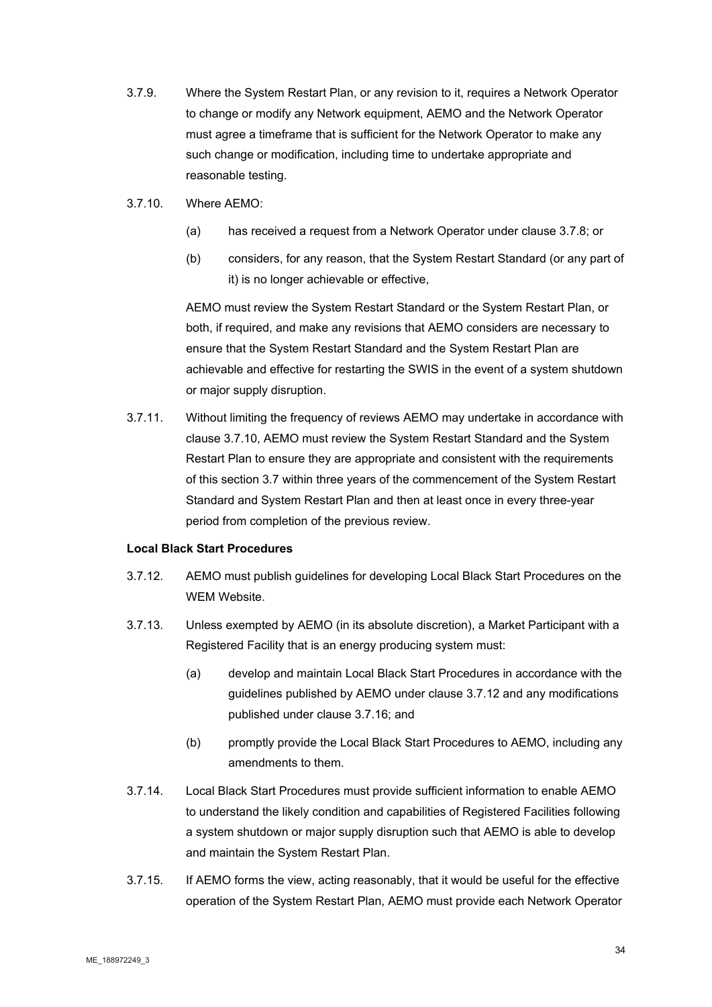- 3.7.9. Where the System Restart Plan, or any revision to it, requires a Network Operator to change or modify any Network equipment, AEMO and the Network Operator must agree a timeframe that is sufficient for the Network Operator to make any such change or modification, including time to undertake appropriate and reasonable testing.
- 3.7.10. Where AEMO:
	- (a) has received a request from a Network Operator under clause 3.7.8; or
	- (b) considers, for any reason, that the System Restart Standard (or any part of it) is no longer achievable or effective,

AEMO must review the System Restart Standard or the System Restart Plan, or both, if required, and make any revisions that AEMO considers are necessary to ensure that the System Restart Standard and the System Restart Plan are achievable and effective for restarting the SWIS in the event of a system shutdown or major supply disruption.

3.7.11. Without limiting the frequency of reviews AEMO may undertake in accordance with clause 3.7.10, AEMO must review the System Restart Standard and the System Restart Plan to ensure they are appropriate and consistent with the requirements of this section 3.7 within three years of the commencement of the System Restart Standard and System Restart Plan and then at least once in every three-year period from completion of the previous review.

#### **Local Black Start Procedures**

- 3.7.12. AEMO must publish guidelines for developing Local Black Start Procedures on the WEM Website.
- 3.7.13. Unless exempted by AEMO (in its absolute discretion), a Market Participant with a Registered Facility that is an energy producing system must:
	- (a) develop and maintain Local Black Start Procedures in accordance with the guidelines published by AEMO under clause 3.7.12 and any modifications published under clause 3.7.16; and
	- (b) promptly provide the Local Black Start Procedures to AEMO, including any amendments to them.
- 3.7.14. Local Black Start Procedures must provide sufficient information to enable AEMO to understand the likely condition and capabilities of Registered Facilities following a system shutdown or major supply disruption such that AEMO is able to develop and maintain the System Restart Plan.
- 3.7.15. If AEMO forms the view, acting reasonably, that it would be useful for the effective operation of the System Restart Plan, AEMO must provide each Network Operator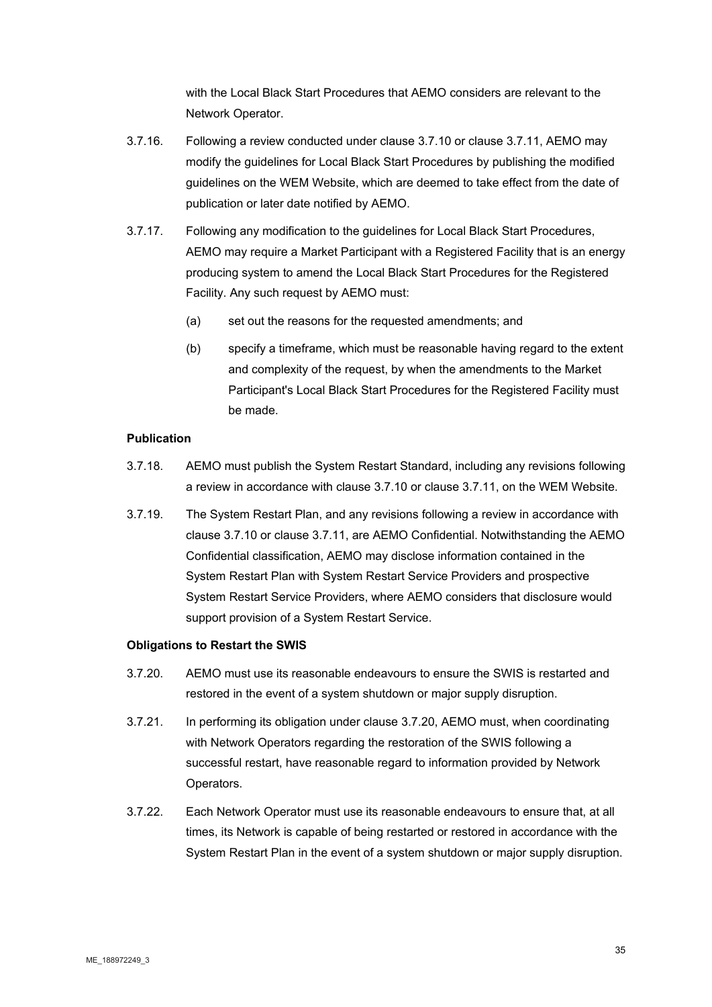with the Local Black Start Procedures that AEMO considers are relevant to the Network Operator.

- 3.7.16. Following a review conducted under clause 3.7.10 or clause 3.7.11, AEMO may modify the guidelines for Local Black Start Procedures by publishing the modified guidelines on the WEM Website, which are deemed to take effect from the date of publication or later date notified by AEMO.
- 3.7.17. Following any modification to the guidelines for Local Black Start Procedures, AEMO may require a Market Participant with a Registered Facility that is an energy producing system to amend the Local Black Start Procedures for the Registered Facility. Any such request by AEMO must:
	- (a) set out the reasons for the requested amendments; and
	- (b) specify a timeframe, which must be reasonable having regard to the extent and complexity of the request, by when the amendments to the Market Participant's Local Black Start Procedures for the Registered Facility must be made.

# **Publication**

- 3.7.18. AEMO must publish the System Restart Standard, including any revisions following a review in accordance with clause 3.7.10 or clause 3.7.11, on the WEM Website.
- 3.7.19. The System Restart Plan, and any revisions following a review in accordance with clause 3.7.10 or clause 3.7.11, are AEMO Confidential. Notwithstanding the AEMO Confidential classification, AEMO may disclose information contained in the System Restart Plan with System Restart Service Providers and prospective System Restart Service Providers, where AEMO considers that disclosure would support provision of a System Restart Service.

#### **Obligations to Restart the SWIS**

- 3.7.20. AEMO must use its reasonable endeavours to ensure the SWIS is restarted and restored in the event of a system shutdown or major supply disruption.
- 3.7.21. In performing its obligation under clause 3.7.20, AEMO must, when coordinating with Network Operators regarding the restoration of the SWIS following a successful restart, have reasonable regard to information provided by Network Operators.
- 3.7.22. Each Network Operator must use its reasonable endeavours to ensure that, at all times, its Network is capable of being restarted or restored in accordance with the System Restart Plan in the event of a system shutdown or major supply disruption.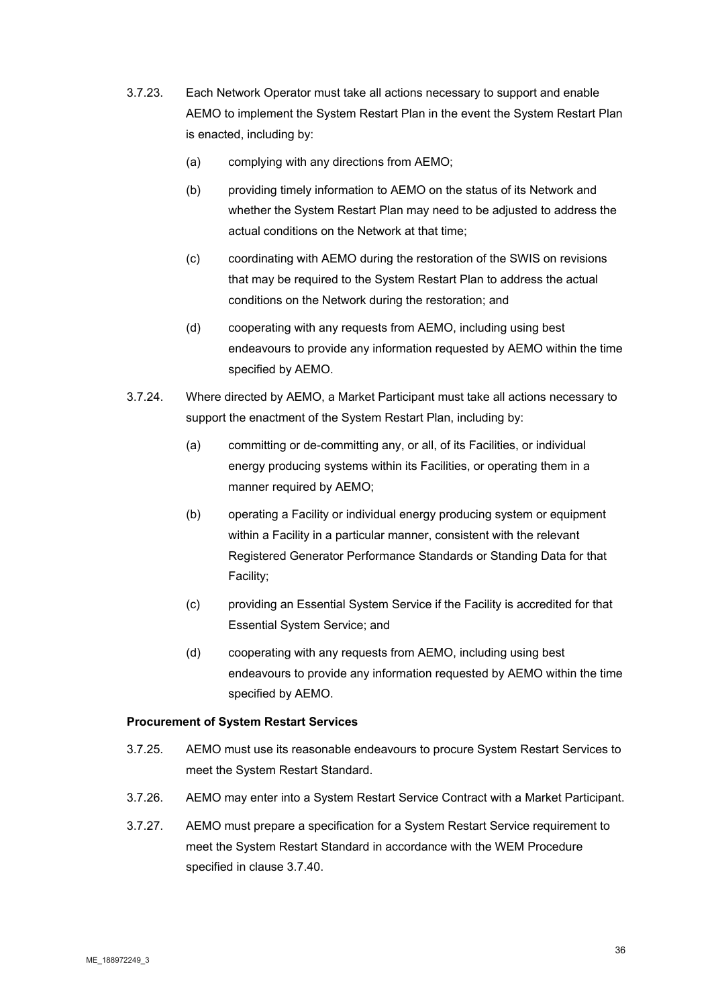- 3.7.23. Each Network Operator must take all actions necessary to support and enable AEMO to implement the System Restart Plan in the event the System Restart Plan is enacted, including by:
	- (a) complying with any directions from AEMO;
	- (b) providing timely information to AEMO on the status of its Network and whether the System Restart Plan may need to be adjusted to address the actual conditions on the Network at that time;
	- (c) coordinating with AEMO during the restoration of the SWIS on revisions that may be required to the System Restart Plan to address the actual conditions on the Network during the restoration; and
	- (d) cooperating with any requests from AEMO, including using best endeavours to provide any information requested by AEMO within the time specified by AEMO.
- 3.7.24. Where directed by AEMO, a Market Participant must take all actions necessary to support the enactment of the System Restart Plan, including by:
	- (a) committing or de-committing any, or all, of its Facilities, or individual energy producing systems within its Facilities, or operating them in a manner required by AEMO;
	- (b) operating a Facility or individual energy producing system or equipment within a Facility in a particular manner, consistent with the relevant Registered Generator Performance Standards or Standing Data for that Facility;
	- (c) providing an Essential System Service if the Facility is accredited for that Essential System Service; and
	- (d) cooperating with any requests from AEMO, including using best endeavours to provide any information requested by AEMO within the time specified by AEMO.

#### **Procurement of System Restart Services**

- 3.7.25. AEMO must use its reasonable endeavours to procure System Restart Services to meet the System Restart Standard.
- 3.7.26. AEMO may enter into a System Restart Service Contract with a Market Participant.
- 3.7.27. AEMO must prepare a specification for a System Restart Service requirement to meet the System Restart Standard in accordance with the WEM Procedure specified in clause 3.7.40.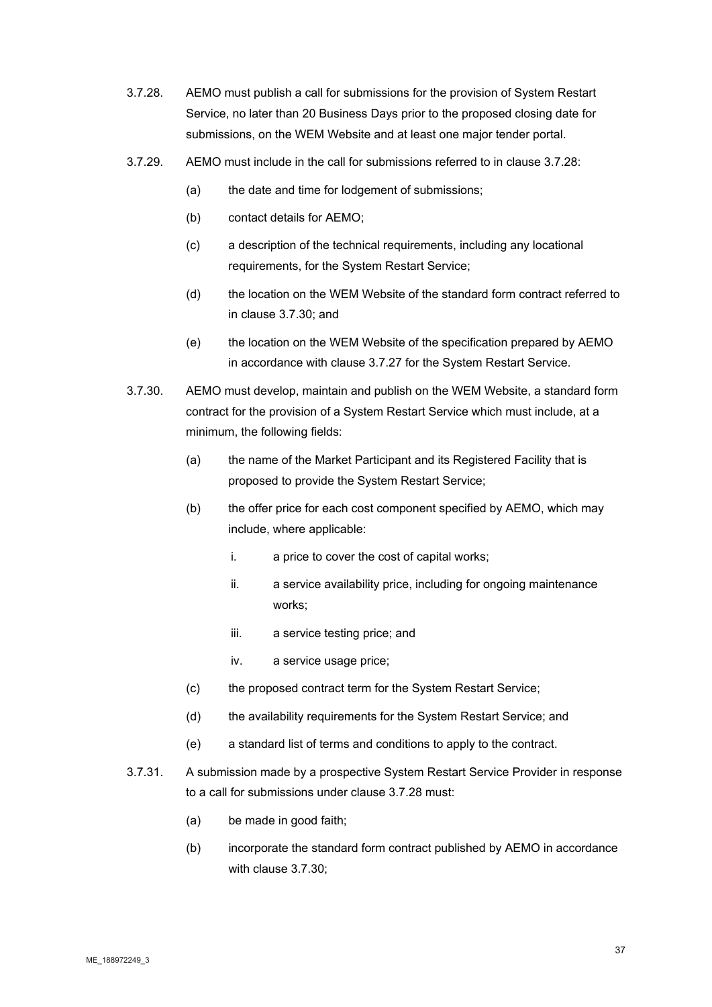- 3.7.28. AEMO must publish a call for submissions for the provision of System Restart Service, no later than 20 Business Days prior to the proposed closing date for submissions, on the WEM Website and at least one major tender portal.
- 3.7.29. AEMO must include in the call for submissions referred to in clause 3.7.28:
	- (a) the date and time for lodgement of submissions;
	- (b) contact details for AEMO;
	- (c) a description of the technical requirements, including any locational requirements, for the System Restart Service;
	- (d) the location on the WEM Website of the standard form contract referred to in clause 3.7.30; and
	- (e) the location on the WEM Website of the specification prepared by AEMO in accordance with clause 3.7.27 for the System Restart Service.
- 3.7.30. AEMO must develop, maintain and publish on the WEM Website, a standard form contract for the provision of a System Restart Service which must include, at a minimum, the following fields:
	- (a) the name of the Market Participant and its Registered Facility that is proposed to provide the System Restart Service;
	- (b) the offer price for each cost component specified by AEMO, which may include, where applicable:
		- i. a price to cover the cost of capital works;
		- ii. a service availability price, including for ongoing maintenance works;
		- iii. a service testing price; and
		- iv. a service usage price;
	- (c) the proposed contract term for the System Restart Service;
	- (d) the availability requirements for the System Restart Service; and
	- (e) a standard list of terms and conditions to apply to the contract.
- 3.7.31. A submission made by a prospective System Restart Service Provider in response to a call for submissions under clause 3.7.28 must:
	- (a) be made in good faith;
	- (b) incorporate the standard form contract published by AEMO in accordance with clause 3.7.30;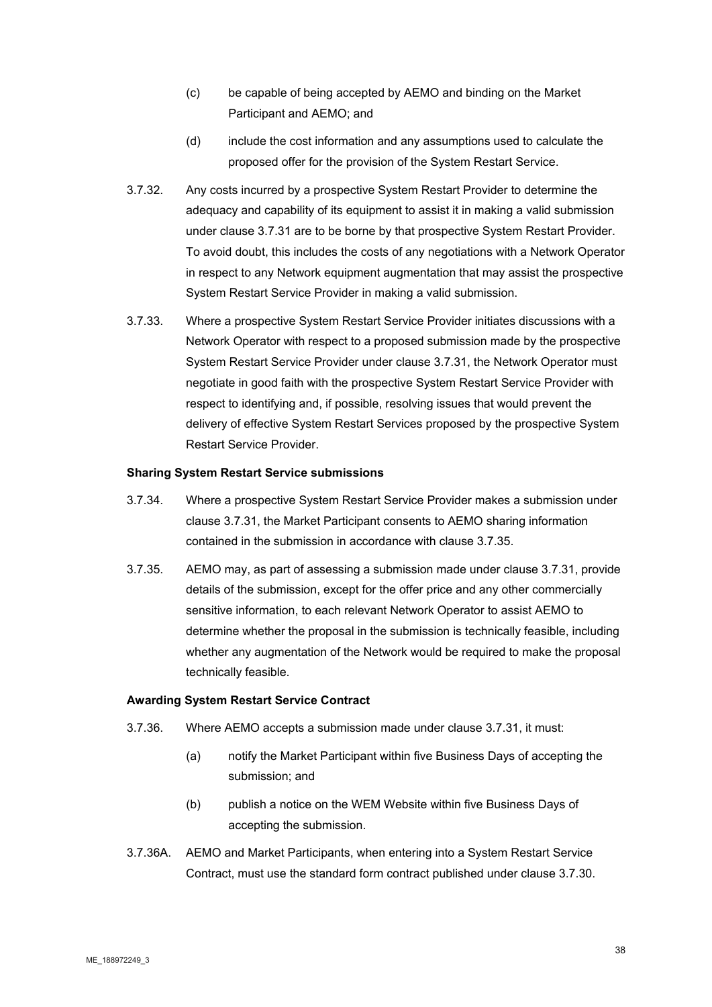- (c) be capable of being accepted by AEMO and binding on the Market Participant and AEMO; and
- (d) include the cost information and any assumptions used to calculate the proposed offer for the provision of the System Restart Service.
- 3.7.32. Any costs incurred by a prospective System Restart Provider to determine the adequacy and capability of its equipment to assist it in making a valid submission under clause 3.7.31 are to be borne by that prospective System Restart Provider. To avoid doubt, this includes the costs of any negotiations with a Network Operator in respect to any Network equipment augmentation that may assist the prospective System Restart Service Provider in making a valid submission.
- 3.7.33. Where a prospective System Restart Service Provider initiates discussions with a Network Operator with respect to a proposed submission made by the prospective System Restart Service Provider under clause 3.7.31, the Network Operator must negotiate in good faith with the prospective System Restart Service Provider with respect to identifying and, if possible, resolving issues that would prevent the delivery of effective System Restart Services proposed by the prospective System Restart Service Provider.

#### **Sharing System Restart Service submissions**

- 3.7.34. Where a prospective System Restart Service Provider makes a submission under clause 3.7.31, the Market Participant consents to AEMO sharing information contained in the submission in accordance with clause 3.7.35.
- 3.7.35. AEMO may, as part of assessing a submission made under clause 3.7.31, provide details of the submission, except for the offer price and any other commercially sensitive information, to each relevant Network Operator to assist AEMO to determine whether the proposal in the submission is technically feasible, including whether any augmentation of the Network would be required to make the proposal technically feasible.

#### **Awarding System Restart Service Contract**

- 3.7.36. Where AEMO accepts a submission made under clause 3.7.31, it must:
	- (a) notify the Market Participant within five Business Days of accepting the submission; and
	- (b) publish a notice on the WEM Website within five Business Days of accepting the submission.
- 3.7.36A. AEMO and Market Participants, when entering into a System Restart Service Contract, must use the standard form contract published under clause 3.7.30.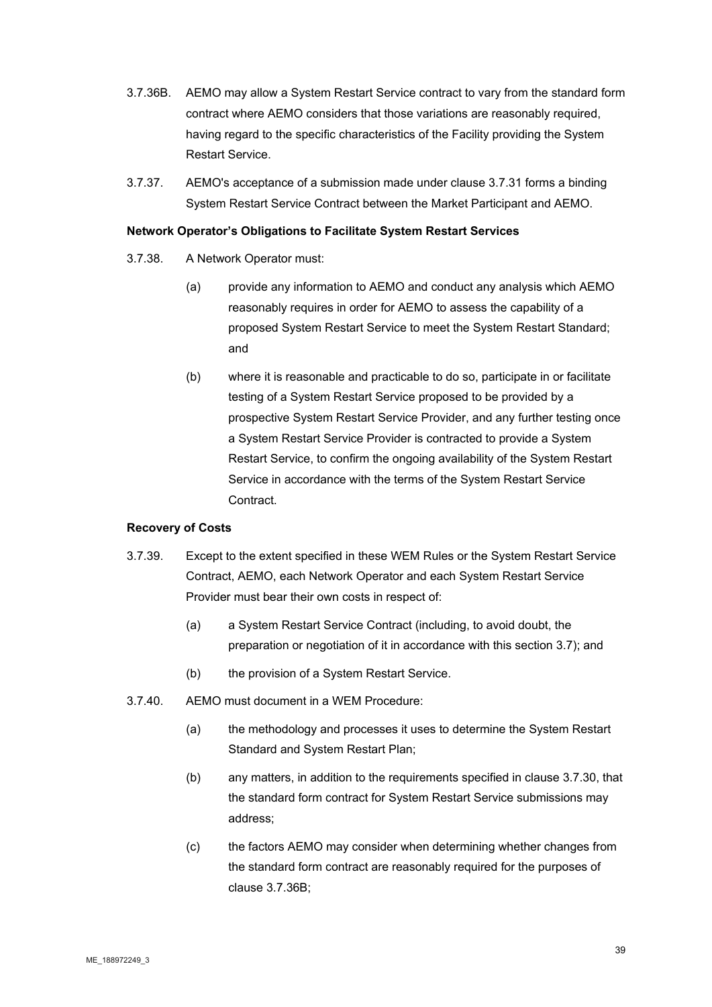- 3.7.36B. AEMO may allow a System Restart Service contract to vary from the standard form contract where AEMO considers that those variations are reasonably required, having regard to the specific characteristics of the Facility providing the System Restart Service.
- 3.7.37. AEMO's acceptance of a submission made under clause 3.7.31 forms a binding System Restart Service Contract between the Market Participant and AEMO.

#### **Network Operator's Obligations to Facilitate System Restart Services**

- 3.7.38. A Network Operator must:
	- (a) provide any information to AEMO and conduct any analysis which AEMO reasonably requires in order for AEMO to assess the capability of a proposed System Restart Service to meet the System Restart Standard; and
	- (b) where it is reasonable and practicable to do so, participate in or facilitate testing of a System Restart Service proposed to be provided by a prospective System Restart Service Provider, and any further testing once a System Restart Service Provider is contracted to provide a System Restart Service, to confirm the ongoing availability of the System Restart Service in accordance with the terms of the System Restart Service Contract.

# **Recovery of Costs**

- 3.7.39. Except to the extent specified in these WEM Rules or the System Restart Service Contract, AEMO, each Network Operator and each System Restart Service Provider must bear their own costs in respect of:
	- (a) a System Restart Service Contract (including, to avoid doubt, the preparation or negotiation of it in accordance with this section 3.7); and
	- (b) the provision of a System Restart Service.
- 3.7.40. AEMO must document in a WEM Procedure:
	- (a) the methodology and processes it uses to determine the System Restart Standard and System Restart Plan;
	- (b) any matters, in addition to the requirements specified in clause 3.7.30, that the standard form contract for System Restart Service submissions may address;
	- (c) the factors AEMO may consider when determining whether changes from the standard form contract are reasonably required for the purposes of clause 3.7.36B;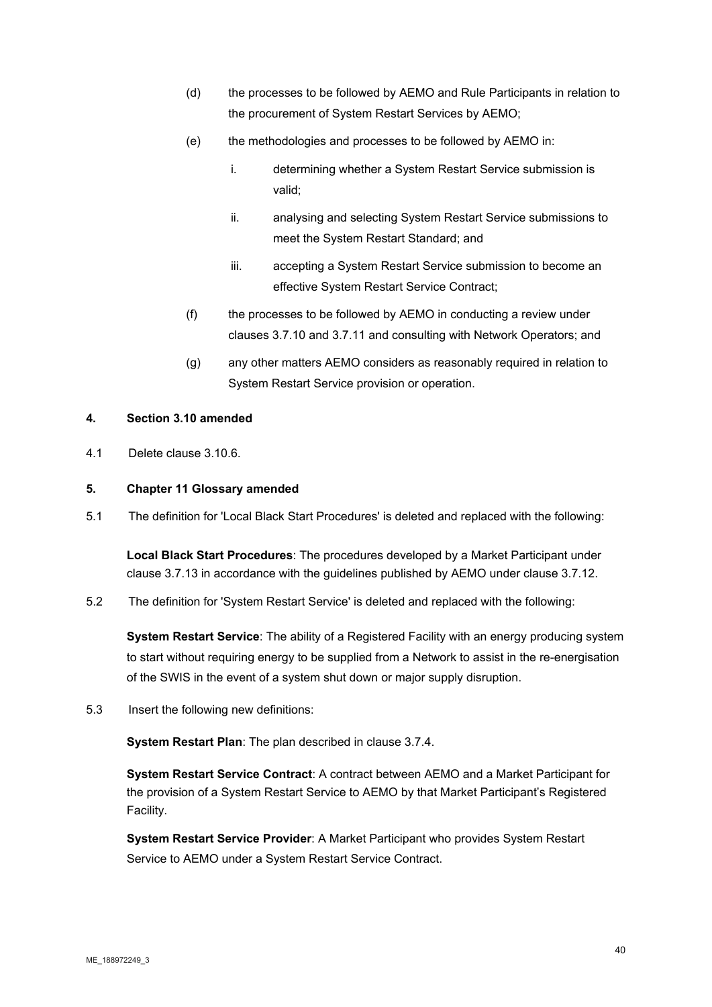- (d) the processes to be followed by AEMO and Rule Participants in relation to the procurement of System Restart Services by AEMO;
- (e) the methodologies and processes to be followed by AEMO in:
	- i. determining whether a System Restart Service submission is valid;
	- ii. analysing and selecting System Restart Service submissions to meet the System Restart Standard; and
	- iii. accepting a System Restart Service submission to become an effective System Restart Service Contract;
- (f) the processes to be followed by AEMO in conducting a review under clauses 3.7.10 and 3.7.11 and consulting with Network Operators; and
- (g) any other matters AEMO considers as reasonably required in relation to System Restart Service provision or operation.

#### **4. Section 3.10 amended**

4.1 Delete clause 3.10.6.

#### **5. Chapter 11 Glossary amended**

5.1 The definition for 'Local Black Start Procedures' is deleted and replaced with the following:

**Local Black Start Procedures**: The procedures developed by a Market Participant under clause 3.7.13 in accordance with the guidelines published by AEMO under clause 3.7.12.

5.2 The definition for 'System Restart Service' is deleted and replaced with the following:

**System Restart Service**: The ability of a Registered Facility with an energy producing system to start without requiring energy to be supplied from a Network to assist in the re-energisation of the SWIS in the event of a system shut down or major supply disruption.

5.3 Insert the following new definitions:

**System Restart Plan**: The plan described in clause 3.7.4.

**System Restart Service Contract**: A contract between AEMO and a Market Participant for the provision of a System Restart Service to AEMO by that Market Participant's Registered Facility.

**System Restart Service Provider**: A Market Participant who provides System Restart Service to AEMO under a System Restart Service Contract.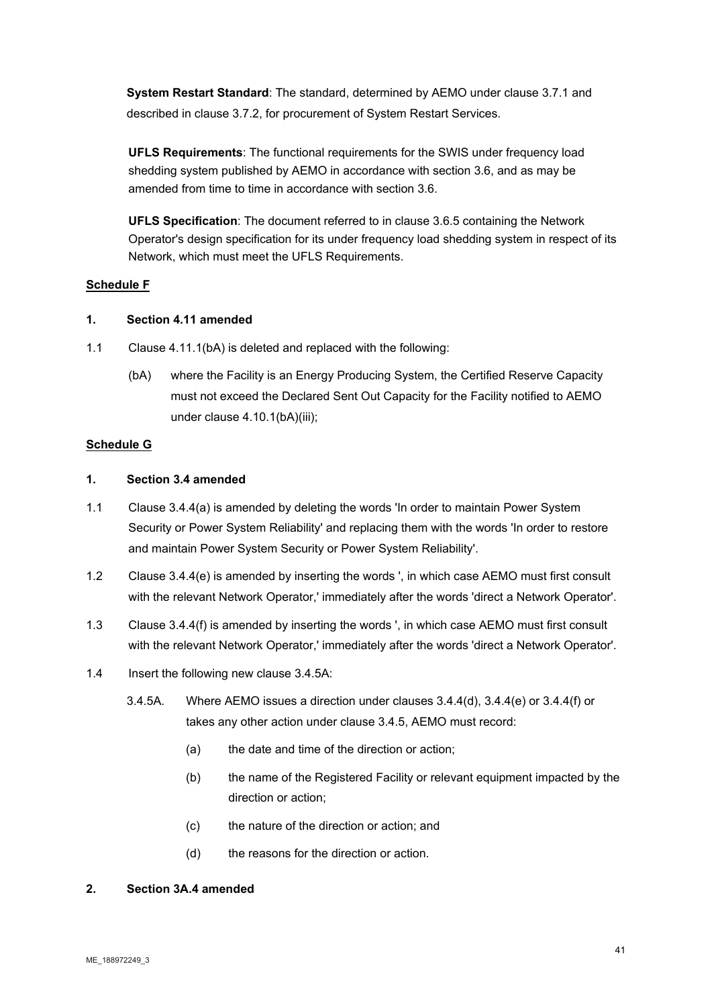**System Restart Standard**: The standard, determined by AEMO under clause 3.7.1 and described in clause 3.7.2, for procurement of System Restart Services.

**UFLS Requirements**: The functional requirements for the SWIS under frequency load shedding system published by AEMO in accordance with section 3.6, and as may be amended from time to time in accordance with section 3.6.

**UFLS Specification**: The document referred to in clause 3.6.5 containing the Network Operator's design specification for its under frequency load shedding system in respect of its Network, which must meet the UFLS Requirements.

# **Schedule F**

### **1. Section 4.11 amended**

- 1.1 Clause 4.11.1(bA) is deleted and replaced with the following:
	- (bA) where the Facility is an Energy Producing System, the Certified Reserve Capacity must not exceed the Declared Sent Out Capacity for the Facility notified to AEMO under clause 4.10.1(bA)(iii);

#### **Schedule G**

#### **1. Section 3.4 amended**

- 1.1 Clause 3.4.4(a) is amended by deleting the words 'In order to maintain Power System Security or Power System Reliability' and replacing them with the words 'In order to restore and maintain Power System Security or Power System Reliability'.
- 1.2 Clause 3.4.4(e) is amended by inserting the words ', in which case AEMO must first consult with the relevant Network Operator,' immediately after the words 'direct a Network Operator'.
- 1.3 Clause 3.4.4(f) is amended by inserting the words ', in which case AEMO must first consult with the relevant Network Operator,' immediately after the words 'direct a Network Operator'.
- 1.4 Insert the following new clause 3.4.5A:
	- 3.4.5A. Where AEMO issues a direction under clauses 3.4.4(d), 3.4.4(e) or 3.4.4(f) or takes any other action under clause 3.4.5, AEMO must record:
		- (a) the date and time of the direction or action;
		- (b) the name of the Registered Facility or relevant equipment impacted by the direction or action;
		- (c) the nature of the direction or action; and
		- (d) the reasons for the direction or action.

#### **2. Section 3A.4 amended**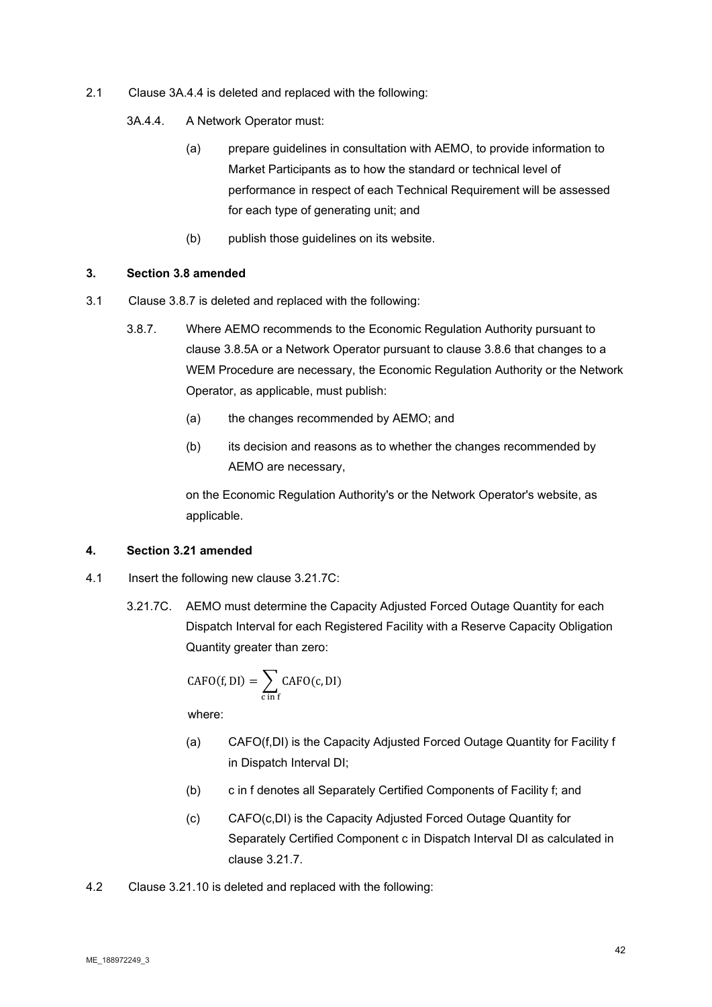- 2.1 Clause 3A.4.4 is deleted and replaced with the following:
	- 3A.4.4. A Network Operator must:
		- (a) prepare guidelines in consultation with AEMO, to provide information to Market Participants as to how the standard or technical level of performance in respect of each Technical Requirement will be assessed for each type of generating unit; and
		- (b) publish those guidelines on its website.

#### **3. Section 3.8 amended**

- 3.1 Clause 3.8.7 is deleted and replaced with the following:
	- 3.8.7. Where AEMO recommends to the Economic Regulation Authority pursuant to clause 3.8.5A or a Network Operator pursuant to clause 3.8.6 that changes to a WEM Procedure are necessary, the Economic Regulation Authority or the Network Operator, as applicable, must publish:
		- (a) the changes recommended by AEMO; and
		- (b) its decision and reasons as to whether the changes recommended by AEMO are necessary,

on the Economic Regulation Authority's or the Network Operator's website, as applicable.

#### **4. Section 3.21 amended**

- 4.1 Insert the following new clause 3.21.7C:
	- 3.21.7C. AEMO must determine the Capacity Adjusted Forced Outage Quantity for each Dispatch Interval for each Registered Facility with a Reserve Capacity Obligation Quantity greater than zero:

$$
CAFO(f, DI) = \sum_{c \text{ in } f} CAFO(c, DI)
$$

- (a) CAFO(f,DI) is the Capacity Adjusted Forced Outage Quantity for Facility f in Dispatch Interval DI;
- (b) c in f denotes all Separately Certified Components of Facility f; and
- (c) CAFO(c,DI) is the Capacity Adjusted Forced Outage Quantity for Separately Certified Component c in Dispatch Interval DI as calculated in clause 3.21.7.
- 4.2 Clause 3.21.10 is deleted and replaced with the following: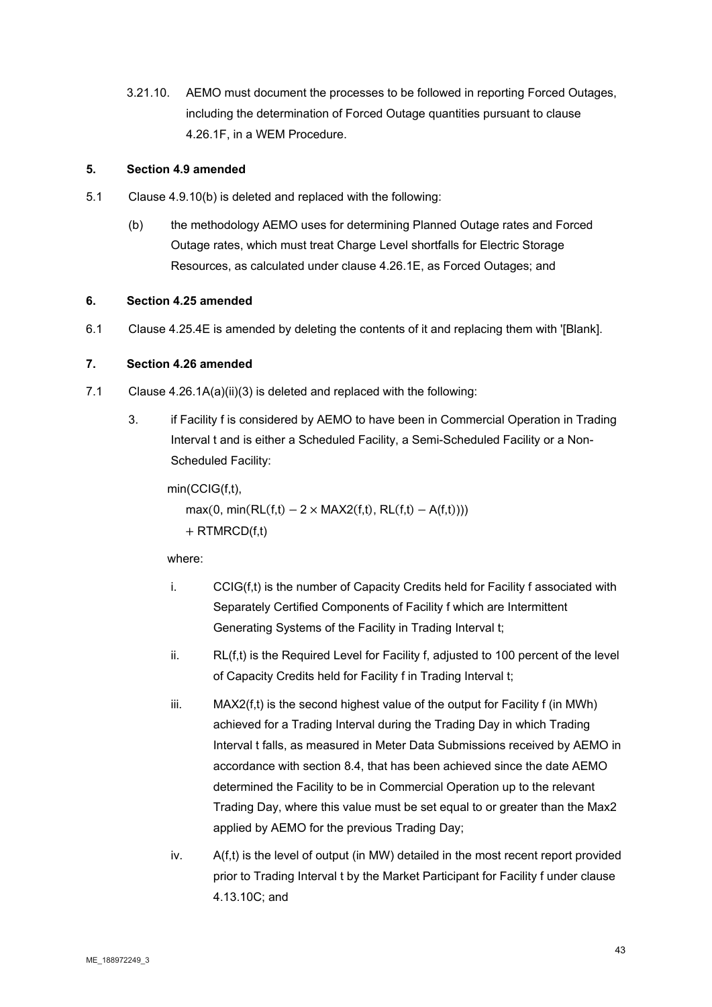3.21.10. AEMO must document the processes to be followed in reporting Forced Outages, including the determination of Forced Outage quantities pursuant to clause 4.26.1F, in a WEM Procedure.

# **5. Section 4.9 amended**

- 5.1 Clause 4.9.10(b) is deleted and replaced with the following:
	- (b) the methodology AEMO uses for determining Planned Outage rates and Forced Outage rates, which must treat Charge Level shortfalls for Electric Storage Resources, as calculated under clause 4.26.1E, as Forced Outages; and

# **6. Section 4.25 amended**

6.1 Clause 4.25.4E is amended by deleting the contents of it and replacing them with '[Blank].

# **7. Section 4.26 amended**

- 7.1 Clause 4.26.1A(a)(ii)(3) is deleted and replaced with the following:
	- 3. if Facility f is considered by AEMO to have been in Commercial Operation in Trading Interval t and is either a Scheduled Facility, a Semi-Scheduled Facility or a Non-Scheduled Facility:

# min(CCIG(f,t),

max(0, min(RL(f,t) – 2 × MAX2(f,t), RL(f,t) – A(f,t))))  $+$  RTMRCD(f,t)

- i. CCIG(f,t) is the number of Capacity Credits held for Facility f associated with Separately Certified Components of Facility f which are Intermittent Generating Systems of the Facility in Trading Interval t;
- $ii.$  RL $(f,t)$  is the Required Level for Facility f, adjusted to 100 percent of the level of Capacity Credits held for Facility f in Trading Interval t;
- $iii.$  MAX2(f,t) is the second highest value of the output for Facility  $f$  (in MWh) achieved for a Trading Interval during the Trading Day in which Trading Interval t falls, as measured in Meter Data Submissions received by AEMO in accordance with section 8.4, that has been achieved since the date AEMO determined the Facility to be in Commercial Operation up to the relevant Trading Day, where this value must be set equal to or greater than the Max2 applied by AEMO for the previous Trading Day;
- $iv.$  A(f,t) is the level of output (in MW) detailed in the most recent report provided prior to Trading Interval t by the Market Participant for Facility f under clause 4.13.10C; and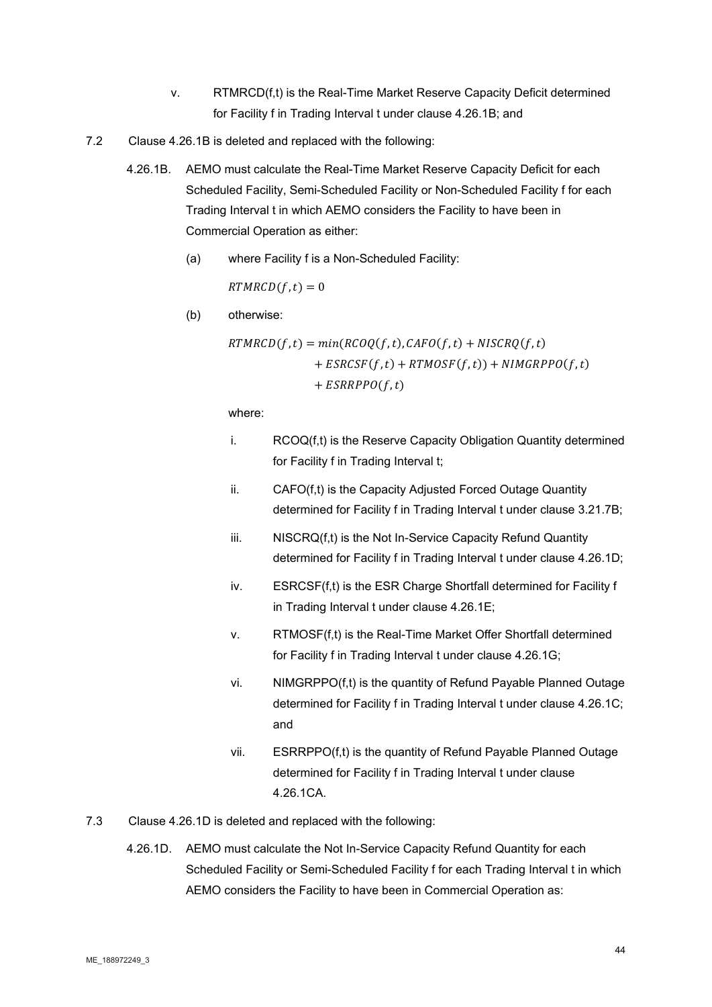- v. RTMRCD(f,t) is the Real-Time Market Reserve Capacity Deficit determined for Facility f in Trading Interval t under clause 4.26.1B; and
- 7.2 Clause 4.26.1B is deleted and replaced with the following:
	- 4.26.1B. AEMO must calculate the Real-Time Market Reserve Capacity Deficit for each Scheduled Facility, Semi-Scheduled Facility or Non-Scheduled Facility f for each Trading Interval t in which AEMO considers the Facility to have been in Commercial Operation as either:
		- (a) where Facility f is a Non-Scheduled Facility:

 $RTMRCD(f,t) = 0$ 

(b) otherwise:

 $RTMRCD(f, t) = min(RCOQ(f, t), CAPO(f, t) + NISCRQ(f, t))$  $+ ESRCSF(f,t) + RTMOSF(f,t)) + NIMGRPPO(f,t)$  $+ ESRRPPO(f,t)$ 

- i. RCOQ(f,t) is the Reserve Capacity Obligation Quantity determined for Facility f in Trading Interval t;
- ii. CAFO(f,t) is the Capacity Adjusted Forced Outage Quantity determined for Facility f in Trading Interval t under clause 3.21.7B;
- iii. NISCRQ(f,t) is the Not In-Service Capacity Refund Quantity determined for Facility f in Trading Interval t under clause 4.26.1D;
- iv. ESRCSF(f,t) is the ESR Charge Shortfall determined for Facility f in Trading Interval t under clause 4.26.1E;
- v. RTMOSF(f,t) is the Real-Time Market Offer Shortfall determined for Facility f in Trading Interval t under clause 4.26.1G;
- vi. NIMGRPPO(f,t) is the quantity of Refund Payable Planned Outage determined for Facility f in Trading Interval t under clause 4.26.1C; and
- vii. ESRRPPO(f,t) is the quantity of Refund Payable Planned Outage determined for Facility f in Trading Interval t under clause 4.26.1CA.
- 7.3 Clause 4.26.1D is deleted and replaced with the following:
	- 4.26.1D. AEMO must calculate the Not In-Service Capacity Refund Quantity for each Scheduled Facility or Semi-Scheduled Facility f for each Trading Interval t in which AEMO considers the Facility to have been in Commercial Operation as: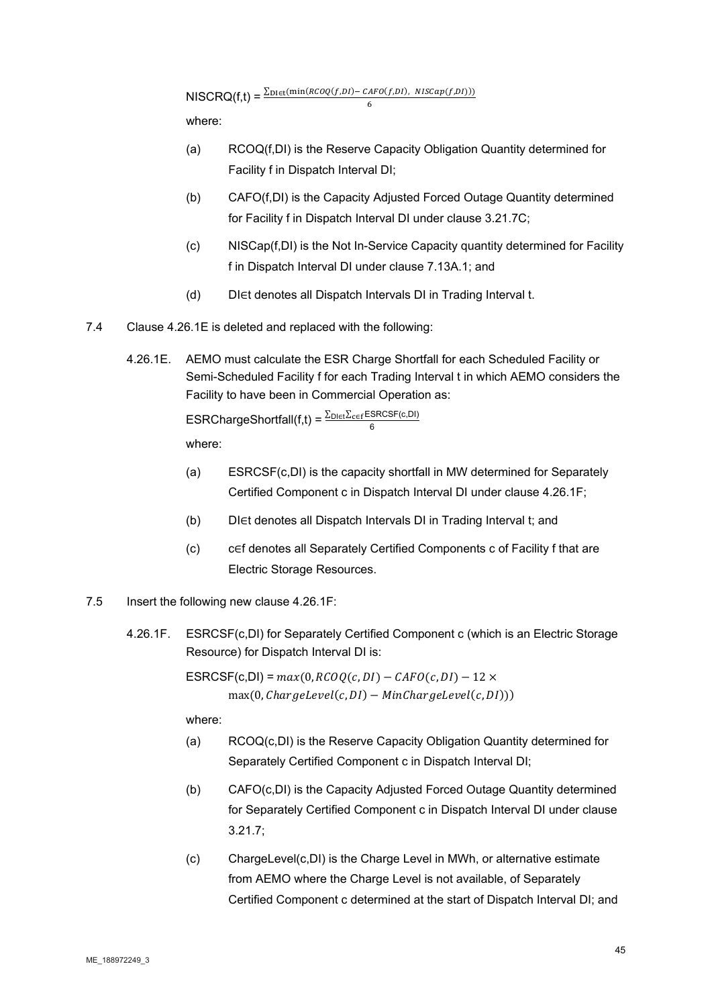where:

(a) RCOQ(f,DI) is the Reserve Capacity Obligation Quantity determined for Facility f in Dispatch Interval DI;

6

- (b) CAFO(f,DI) is the Capacity Adjusted Forced Outage Quantity determined for Facility f in Dispatch Interval DI under clause 3.21.7C;
- (c) NISCap(f,DI) is the Not In-Service Capacity quantity determined for Facility f in Dispatch Interval DI under clause 7.13A.1; and
- (d) DI∈t denotes all Dispatch Intervals DI in Trading Interval t.
- 7.4 Clause 4.26.1E is deleted and replaced with the following:
	- 4.26.1E. AEMO must calculate the ESR Charge Shortfall for each Scheduled Facility or Semi-Scheduled Facility f for each Trading Interval t in which AEMO considers the Facility to have been in Commercial Operation as:

ESRChargeShortfall(f,t) =  $\frac{\sum_{\text{DIE}i}\sum_{\text{c}\in f}\text{ESRCSF}(\text{c},\text{D}l)}{6}$ where:

- (a) ESRCSF(c,DI) is the capacity shortfall in MW determined for Separately Certified Component c in Dispatch Interval DI under clause 4.26.1F;
- (b) DI∈t denotes all Dispatch Intervals DI in Trading Interval t; and
- (c) c∈f denotes all Separately Certified Components c of Facility f that are Electric Storage Resources.
- 7.5 Insert the following new clause 4.26.1F:
	- 4.26.1F. ESRCSF(c,DI) for Separately Certified Component c (which is an Electric Storage Resource) for Dispatch Interval DI is:

ESRCSF(c,DI) =  $max(0, RCOQ(c,DI) - CAPO(c,DI) - 12 \times$  $max(0, ChargeLevel(c, DI) - MinChangeLevel(c, DI))$ 

- (a) RCOQ(c,DI) is the Reserve Capacity Obligation Quantity determined for Separately Certified Component c in Dispatch Interval DI;
- (b) CAFO(c,DI) is the Capacity Adjusted Forced Outage Quantity determined for Separately Certified Component c in Dispatch Interval DI under clause 3.21.7;
- (c) ChargeLevel(c,DI) is the Charge Level in MWh, or alternative estimate from AEMO where the Charge Level is not available, of Separately Certified Component c determined at the start of Dispatch Interval DI; and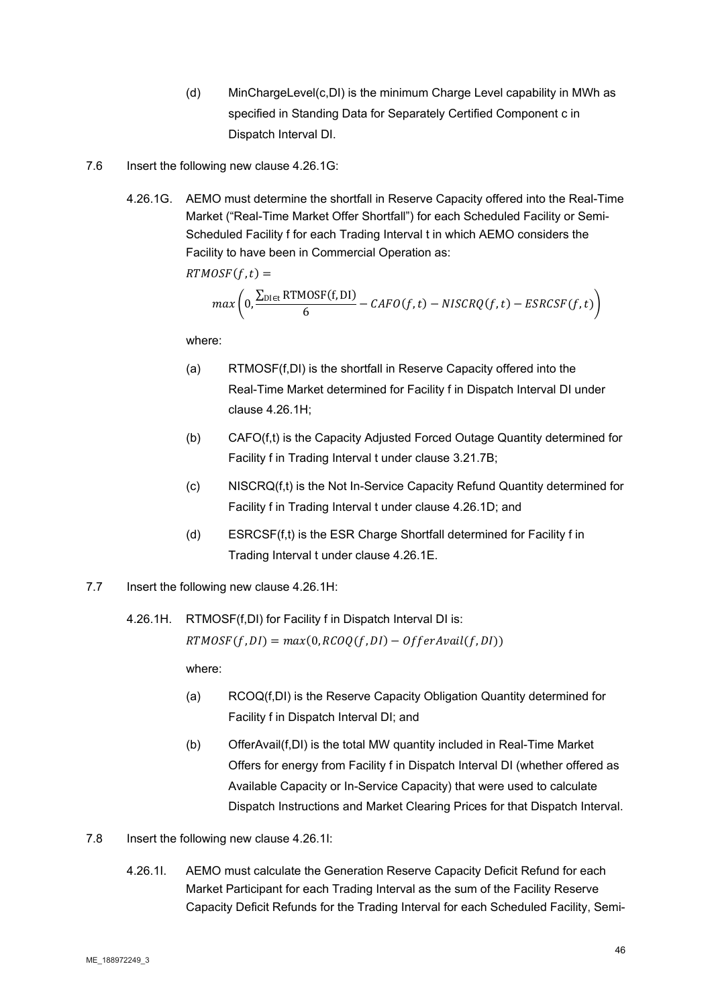- (d) MinChargeLevel(c,DI) is the minimum Charge Level capability in MWh as specified in Standing Data for Separately Certified Component c in Dispatch Interval DI.
- 7.6 Insert the following new clause 4.26.1G:
	- 4.26.1G. AEMO must determine the shortfall in Reserve Capacity offered into the Real-Time Market ("Real-Time Market Offer Shortfall") for each Scheduled Facility or Semi-Scheduled Facility f for each Trading Interval t in which AEMO considers the Facility to have been in Commercial Operation as:

 $RTMOSF(f,t) =$ 

$$
max\left(0,\frac{\sum_{DIEt}RTMOSF(f,DI)}{6}-CAFO(f,t)-NISCRQ(f,t)-ESRCSF(f,t)\right)
$$

where:

- (a) RTMOSF(f,DI) is the shortfall in Reserve Capacity offered into the Real-Time Market determined for Facility f in Dispatch Interval DI under clause 4.26.1H;
- (b) CAFO(f,t) is the Capacity Adjusted Forced Outage Quantity determined for Facility f in Trading Interval t under clause 3.21.7B;
- (c) NISCRQ(f,t) is the Not In-Service Capacity Refund Quantity determined for Facility f in Trading Interval t under clause 4.26.1D; and
- (d) ESRCSF(f,t) is the ESR Charge Shortfall determined for Facility f in Trading Interval t under clause 4.26.1E.
- 7.7 Insert the following new clause 4.26.1H:

4.26.1H. RTMOSF(f,DI) for Facility f in Dispatch Interval DI is:

 $RTMOSF(f, DI) = max(0, RCOO(f, DI) - OfferAvail(f, DI))$ 

- (a) RCOQ(f,DI) is the Reserve Capacity Obligation Quantity determined for Facility f in Dispatch Interval DI; and
- (b) OfferAvail(f,DI) is the total MW quantity included in Real-Time Market Offers for energy from Facility f in Dispatch Interval DI (whether offered as Available Capacity or In-Service Capacity) that were used to calculate Dispatch Instructions and Market Clearing Prices for that Dispatch Interval.
- 7.8 Insert the following new clause 4.26.1I:
	- 4.26.1I. AEMO must calculate the Generation Reserve Capacity Deficit Refund for each Market Participant for each Trading Interval as the sum of the Facility Reserve Capacity Deficit Refunds for the Trading Interval for each Scheduled Facility, Semi-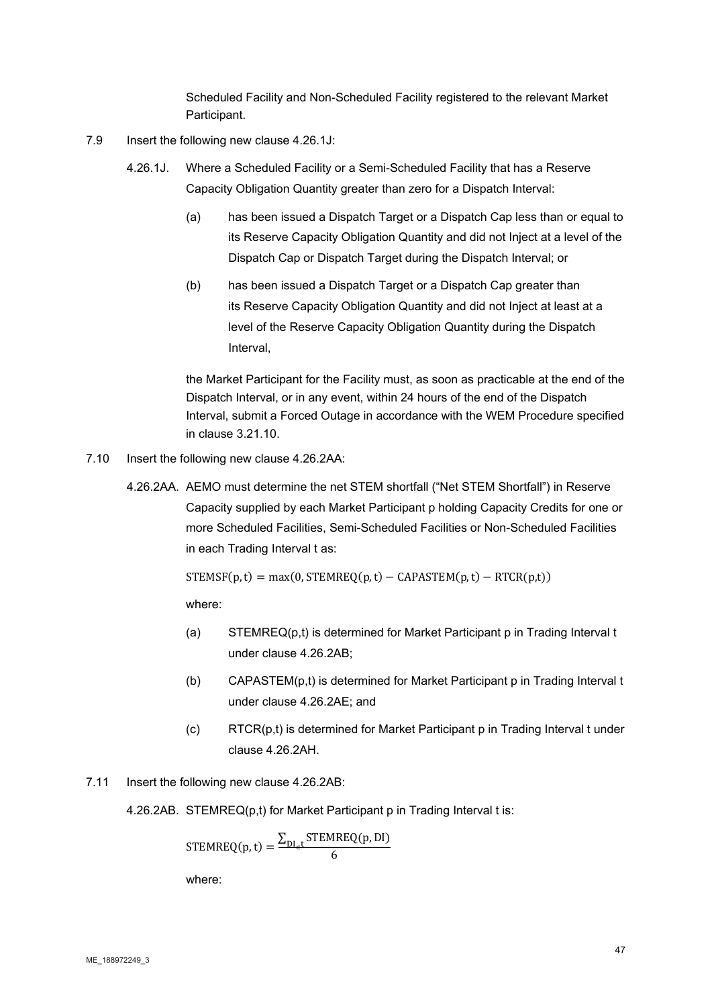Scheduled Facility and Non-Scheduled Facility registered to the relevant Market Participant.

- 7.9 Insert the following new clause 4.26.1J:
	- 4.26.1J. Where a Scheduled Facility or a Semi-Scheduled Facility that has a Reserve Capacity Obligation Quantity greater than zero for a Dispatch Interval:
		- (a) has been issued a Dispatch Target or a Dispatch Cap less than or equal to its Reserve Capacity Obligation Quantity and did not Inject at a level of the Dispatch Cap or Dispatch Target during the Dispatch Interval; or
		- (b) has been issued a Dispatch Target or a Dispatch Cap greater than its Reserve Capacity Obligation Quantity and did not Inject at least at a level of the Reserve Capacity Obligation Quantity during the Dispatch Interval,

the Market Participant for the Facility must, as soon as practicable at the end of the Dispatch Interval, or in any event, within 24 hours of the end of the Dispatch Interval, submit a Forced Outage in accordance with the WEM Procedure specified in clause 3.21.10.

- 7.10 Insert the following new clause 4.26.2AA:
	- 4.26.2AA. AEMO must determine the net STEM shortfall ("Net STEM Shortfall") in Reserve Capacity supplied by each Market Participant p holding Capacity Credits for one or more Scheduled Facilities, Semi-Scheduled Facilities or Non-Scheduled Facilities in each Trading Interval t as:

 $STEMSF(p, t) = max(0, STEMREQ(p, t) - CAPASTEM(p, t) - RTCR(p, t))$ 

where:

- (a) STEMREQ(p,t) is determined for Market Participant p in Trading Interval t under clause 4.26.2AB;
- (b) CAPASTEM(p,t) is determined for Market Participant p in Trading Interval t under clause 4.26.2AE; and
- (c) RTCR(p,t) is determined for Market Participant p in Trading Interval t under clause 4.26.2AH.
- 7.11 Insert the following new clause 4.26.2AB:
	- 4.26.2AB. STEMREQ(p,t) for Market Participant p in Trading Interval t is:

$$
STEMREQ(p, t) = \frac{\sum_{DL_{\epsilon}t} STEMREQ(p, DI)}{6}
$$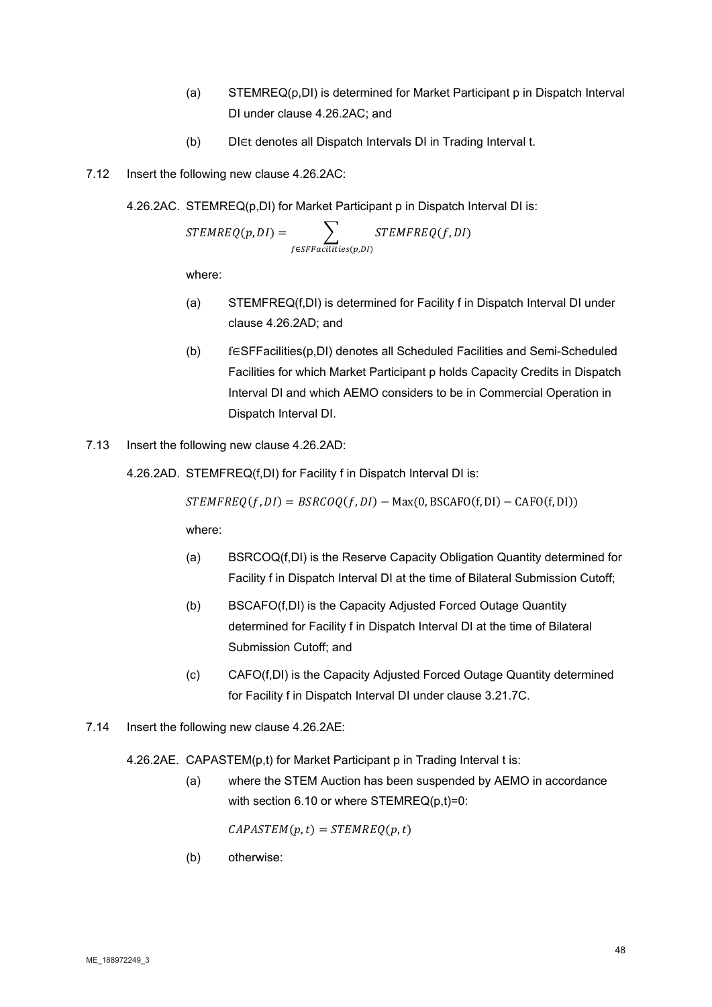- (a) STEMREQ(p,DI) is determined for Market Participant p in Dispatch Interval DI under clause 4.26.2AC; and
- (b) DI∈t denotes all Dispatch Intervals DI in Trading Interval t.
- 7.12 Insert the following new clause 4.26.2AC:

4.26.2AC. STEMREQ(p,DI) for Market Participant p in Dispatch Interval DI is:

$$
STEMREQ(p,DI) = \sum_{f \in SFFacilities(p,DI)} STEMFREEQ(f,DI)
$$

where:

- (a) STEMFREQ(f,DI) is determined for Facility f in Dispatch Interval DI under clause 4.26.2AD; and
- (b) f∈SFFacilities(p,DI) denotes all Scheduled Facilities and Semi-Scheduled Facilities for which Market Participant p holds Capacity Credits in Dispatch Interval DI and which AEMO considers to be in Commercial Operation in Dispatch Interval DI.
- 7.13 Insert the following new clause 4.26.2AD:
	- 4.26.2AD. STEMFREQ(f,DI) for Facility f in Dispatch Interval DI is:

 $STEMFREQ(f, DI) = BSRCOQ(f, DI) - Max(0, BSCAFO(f, DI) - CAPO(f, DI))$ 

where:

- (a) BSRCOQ(f,DI) is the Reserve Capacity Obligation Quantity determined for Facility f in Dispatch Interval DI at the time of Bilateral Submission Cutoff;
- (b) BSCAFO(f,DI) is the Capacity Adjusted Forced Outage Quantity determined for Facility f in Dispatch Interval DI at the time of Bilateral Submission Cutoff; and
- (c) CAFO(f,DI) is the Capacity Adjusted Forced Outage Quantity determined for Facility f in Dispatch Interval DI under clause 3.21.7C.
- 7.14 Insert the following new clause 4.26.2AE:

4.26.2AE. CAPASTEM(p,t) for Market Participant p in Trading Interval t is:

(a) where the STEM Auction has been suspended by AEMO in accordance with section 6.10 or where  $STEMREQ(p,t)=0$ :

 $CAPASTEM(p,t) = STEMREQ(p,t)$ 

(b) otherwise: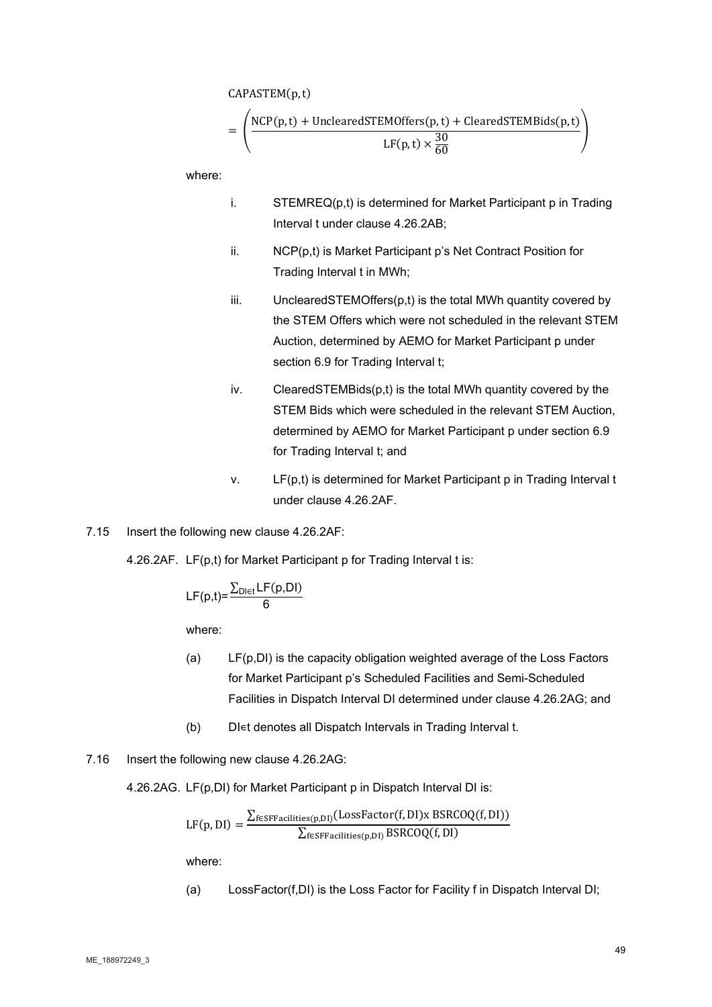CAPASTEM(p,t)

$$
= \left(\frac{\text{NCP}(p, t) + \text{UnclearedSTEMOffers}(p, t) + \text{ClearedSTEMBids}(p, t)}{\text{LF}(p, t) \times \frac{30}{60}}\right)
$$

where:

- i. STEMREQ(p,t) is determined for Market Participant p in Trading Interval t under clause 4.26.2AB;
- ii. NCP(p,t) is Market Participant p's Net Contract Position for Trading Interval t in MWh;
- iii. UnclearedSTEMOffers(p,t) is the total MWh quantity covered by the STEM Offers which were not scheduled in the relevant STEM Auction, determined by AEMO for Market Participant p under section 6.9 for Trading Interval t;
- iv. ClearedSTEMBids(p,t) is the total MWh quantity covered by the STEM Bids which were scheduled in the relevant STEM Auction, determined by AEMO for Market Participant p under section 6.9 for Trading Interval t; and
- v. LF(p,t) is determined for Market Participant p in Trading Interval t under clause 4.26.2AF.
- 7.15 Insert the following new clause 4.26.2AF:

4.26.2AF. LF(p,t) for Market Participant p for Trading Interval t is:

$$
LF(p,t) = \frac{\sum_{D1 \in t} LF(p,DI)}{6}
$$

where:

- (a) LF(p,DI) is the capacity obligation weighted average of the Loss Factors for Market Participant p's Scheduled Facilities and Semi-Scheduled Facilities in Dispatch Interval DI determined under clause 4.26.2AG; and
- (b) DI∊t denotes all Dispatch Intervals in Trading Interval t.
- 7.16 Insert the following new clause 4.26.2AG:

4.26.2AG. LF(p,DI) for Market Participant p in Dispatch Interval DI is:

$$
LF(p, DI) = \frac{\sum_{f \in SFFacilities(p, DI)} (LossFactor(f, DI) \times BSRCOQ(f, DI))}{\sum_{f \in SFFacilities(p, DI)} BSRCOQ(f, DI)}
$$

where:

(a) LossFactor(f,DI) is the Loss Factor for Facility f in Dispatch Interval DI;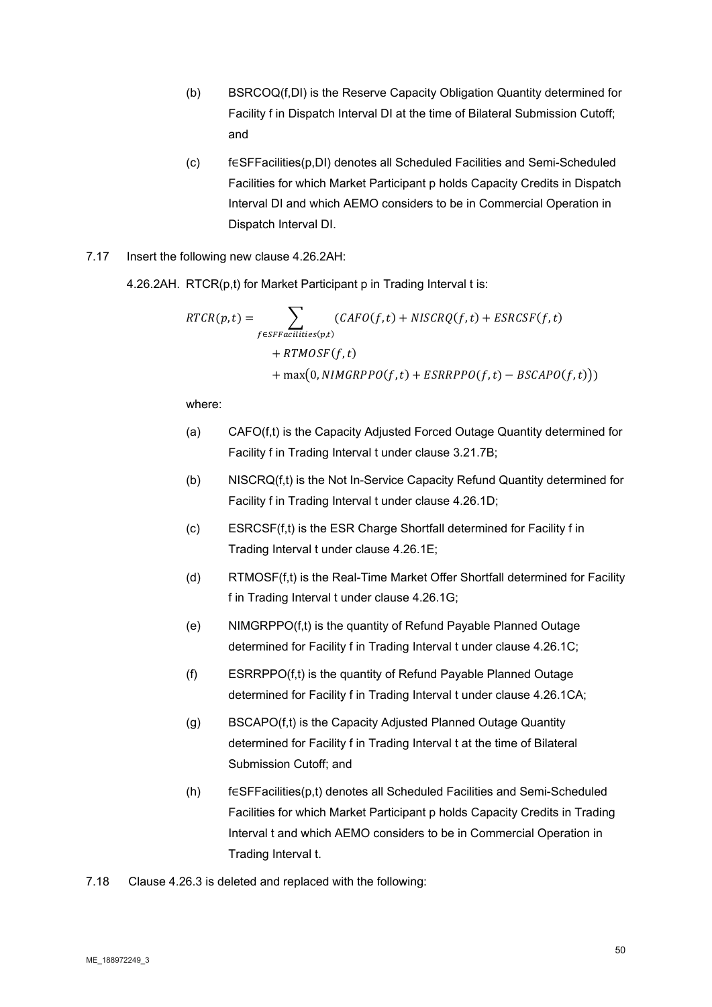- (b) BSRCOQ(f,DI) is the Reserve Capacity Obligation Quantity determined for Facility f in Dispatch Interval DI at the time of Bilateral Submission Cutoff; and
- (c) f∈SFFacilities(p,DI) denotes all Scheduled Facilities and Semi-Scheduled Facilities for which Market Participant p holds Capacity Credits in Dispatch Interval DI and which AEMO considers to be in Commercial Operation in Dispatch Interval DI.
- 7.17 Insert the following new clause 4.26.2AH:

4.26.2AH. RTCR(p,t) for Market Participant p in Trading Interval t is:

$$
RTCR(p,t) = \sum_{f \in SFFacilities(p,t)} (CAPO(f,t) + NISCRQ(f,t) + ESRCSF(f,t) + RTMOSF(f,t) + \max(0, NIMGRPPO(f,t) + ESRRPPO(f,t) - BSCAPO(f,t)))
$$

- (a) CAFO(f,t) is the Capacity Adjusted Forced Outage Quantity determined for Facility f in Trading Interval t under clause 3.21.7B;
- (b) NISCRQ(f,t) is the Not In-Service Capacity Refund Quantity determined for Facility f in Trading Interval t under clause 4.26.1D;
- (c) ESRCSF(f,t) is the ESR Charge Shortfall determined for Facility f in Trading Interval t under clause 4.26.1E;
- (d) RTMOSF(f,t) is the Real-Time Market Offer Shortfall determined for Facility f in Trading Interval t under clause 4.26.1G;
- (e) NIMGRPPO(f,t) is the quantity of Refund Payable Planned Outage determined for Facility f in Trading Interval t under clause 4.26.1C;
- (f) ESRRPPO(f,t) is the quantity of Refund Payable Planned Outage determined for Facility f in Trading Interval t under clause 4.26.1CA;
- (g) BSCAPO(f,t) is the Capacity Adjusted Planned Outage Quantity determined for Facility f in Trading Interval t at the time of Bilateral Submission Cutoff; and
- (h) f∈SFFacilities(p,t) denotes all Scheduled Facilities and Semi-Scheduled Facilities for which Market Participant p holds Capacity Credits in Trading Interval t and which AEMO considers to be in Commercial Operation in Trading Interval t.
- 7.18 Clause 4.26.3 is deleted and replaced with the following: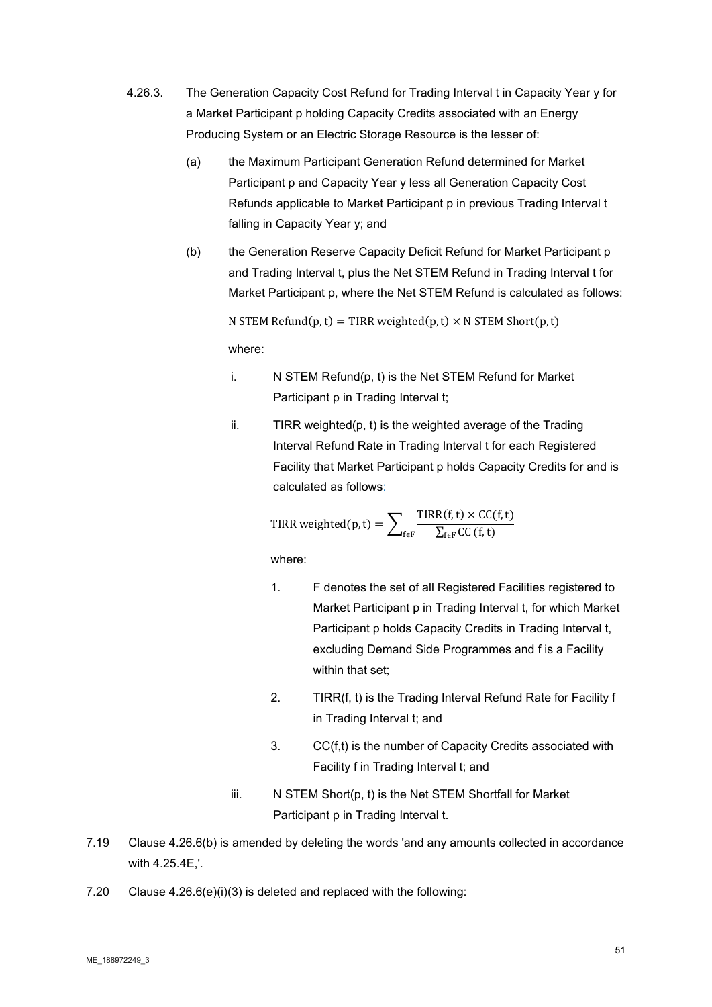- 4.26.3. The Generation Capacity Cost Refund for Trading Interval t in Capacity Year y for a Market Participant p holding Capacity Credits associated with an Energy Producing System or an Electric Storage Resource is the lesser of:
	- (a) the Maximum Participant Generation Refund determined for Market Participant p and Capacity Year y less all Generation Capacity Cost Refunds applicable to Market Participant p in previous Trading Interval t falling in Capacity Year y; and
	- (b) the Generation Reserve Capacity Deficit Refund for Market Participant p and Trading Interval t, plus the Net STEM Refund in Trading Interval t for Market Participant p, where the Net STEM Refund is calculated as follows:

N STEM Refund $(p, t) =$  TIRR weighted $(p, t) \times N$  STEM Short $(p, t)$ 

where:

- i. N STEM Refund(p, t) is the Net STEM Refund for Market Participant p in Trading Interval t;
- ii. TIRR weighted(p, t) is the weighted average of the Trading Interval Refund Rate in Trading Interval t for each Registered Facility that Market Participant p holds Capacity Credits for and is calculated as follows:

TIRR weighted(p, t) = 
$$
\sum_{f \in F} \frac{TIRR(f, t) \times CC(f, t)}{\sum_{f \in F} CC(f, t)}
$$

- 1. F denotes the set of all Registered Facilities registered to Market Participant p in Trading Interval t, for which Market Participant p holds Capacity Credits in Trading Interval t, excluding Demand Side Programmes and f is a Facility within that set;
- 2. TIRR(f, t) is the Trading Interval Refund Rate for Facility f in Trading Interval t; and
- 3. CC(f,t) is the number of Capacity Credits associated with Facility f in Trading Interval t; and
- iii. N STEM Short(p, t) is the Net STEM Shortfall for Market Participant p in Trading Interval t.
- 7.19 Clause 4.26.6(b) is amended by deleting the words 'and any amounts collected in accordance with 4.25.4E,'.
- 7.20 Clause 4.26.6(e)(i)(3) is deleted and replaced with the following: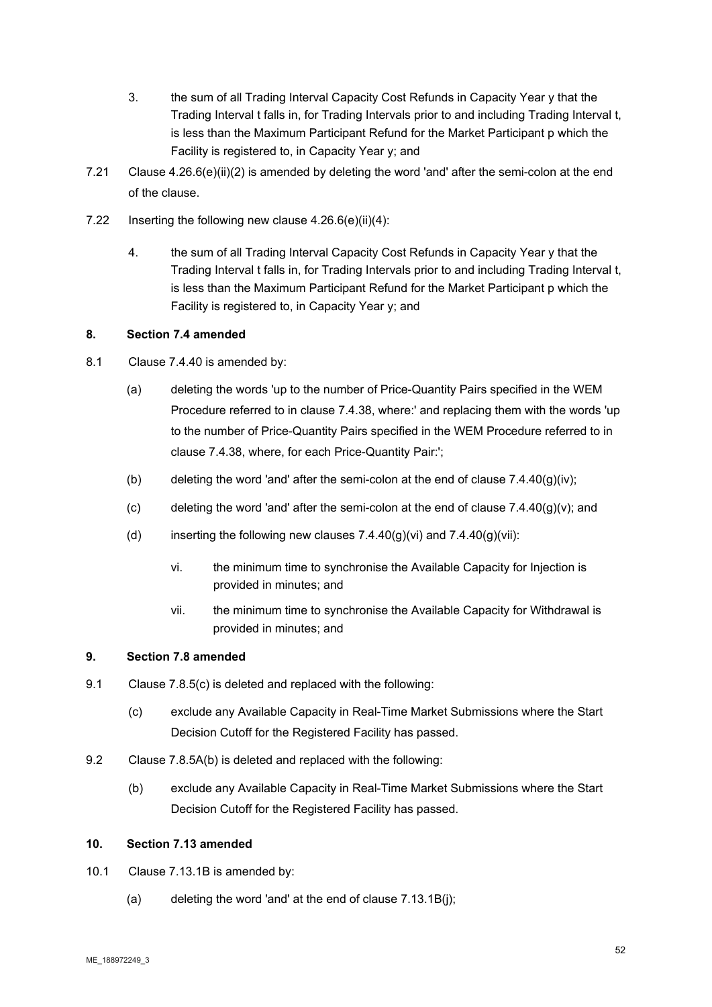- 3. the sum of all Trading Interval Capacity Cost Refunds in Capacity Year y that the Trading Interval t falls in, for Trading Intervals prior to and including Trading Interval t, is less than the Maximum Participant Refund for the Market Participant p which the Facility is registered to, in Capacity Year y; and
- 7.21 Clause 4.26.6(e)(ii)(2) is amended by deleting the word 'and' after the semi-colon at the end of the clause.
- 7.22 Inserting the following new clause 4.26.6(e)(ii)(4):
	- 4. the sum of all Trading Interval Capacity Cost Refunds in Capacity Year y that the Trading Interval t falls in, for Trading Intervals prior to and including Trading Interval t, is less than the Maximum Participant Refund for the Market Participant p which the Facility is registered to, in Capacity Year y; and

# **8. Section 7.4 amended**

- 8.1 Clause 7.4.40 is amended by:
	- (a) deleting the words 'up to the number of Price-Quantity Pairs specified in the WEM Procedure referred to in clause 7.4.38, where:' and replacing them with the words 'up to the number of Price-Quantity Pairs specified in the WEM Procedure referred to in clause 7.4.38, where, for each Price-Quantity Pair:';
	- (b) deleting the word 'and' after the semi-colon at the end of clause  $7.4.40(q)(iv)$ ;
	- (c) deleting the word 'and' after the semi-colon at the end of clause  $7.4.40(g)(v)$ ; and
	- (d) inserting the following new clauses  $7.4.40(g)(vi)$  and  $7.4.40(g)(vii)$ :
		- vi. the minimum time to synchronise the Available Capacity for Injection is provided in minutes; and
		- vii. the minimum time to synchronise the Available Capacity for Withdrawal is provided in minutes; and

# **9. Section 7.8 amended**

- 9.1 Clause 7.8.5(c) is deleted and replaced with the following:
	- (c) exclude any Available Capacity in Real-Time Market Submissions where the Start Decision Cutoff for the Registered Facility has passed.
- 9.2 Clause 7.8.5A(b) is deleted and replaced with the following:
	- (b) exclude any Available Capacity in Real-Time Market Submissions where the Start Decision Cutoff for the Registered Facility has passed.

# **10. Section 7.13 amended**

- 10.1 Clause 7.13.1B is amended by:
	- (a) deleting the word 'and' at the end of clause  $7.13.1B(i)$ ;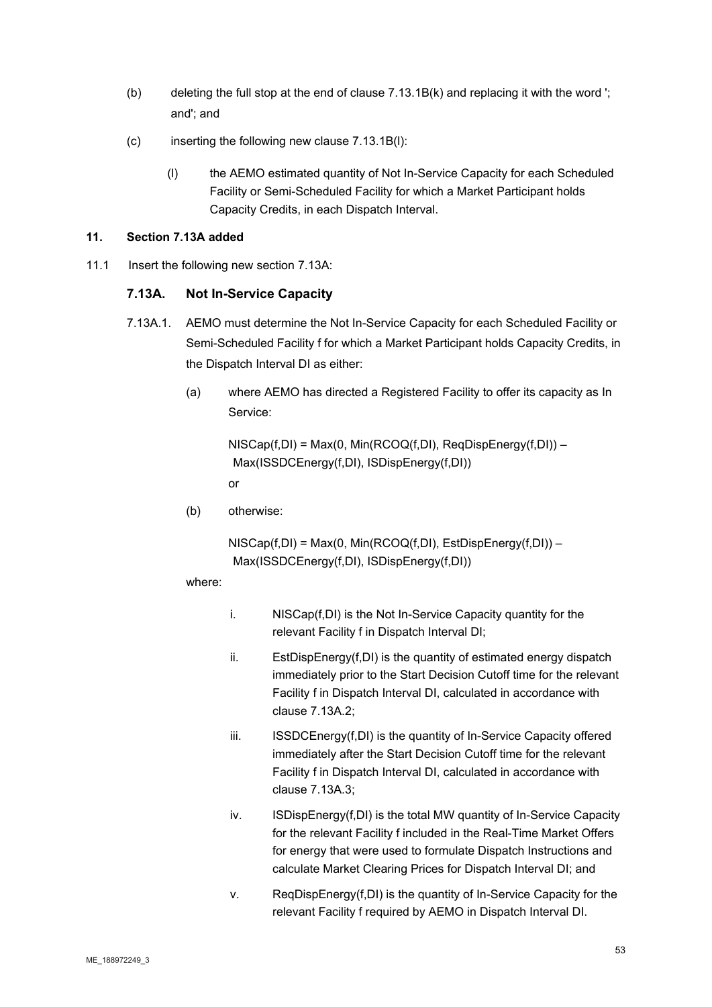- (b) deleting the full stop at the end of clause  $7.13.1B(k)$  and replacing it with the word '; and'; and
- (c) inserting the following new clause 7.13.1B(l):
	- (l) the AEMO estimated quantity of Not In-Service Capacity for each Scheduled Facility or Semi-Scheduled Facility for which a Market Participant holds Capacity Credits, in each Dispatch Interval.

# **11. Section 7.13A added**

11.1 Insert the following new section 7.13A:

# **7.13A. Not In-Service Capacity**

- 7.13A.1. AEMO must determine the Not In-Service Capacity for each Scheduled Facility or Semi-Scheduled Facility f for which a Market Participant holds Capacity Credits, in the Dispatch Interval DI as either:
	- (a) where AEMO has directed a Registered Facility to offer its capacity as In Service:

NISCap(f,DI) = Max(0, Min(RCOQ(f,DI), ReqDispEnergy(f,DI)) – Max(ISSDCEnergy(f,DI), ISDispEnergy(f,DI)) or

(b) otherwise:

 $NISCap(f,DI) = Max(0, Min(RCOQ(f,DI), EstDispEnergy(f,DI)) -$ Max(ISSDCEnergy(f,DI), ISDispEnergy(f,DI))

- i. NISCap(f,DI) is the Not In-Service Capacity quantity for the relevant Facility f in Dispatch Interval DI;
- ii. EstDispEnergy(f,DI) is the quantity of estimated energy dispatch immediately prior to the Start Decision Cutoff time for the relevant Facility f in Dispatch Interval DI, calculated in accordance with clause 7.13A.2;
- iii. **ISSDCEnergy(f,DI)** is the quantity of In-Service Capacity offered immediately after the Start Decision Cutoff time for the relevant Facility f in Dispatch Interval DI, calculated in accordance with clause 7.13A.3;
- iv. ISDispEnergy(f,DI) is the total MW quantity of In-Service Capacity for the relevant Facility f included in the Real-Time Market Offers for energy that were used to formulate Dispatch Instructions and calculate Market Clearing Prices for Dispatch Interval DI; and
- v. ReqDispEnergy(f,DI) is the quantity of In-Service Capacity for the relevant Facility f required by AEMO in Dispatch Interval DI.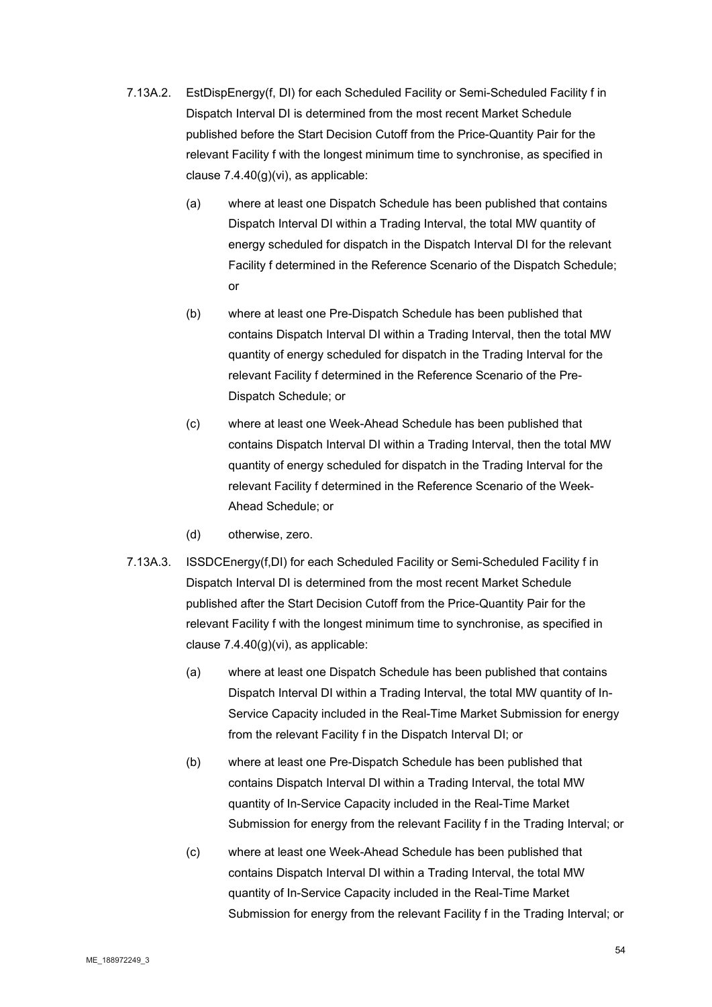- 7.13A.2. EstDispEnergy(f, DI) for each Scheduled Facility or Semi-Scheduled Facility f in Dispatch Interval DI is determined from the most recent Market Schedule published before the Start Decision Cutoff from the Price-Quantity Pair for the relevant Facility f with the longest minimum time to synchronise, as specified in clause 7.4.40(g)(vi), as applicable:
	- (a) where at least one Dispatch Schedule has been published that contains Dispatch Interval DI within a Trading Interval, the total MW quantity of energy scheduled for dispatch in the Dispatch Interval DI for the relevant Facility f determined in the Reference Scenario of the Dispatch Schedule;  $\alpha$ r
	- (b) where at least one Pre-Dispatch Schedule has been published that contains Dispatch Interval DI within a Trading Interval, then the total MW quantity of energy scheduled for dispatch in the Trading Interval for the relevant Facility f determined in the Reference Scenario of the Pre-Dispatch Schedule; or
	- (c) where at least one Week-Ahead Schedule has been published that contains Dispatch Interval DI within a Trading Interval, then the total MW quantity of energy scheduled for dispatch in the Trading Interval for the relevant Facility f determined in the Reference Scenario of the Week-Ahead Schedule; or
	- (d) otherwise, zero.
- 7.13A.3. ISSDCEnergy(f,DI) for each Scheduled Facility or Semi-Scheduled Facility f in Dispatch Interval DI is determined from the most recent Market Schedule published after the Start Decision Cutoff from the Price-Quantity Pair for the relevant Facility f with the longest minimum time to synchronise, as specified in clause 7.4.40(g)(vi), as applicable:
	- (a) where at least one Dispatch Schedule has been published that contains Dispatch Interval DI within a Trading Interval, the total MW quantity of In-Service Capacity included in the Real-Time Market Submission for energy from the relevant Facility f in the Dispatch Interval DI; or
	- (b) where at least one Pre-Dispatch Schedule has been published that contains Dispatch Interval DI within a Trading Interval, the total MW quantity of In-Service Capacity included in the Real-Time Market Submission for energy from the relevant Facility f in the Trading Interval; or
	- (c) where at least one Week-Ahead Schedule has been published that contains Dispatch Interval DI within a Trading Interval, the total MW quantity of In-Service Capacity included in the Real-Time Market Submission for energy from the relevant Facility f in the Trading Interval; or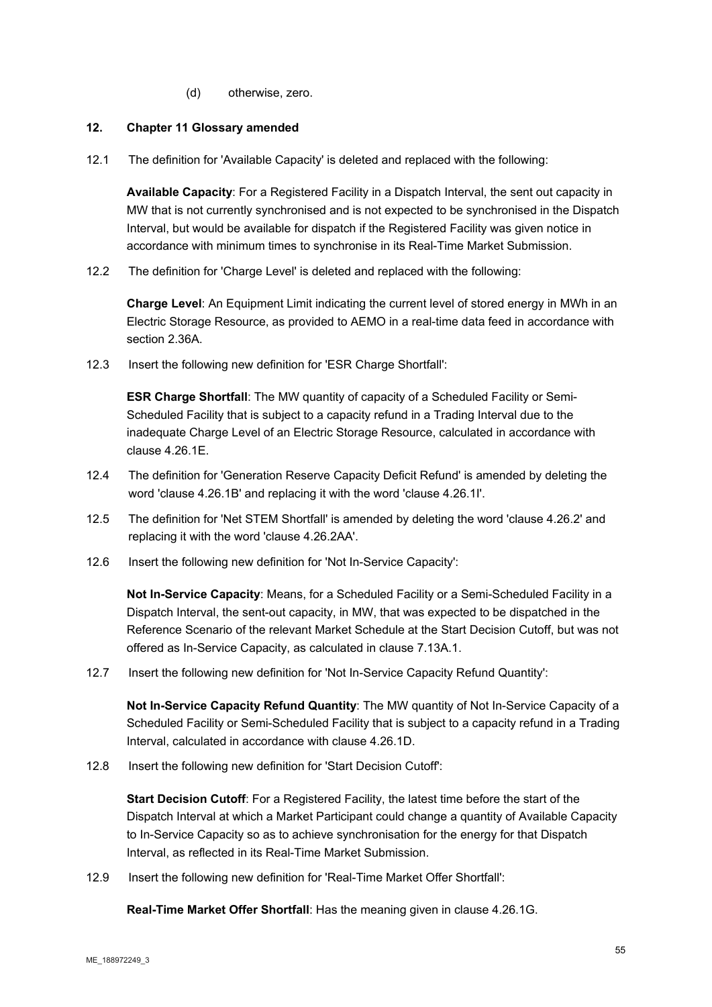(d) otherwise, zero.

### **12. Chapter 11 Glossary amended**

12.1 The definition for 'Available Capacity' is deleted and replaced with the following:

**Available Capacity**: For a Registered Facility in a Dispatch Interval, the sent out capacity in MW that is not currently synchronised and is not expected to be synchronised in the Dispatch Interval, but would be available for dispatch if the Registered Facility was given notice in accordance with minimum times to synchronise in its Real-Time Market Submission.

12.2 The definition for 'Charge Level' is deleted and replaced with the following:

**Charge Level**: An Equipment Limit indicating the current level of stored energy in MWh in an Electric Storage Resource, as provided to AEMO in a real-time data feed in accordance with section 2.36A.

12.3 Insert the following new definition for 'ESR Charge Shortfall':

**ESR Charge Shortfall**: The MW quantity of capacity of a Scheduled Facility or Semi-Scheduled Facility that is subject to a capacity refund in a Trading Interval due to the inadequate Charge Level of an Electric Storage Resource, calculated in accordance with clause 4.26.1E.

- 12.4 The definition for 'Generation Reserve Capacity Deficit Refund' is amended by deleting the word 'clause 4.26.1B' and replacing it with the word 'clause 4.26.1I'.
- 12.5 The definition for 'Net STEM Shortfall' is amended by deleting the word 'clause 4.26.2' and replacing it with the word 'clause 4.26.2AA'.
- 12.6 Insert the following new definition for 'Not In-Service Capacity':

**Not In-Service Capacity**: Means, for a Scheduled Facility or a Semi-Scheduled Facility in a Dispatch Interval, the sent-out capacity, in MW, that was expected to be dispatched in the Reference Scenario of the relevant Market Schedule at the Start Decision Cutoff, but was not offered as In-Service Capacity, as calculated in clause 7.13A.1.

12.7 Insert the following new definition for 'Not In-Service Capacity Refund Quantity':

**Not In-Service Capacity Refund Quantity**: The MW quantity of Not In-Service Capacity of a Scheduled Facility or Semi-Scheduled Facility that is subject to a capacity refund in a Trading Interval, calculated in accordance with clause 4.26.1D.

12.8 Insert the following new definition for 'Start Decision Cutoff':

**Start Decision Cutoff**: For a Registered Facility, the latest time before the start of the Dispatch Interval at which a Market Participant could change a quantity of Available Capacity to In-Service Capacity so as to achieve synchronisation for the energy for that Dispatch Interval, as reflected in its Real-Time Market Submission.

12.9 Insert the following new definition for 'Real-Time Market Offer Shortfall':

**Real-Time Market Offer Shortfall**: Has the meaning given in clause 4.26.1G.